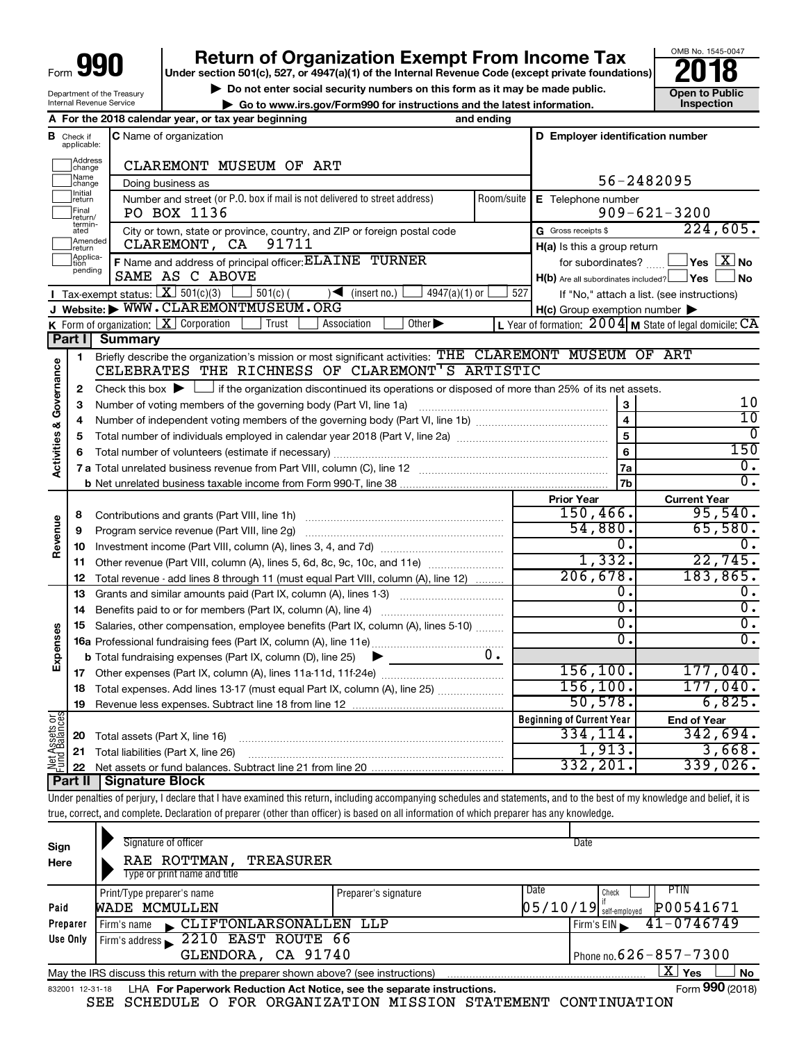| Form ' | qqr |
|--------|-----|
|        |     |

Department of the Treasury Internal Revenue Service

# **990** Return of Organization Exempt From Income Tax **Punce 1845-004 Puncer section 501(c), 527, or 4947(a)(1)** of the Internal Revenue Code (except private foundations) **2018**

▶ Do not enter social security numbers on this form as it may be made public. <br>● Go to www.irs.gov/Form990 for instructions and the latest information. **Dependent in the latest** information.

**| Go to www.irs.gov/Form990 for instructions and the latest information. Inspection**



|                                |                               | A For the 2018 calendar year, or tax year beginning                                                                                                                     | and ending |                                                     |                                                           |  |  |
|--------------------------------|-------------------------------|-------------------------------------------------------------------------------------------------------------------------------------------------------------------------|------------|-----------------------------------------------------|-----------------------------------------------------------|--|--|
|                                | <b>B</b> Check if applicable: | <b>C</b> Name of organization                                                                                                                                           |            | D Employer identification number                    |                                                           |  |  |
|                                | Address<br>change             | CLAREMONT MUSEUM OF ART                                                                                                                                                 |            |                                                     |                                                           |  |  |
|                                | Name<br>change                | Doing business as                                                                                                                                                       |            |                                                     | 56-2482095                                                |  |  |
|                                | Initial<br>return             | Number and street (or P.O. box if mail is not delivered to street address)                                                                                              | Room/suite | E Telephone number                                  |                                                           |  |  |
|                                | Final<br>return/              | PO BOX 1136                                                                                                                                                             |            |                                                     | $909 - 621 - 3200$                                        |  |  |
|                                | termin-<br>ated               | City or town, state or province, country, and ZIP or foreign postal code                                                                                                |            | G Gross receipts \$                                 | 224,605.                                                  |  |  |
|                                | Amended<br>return             | CLAREMONT, CA<br>91711                                                                                                                                                  |            | $H(a)$ is this a group return                       |                                                           |  |  |
|                                | Applica-<br>Ition<br>pending  | F Name and address of principal officer: ELAINE TURNER                                                                                                                  |            | for subordinates?                                   | $\Box$ Yes $[\overline{\mathrm{X}}]$ No                   |  |  |
|                                |                               | SAME AS C ABOVE                                                                                                                                                         |            | $H(b)$ Are all subordinates included? $\Box$ Yes    | <b>No</b>                                                 |  |  |
|                                |                               | <b>I</b> Tax exempt status: $\boxed{\mathbf{X}}$ 501(c)(3)<br>$4947(a)(1)$ or<br>$501(c)$ (<br>$\sqrt{\frac{1}{1}}$ (insert no.)                                        | 527        |                                                     | If "No," attach a list. (see instructions)                |  |  |
|                                |                               | J Website: WWW.CLAREMONTMUSEUM.ORG                                                                                                                                      |            | $H(c)$ Group exemption number $\blacktriangleright$ |                                                           |  |  |
|                                |                               | Other $\blacktriangleright$<br><b>K</b> Form of organization: $X$ Corporation<br>Trust<br>Association                                                                   |            |                                                     | L Year of formation: $2004$ M State of legal domicile: CA |  |  |
|                                | Part I                        | Summary                                                                                                                                                                 |            |                                                     |                                                           |  |  |
|                                | $\mathbf{1}$                  | Briefly describe the organization's mission or most significant activities: THE CLAREMONT MUSEUM OF ART<br>CELEBRATES THE RICHNESS OF CLAREMONT <sup>'</sup> S ARTISTIC |            |                                                     |                                                           |  |  |
| Activities & Governance        | 2                             | Check this box $\blacktriangleright$ $\Box$ if the organization discontinued its operations or disposed of more than 25% of its net assets.                             |            |                                                     |                                                           |  |  |
|                                | 3                             | Number of voting members of the governing body (Part VI, line 1a)                                                                                                       |            | 3                                                   | 10                                                        |  |  |
|                                | 4                             |                                                                                                                                                                         |            |                                                     |                                                           |  |  |
|                                | 5                             |                                                                                                                                                                         |            | $\overline{\mathbf{4}}$<br>5                        | $\overline{10}$<br>0                                      |  |  |
|                                | 6                             |                                                                                                                                                                         |            | 6                                                   | 150                                                       |  |  |
|                                |                               |                                                                                                                                                                         |            | 7a                                                  | $\overline{0}$ .                                          |  |  |
|                                |                               |                                                                                                                                                                         |            | 7b                                                  | $\overline{0}$ .                                          |  |  |
|                                |                               |                                                                                                                                                                         |            | <b>Prior Year</b>                                   | <b>Current Year</b>                                       |  |  |
|                                | 8                             | Contributions and grants (Part VIII, line 1h)                                                                                                                           |            | 150, 466.                                           | 95,540.                                                   |  |  |
| Revenue                        | 9                             | Program service revenue (Part VIII, line 2g)                                                                                                                            |            | 54,880.                                             | 65,580.                                                   |  |  |
|                                | 10                            |                                                                                                                                                                         |            | σ.                                                  | 0.                                                        |  |  |
|                                | 11                            | Other revenue (Part VIII, column (A), lines 5, 6d, 8c, 9c, 10c, and 11e)                                                                                                |            | 1,332.                                              | 22,745.                                                   |  |  |
|                                | 12                            | Total revenue - add lines 8 through 11 (must equal Part VIII, column (A), line 12)                                                                                      |            | 206,678.                                            | 183,865.                                                  |  |  |
|                                | 13                            | Grants and similar amounts paid (Part IX, column (A), lines 1-3)                                                                                                        |            | 0.                                                  | О.                                                        |  |  |
|                                | 14                            | Benefits paid to or for members (Part IX, column (A), line 4)                                                                                                           |            | $\overline{0}$ .                                    | $\overline{0}$ .                                          |  |  |
|                                | 15                            | Salaries, other compensation, employee benefits (Part IX, column (A), lines 5-10)                                                                                       |            | σ.                                                  | $\overline{0}$ .                                          |  |  |
| Expenses                       |                               |                                                                                                                                                                         |            | σ.                                                  | $\overline{0}$ .                                          |  |  |
|                                |                               | <b>b</b> Total fundraising expenses (Part IX, column (D), line 25)<br>▶                                                                                                 | $0$ .      |                                                     |                                                           |  |  |
|                                | 17                            |                                                                                                                                                                         |            | 156, 100.                                           | 177,040.                                                  |  |  |
|                                | 18                            | Total expenses. Add lines 13-17 (must equal Part IX, column (A), line 25)                                                                                               |            | 156, 100.                                           | 177,040.                                                  |  |  |
|                                | 19                            |                                                                                                                                                                         |            | 50, 578.                                            | 6,825.                                                    |  |  |
| Net Assets or<br>Fund Balances |                               |                                                                                                                                                                         |            | <b>Beginning of Current Year</b><br>334, 114.       | <b>End of Year</b><br>342,694.                            |  |  |
|                                | 20                            | Total assets (Part X, line 16)                                                                                                                                          |            | 1,913.                                              | 3,668.                                                    |  |  |
|                                | 21<br>22                      | Total liabilities (Part X, line 26)                                                                                                                                     |            | 332, 201.                                           | 339,026.                                                  |  |  |
|                                | Part II                       | <b>Signature Block</b>                                                                                                                                                  |            |                                                     |                                                           |  |  |
|                                |                               |                                                                                                                                                                         |            |                                                     |                                                           |  |  |

Under penalties of perjury, I declare that I have examined this return, including accompanying schedules and statements, and to the best of my knowledge and belief, it is true, correct, and complete. Declaration of preparer (other than officer) is based on all information of which preparer has any knowledge.

| Sign<br>Here    | Signature of officer<br>RAE ROTTMAN,<br>TREASURER<br>Type or print name and title |                      |      | Date                                  |
|-----------------|-----------------------------------------------------------------------------------|----------------------|------|---------------------------------------|
|                 | Print/Type preparer's name                                                        | Preparer's signature | Date | PTIN<br>Check                         |
| Paid            | WADE MCMULLEN                                                                     |                      |      | P00541671<br>$05/10/19$ self-employed |
| Preparer        | CLIFTONLARSONALLEN<br>Firm's name                                                 | LLP                  |      | $41 - 0746749$<br>Firm's $EIN$        |
| Use Only        | 2210 EAST ROUTE 66<br>Firm's address                                              |                      |      |                                       |
|                 | GLENDORA, CA 91740                                                                |                      |      | Phone no. $626 - 857 - 7300$          |
|                 | May the IRS discuss this return with the preparer shown above? (see instructions) |                      |      | ΧI<br>Yes<br><b>No</b>                |
| 832001 12-31-18 | LHA For Paperwork Reduction Act Notice, see the separate instructions.            |                      |      | Form 990 (2018)                       |

SEE SCHEDULE O FOR ORGANIZATION MISSION STATEMENT CONTINUATION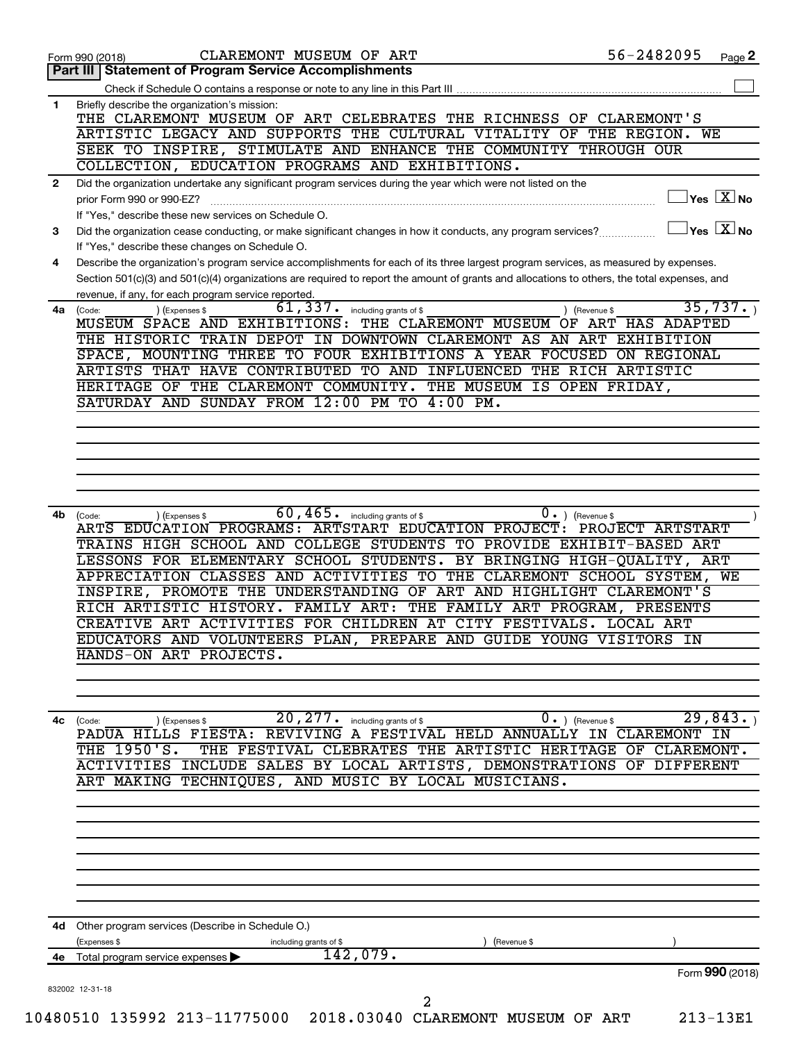|              | 56-2482095<br>CLAREMONT MUSEUM OF ART<br>Page 2<br>Form 990 (2018)                                                                                                             |
|--------------|--------------------------------------------------------------------------------------------------------------------------------------------------------------------------------|
| Part III     | <b>Statement of Program Service Accomplishments</b>                                                                                                                            |
|              | Check if Schedule O contains a response or note to any line in this Part III                                                                                                   |
| 1            | Briefly describe the organization's mission:                                                                                                                                   |
|              | THE CLAREMONT MUSEUM OF ART CELEBRATES THE RICHNESS OF CLAREMONT'S                                                                                                             |
|              | ARTISTIC LEGACY AND SUPPORTS THE CULTURAL VITALITY OF THE REGION. WE                                                                                                           |
|              | SEEK TO INSPIRE, STIMULATE AND ENHANCE THE COMMUNITY THROUGH OUR<br>COLLECTION, EDUCATION PROGRAMS AND EXHIBITIONS.                                                            |
|              |                                                                                                                                                                                |
| $\mathbf{2}$ | Did the organization undertake any significant program services during the year which were not listed on the<br>$\vert$ Yes $\boxed{\text{X}}$ No<br>prior Form 990 or 990-EZ? |
|              | If "Yes," describe these new services on Schedule O.                                                                                                                           |
| 3            | $\overline{\ }$ Yes $\overline{\phantom{a}X}$ No<br>Did the organization cease conducting, or make significant changes in how it conducts, any program services?               |
|              | If "Yes," describe these changes on Schedule O.                                                                                                                                |
| 4            | Describe the organization's program service accomplishments for each of its three largest program services, as measured by expenses.                                           |
|              | Section 501(c)(3) and 501(c)(4) organizations are required to report the amount of grants and allocations to others, the total expenses, and                                   |
|              | revenue, if any, for each program service reported.                                                                                                                            |
| 4a           | 35,737.<br>61,337.<br>including grants of \$<br>) (Revenue \$<br>(Expenses \$<br>(Code:                                                                                        |
|              | MUSEUM SPACE AND EXHIBITIONS:<br>THE CLAREMONT MUSEUM OF ART HAS ADAPTED                                                                                                       |
|              | THE HISTORIC TRAIN DEPOT IN DOWNTOWN CLAREMONT AS AN ART EXHIBITION                                                                                                            |
|              | SPACE, MOUNTING THREE TO FOUR EXHIBITIONS A YEAR FOCUSED ON REGIONAL                                                                                                           |
|              | ARTISTS THAT HAVE CONTRIBUTED TO AND INFLUENCED THE RICH ARTISTIC                                                                                                              |
|              | HERITAGE OF THE CLAREMONT COMMUNITY. THE MUSEUM IS OPEN FRIDAY,                                                                                                                |
|              | SATURDAY AND SUNDAY FROM 12:00 PM TO 4:00 PM.                                                                                                                                  |
|              |                                                                                                                                                                                |
|              |                                                                                                                                                                                |
|              |                                                                                                                                                                                |
|              |                                                                                                                                                                                |
|              |                                                                                                                                                                                |
|              | $60, 465$ $\cdot$ including grants of \$<br>$0 \cdot$ ) (Revenue \$                                                                                                            |
| 4b           | (Code:<br>(Expenses \$<br>ARTS EDUCATION PROGRAMS: ARTSTART EDUCATION PROJECT: PROJECT ARTSTART                                                                                |
|              | TRAINS HIGH SCHOOL AND COLLEGE STUDENTS TO PROVIDE EXHIBIT-BASED ART                                                                                                           |
|              | LESSONS FOR ELEMENTARY SCHOOL STUDENTS. BY BRINGING HIGH-QUALITY, ART                                                                                                          |
|              | APPRECIATION CLASSES AND ACTIVITIES TO THE CLAREMONT SCHOOL SYSTEM,<br>WE                                                                                                      |
|              | INSPIRE, PROMOTE THE UNDERSTANDING OF ART AND HIGHLIGHT CLAREMONT'S                                                                                                            |
|              | RICH ARTISTIC HISTORY. FAMILY ART: THE FAMILY ART PROGRAM, PRESENTS                                                                                                            |
|              | CREATIVE ART ACTIVITIES FOR CHILDREN AT CITY FESTIVALS. LOCAL ART                                                                                                              |
|              | EDUCATORS AND VOLUNTEERS PLAN, PREPARE AND GUIDE YOUNG VISITORS IN                                                                                                             |
|              | HANDS-ON ART PROJECTS.                                                                                                                                                         |
|              |                                                                                                                                                                                |
|              |                                                                                                                                                                                |
|              |                                                                                                                                                                                |
| 4c           | $\overline{29,843}$ .<br>20,277.<br>$0 \cdot$ ) (Revenue \$<br>including grants of \$<br>) (Expenses \$<br>(Code:                                                              |
|              | PADUA HILLS FIESTA: REVIVING A FESTIVAL HELD ANNUALLY IN CLAREMONT IN                                                                                                          |
|              | THE 1950'S.<br>THE FESTIVAL CLEBRATES THE ARTISTIC HERITAGE OF CLAREMONT.                                                                                                      |
|              | ACTIVITIES INCLUDE SALES BY LOCAL ARTISTS, DEMONSTRATIONS OF DIFFERENT                                                                                                         |
|              | ART MAKING TECHNIQUES, AND MUSIC BY LOCAL MUSICIANS.                                                                                                                           |
|              |                                                                                                                                                                                |
|              |                                                                                                                                                                                |
|              |                                                                                                                                                                                |
|              |                                                                                                                                                                                |
|              |                                                                                                                                                                                |
|              |                                                                                                                                                                                |
|              |                                                                                                                                                                                |
|              |                                                                                                                                                                                |
|              |                                                                                                                                                                                |
|              | 4d Other program services (Describe in Schedule O.)                                                                                                                            |
|              | (Expenses \$<br>(Revenue \$<br>including grants of \$                                                                                                                          |
|              | 142,079.<br>4e Total program service expenses                                                                                                                                  |
|              | Form 990 (2018)<br>832002 12-31-18                                                                                                                                             |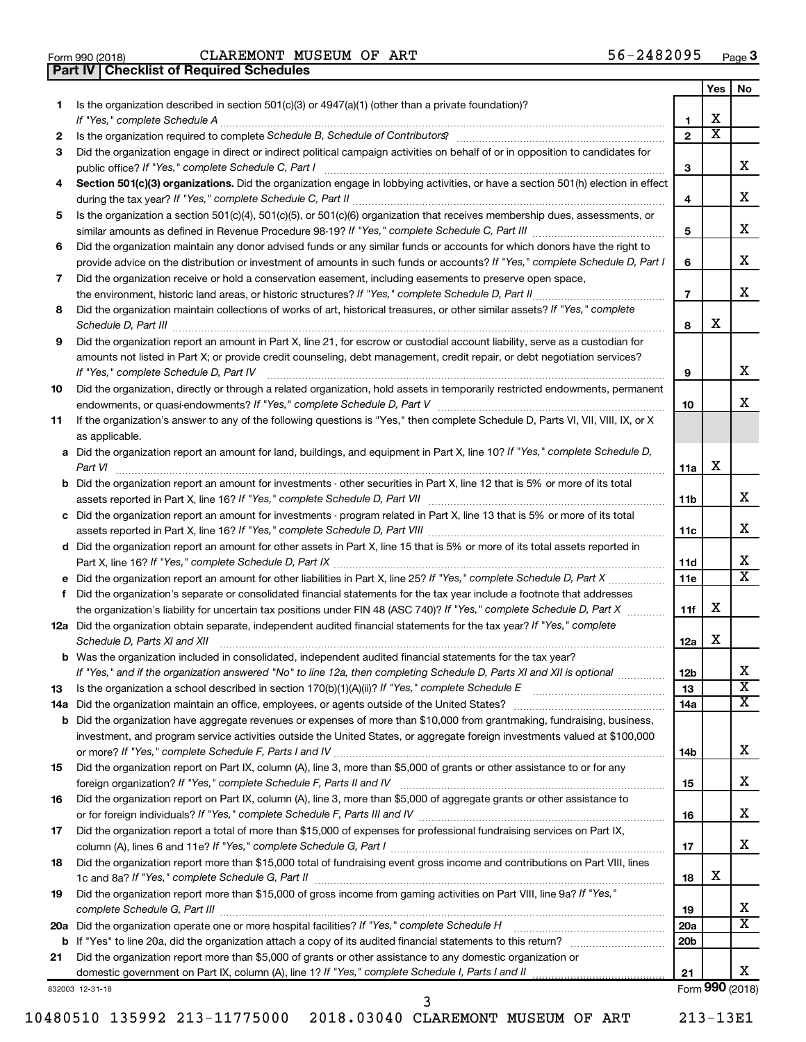| Form 990 (2018) |  |  |
|-----------------|--|--|

**Part IV Checklist of Required Schedules**

Form 990 (2018)  $CLAREMONT$   $MUSEUM$  OF  $ART$   $56-2482095$   $Page$ 

|     |                                                                                                                                                                                                                                             |                       | Yes                     | No                      |
|-----|---------------------------------------------------------------------------------------------------------------------------------------------------------------------------------------------------------------------------------------------|-----------------------|-------------------------|-------------------------|
| 1   | Is the organization described in section 501(c)(3) or 4947(a)(1) (other than a private foundation)?                                                                                                                                         |                       |                         |                         |
|     |                                                                                                                                                                                                                                             | 1                     | х                       |                         |
| 2   |                                                                                                                                                                                                                                             | $\mathbf{2}$          | $\overline{\mathbf{X}}$ |                         |
| З   | Did the organization engage in direct or indirect political campaign activities on behalf of or in opposition to candidates for                                                                                                             | 3                     |                         | x                       |
| 4   | Section 501(c)(3) organizations. Did the organization engage in lobbying activities, or have a section 501(h) election in effect                                                                                                            |                       |                         |                         |
|     |                                                                                                                                                                                                                                             | 4                     |                         | X                       |
| 5   | Is the organization a section 501(c)(4), 501(c)(5), or 501(c)(6) organization that receives membership dues, assessments, or                                                                                                                |                       |                         |                         |
|     |                                                                                                                                                                                                                                             | 5                     |                         | X                       |
| 6   | Did the organization maintain any donor advised funds or any similar funds or accounts for which donors have the right to                                                                                                                   |                       |                         |                         |
|     | provide advice on the distribution or investment of amounts in such funds or accounts? If "Yes," complete Schedule D, Part I                                                                                                                | 6                     |                         | х                       |
| 7   | Did the organization receive or hold a conservation easement, including easements to preserve open space,                                                                                                                                   |                       |                         |                         |
|     |                                                                                                                                                                                                                                             | $\overline{7}$        |                         | х                       |
| 8   | Did the organization maintain collections of works of art, historical treasures, or other similar assets? If "Yes," complete                                                                                                                |                       |                         |                         |
|     |                                                                                                                                                                                                                                             | 8                     | х                       |                         |
| 9   | Did the organization report an amount in Part X, line 21, for escrow or custodial account liability, serve as a custodian for                                                                                                               |                       |                         |                         |
|     | amounts not listed in Part X; or provide credit counseling, debt management, credit repair, or debt negotiation services?                                                                                                                   |                       |                         |                         |
|     |                                                                                                                                                                                                                                             | 9                     |                         | х                       |
| 10  | Did the organization, directly or through a related organization, hold assets in temporarily restricted endowments, permanent                                                                                                               |                       |                         |                         |
|     |                                                                                                                                                                                                                                             | 10                    |                         | х                       |
| 11  | If the organization's answer to any of the following questions is "Yes," then complete Schedule D, Parts VI, VII, VIII, IX, or X                                                                                                            |                       |                         |                         |
|     | as applicable.<br>a Did the organization report an amount for land, buildings, and equipment in Part X, line 10? If "Yes," complete Schedule D,                                                                                             |                       |                         |                         |
|     |                                                                                                                                                                                                                                             | 11a                   | X                       |                         |
|     | <b>b</b> Did the organization report an amount for investments - other securities in Part X, line 12 that is 5% or more of its total                                                                                                        |                       |                         |                         |
|     |                                                                                                                                                                                                                                             | 11b                   |                         | х                       |
|     | c Did the organization report an amount for investments - program related in Part X, line 13 that is 5% or more of its total                                                                                                                |                       |                         |                         |
|     |                                                                                                                                                                                                                                             | 11c                   |                         | х                       |
|     | d Did the organization report an amount for other assets in Part X, line 15 that is 5% or more of its total assets reported in                                                                                                              |                       |                         |                         |
|     |                                                                                                                                                                                                                                             | 11d                   |                         | х                       |
|     |                                                                                                                                                                                                                                             | 11e                   |                         | X                       |
|     | f Did the organization's separate or consolidated financial statements for the tax year include a footnote that addresses                                                                                                                   |                       |                         |                         |
|     | the organization's liability for uncertain tax positions under FIN 48 (ASC 740)? If "Yes," complete Schedule D, Part X                                                                                                                      | 11f                   | X                       |                         |
|     | 12a Did the organization obtain separate, independent audited financial statements for the tax year? If "Yes," complete                                                                                                                     |                       | X                       |                         |
|     | Schedule D, Parts XI and XII                                                                                                                                                                                                                | 12a                   |                         |                         |
|     | <b>b</b> Was the organization included in consolidated, independent audited financial statements for the tax year?<br>If "Yes," and if the organization answered "No" to line 12a, then completing Schedule D, Parts XI and XII is optional |                       |                         | х                       |
| 13  |                                                                                                                                                                                                                                             | 12 <sub>b</sub><br>13 |                         | $\overline{\mathbf{X}}$ |
| 14a |                                                                                                                                                                                                                                             | 14a                   |                         | x                       |
|     | <b>b</b> Did the organization have aggregate revenues or expenses of more than \$10,000 from grantmaking, fundraising, business,                                                                                                            |                       |                         |                         |
|     | investment, and program service activities outside the United States, or aggregate foreign investments valued at \$100,000                                                                                                                  |                       |                         |                         |
|     |                                                                                                                                                                                                                                             | 14b                   |                         | х                       |
| 15  | Did the organization report on Part IX, column (A), line 3, more than \$5,000 of grants or other assistance to or for any                                                                                                                   |                       |                         |                         |
|     |                                                                                                                                                                                                                                             | 15                    |                         | х                       |
| 16  | Did the organization report on Part IX, column (A), line 3, more than \$5,000 of aggregate grants or other assistance to                                                                                                                    |                       |                         |                         |
|     |                                                                                                                                                                                                                                             | 16                    |                         | х                       |
| 17  | Did the organization report a total of more than \$15,000 of expenses for professional fundraising services on Part IX,                                                                                                                     |                       |                         |                         |
|     |                                                                                                                                                                                                                                             | 17                    |                         | x                       |
| 18  | Did the organization report more than \$15,000 total of fundraising event gross income and contributions on Part VIII, lines                                                                                                                | 18                    | х                       |                         |
| 19  | Did the organization report more than \$15,000 of gross income from gaming activities on Part VIII, line 9a? If "Yes,"                                                                                                                      |                       |                         | х                       |
|     | 20a Did the organization operate one or more hospital facilities? If "Yes," complete Schedule H                                                                                                                                             | 19<br>20a             |                         | х                       |
| b   |                                                                                                                                                                                                                                             | 20b                   |                         |                         |
| 21  | Did the organization report more than \$5,000 of grants or other assistance to any domestic organization or                                                                                                                                 |                       |                         |                         |
|     |                                                                                                                                                                                                                                             | 21                    |                         | х                       |
|     | 832003 12-31-18                                                                                                                                                                                                                             |                       |                         | Form 990 (2018)         |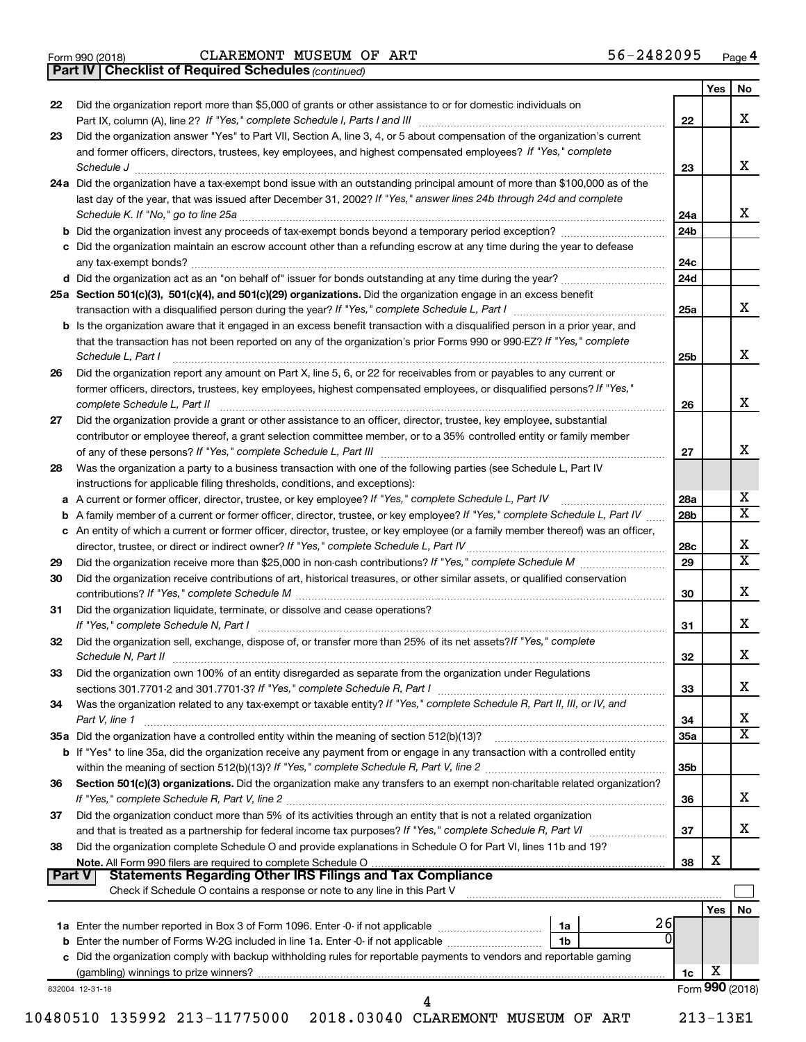|  | Form 990 (2018) |
|--|-----------------|
|  |                 |

*(continued)* **Part IV Checklist of Required Schedules**

|               |                                                                                                                                                                                                                                     |                 | <b>Yes</b> | No                           |
|---------------|-------------------------------------------------------------------------------------------------------------------------------------------------------------------------------------------------------------------------------------|-----------------|------------|------------------------------|
| 22            | Did the organization report more than \$5,000 of grants or other assistance to or for domestic individuals on                                                                                                                       |                 |            |                              |
|               |                                                                                                                                                                                                                                     | 22              |            | X                            |
| 23            | Did the organization answer "Yes" to Part VII, Section A, line 3, 4, or 5 about compensation of the organization's current                                                                                                          |                 |            |                              |
|               | and former officers, directors, trustees, key employees, and highest compensated employees? If "Yes," complete                                                                                                                      |                 |            |                              |
|               | Schedule J <b>Execute Schedule J Execute Schedule J Execute Schedule J Execute Schedule J</b>                                                                                                                                       | 23              |            | x                            |
|               | 24a Did the organization have a tax-exempt bond issue with an outstanding principal amount of more than \$100,000 as of the                                                                                                         |                 |            |                              |
|               | last day of the year, that was issued after December 31, 2002? If "Yes," answer lines 24b through 24d and complete                                                                                                                  |                 |            |                              |
|               |                                                                                                                                                                                                                                     | 24a             |            | x                            |
|               |                                                                                                                                                                                                                                     | 24b             |            |                              |
|               | c Did the organization maintain an escrow account other than a refunding escrow at any time during the year to defease                                                                                                              |                 |            |                              |
|               |                                                                                                                                                                                                                                     | 24c             |            |                              |
|               |                                                                                                                                                                                                                                     | 24d             |            |                              |
|               | 25a Section 501(c)(3), 501(c)(4), and 501(c)(29) organizations. Did the organization engage in an excess benefit                                                                                                                    |                 |            |                              |
|               |                                                                                                                                                                                                                                     | 25a             |            | x                            |
|               | <b>b</b> Is the organization aware that it engaged in an excess benefit transaction with a disqualified person in a prior year, and                                                                                                 |                 |            |                              |
|               | that the transaction has not been reported on any of the organization's prior Forms 990 or 990-EZ? If "Yes," complete                                                                                                               |                 |            |                              |
|               | Schedule L, Part I                                                                                                                                                                                                                  | 25b             |            | x                            |
| 26            | Did the organization report any amount on Part X, line 5, 6, or 22 for receivables from or payables to any current or                                                                                                               |                 |            |                              |
|               | former officers, directors, trustees, key employees, highest compensated employees, or disqualified persons? If "Yes,"                                                                                                              |                 |            | x                            |
|               |                                                                                                                                                                                                                                     | 26              |            |                              |
| 27            | Did the organization provide a grant or other assistance to an officer, director, trustee, key employee, substantial                                                                                                                |                 |            |                              |
|               | contributor or employee thereof, a grant selection committee member, or to a 35% controlled entity or family member                                                                                                                 | 27              |            | x                            |
| 28            | Was the organization a party to a business transaction with one of the following parties (see Schedule L, Part IV                                                                                                                   |                 |            |                              |
|               | instructions for applicable filing thresholds, conditions, and exceptions):                                                                                                                                                         |                 |            |                              |
|               | a A current or former officer, director, trustee, or key employee? If "Yes," complete Schedule L, Part IV                                                                                                                           | 28a             |            | x                            |
| b             | A family member of a current or former officer, director, trustee, or key employee? If "Yes," complete Schedule L, Part IV                                                                                                          | 28b             |            | $\overline{\mathtt{x}}$      |
|               | c An entity of which a current or former officer, director, trustee, or key employee (or a family member thereof) was an officer,                                                                                                   |                 |            |                              |
|               |                                                                                                                                                                                                                                     | 28 <sub>c</sub> |            | х                            |
| 29            |                                                                                                                                                                                                                                     | 29              |            | $\overline{\mathbf{x}}$      |
| 30            | Did the organization receive contributions of art, historical treasures, or other similar assets, or qualified conservation                                                                                                         |                 |            |                              |
|               |                                                                                                                                                                                                                                     | 30              |            | x                            |
| 31            | Did the organization liquidate, terminate, or dissolve and cease operations?                                                                                                                                                        |                 |            |                              |
|               |                                                                                                                                                                                                                                     | 31              |            | x                            |
| 32            | Did the organization sell, exchange, dispose of, or transfer more than 25% of its net assets? If "Yes," complete                                                                                                                    |                 |            |                              |
|               | Schedule N, Part II <b>Marting Construction Construction Construction</b> Construction Construction Construction Construction Construction Construction Construction Construction Construction Construction Construction Constructi | 32              |            | x                            |
| 33            | Did the organization own 100% of an entity disregarded as separate from the organization under Regulations                                                                                                                          |                 |            |                              |
|               |                                                                                                                                                                                                                                     | 33              |            | X                            |
| 34            | Was the organization related to any tax-exempt or taxable entity? If "Yes," complete Schedule R, Part II, III, or IV, and                                                                                                           |                 |            |                              |
|               | Part V, line 1                                                                                                                                                                                                                      | 34              |            | х<br>$\overline{\mathtt{x}}$ |
|               | 35a Did the organization have a controlled entity within the meaning of section 512(b)(13)?                                                                                                                                         | <b>35a</b>      |            |                              |
|               | b If "Yes" to line 35a, did the organization receive any payment from or engage in any transaction with a controlled entity                                                                                                         |                 |            |                              |
| 36            | Section 501(c)(3) organizations. Did the organization make any transfers to an exempt non-charitable related organization?                                                                                                          | 35b             |            |                              |
|               |                                                                                                                                                                                                                                     | 36              |            | X                            |
| 37            | Did the organization conduct more than 5% of its activities through an entity that is not a related organization                                                                                                                    |                 |            |                              |
|               |                                                                                                                                                                                                                                     | 37              |            | X                            |
| 38            | Did the organization complete Schedule O and provide explanations in Schedule O for Part VI, lines 11b and 19?                                                                                                                      |                 |            |                              |
|               |                                                                                                                                                                                                                                     | 38              | х          |                              |
| <b>Part V</b> |                                                                                                                                                                                                                                     |                 |            |                              |
|               | Check if Schedule O contains a response or note to any line in this Part V                                                                                                                                                          |                 |            |                              |
|               |                                                                                                                                                                                                                                     |                 | <b>Yes</b> | No                           |
|               | 26<br>1a                                                                                                                                                                                                                            |                 |            |                              |
|               | b Enter the number of Forms W-2G included in line 1a. Enter -0- if not applicable<br>1b                                                                                                                                             |                 |            |                              |
|               | c Did the organization comply with backup withholding rules for reportable payments to vendors and reportable gaming                                                                                                                |                 |            |                              |
|               |                                                                                                                                                                                                                                     | 1c              | х          |                              |
|               | 832004 12-31-18                                                                                                                                                                                                                     |                 |            | Form 990 (2018)              |
|               | 4                                                                                                                                                                                                                                   |                 |            |                              |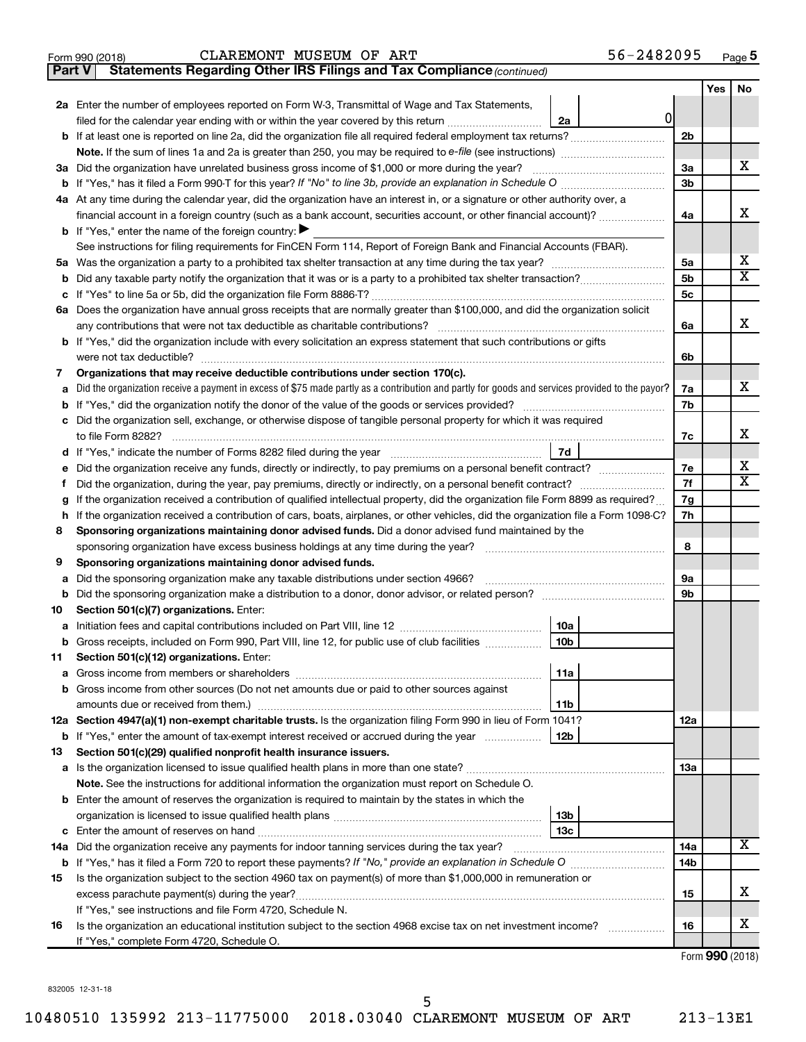|  | Form 990 (2018) |  |
|--|-----------------|--|
|  |                 |  |

### **Part V** Statements Regarding Other IRS Filings and Tax Compliance (continued) Form 990 (2018)  $CLAREMONT$   $MUSEUM$  OF  $ART$   $56-2482095$   $Page$

|         |                                                                                                                                                 |                      | <b>Yes</b> | No                      |
|---------|-------------------------------------------------------------------------------------------------------------------------------------------------|----------------------|------------|-------------------------|
|         | 2a Enter the number of employees reported on Form W-3, Transmittal of Wage and Tax Statements,                                                  |                      |            |                         |
|         | 0 <br>filed for the calendar year ending with or within the year covered by this return<br>2a                                                   |                      |            |                         |
|         |                                                                                                                                                 | 2b                   |            |                         |
|         |                                                                                                                                                 |                      |            |                         |
|         | 3a Did the organization have unrelated business gross income of \$1,000 or more during the year?                                                | За                   |            | X.                      |
|         | <b>b</b> If "Yes," has it filed a Form 990-T for this year? If "No" to line 3b, provide an explanation in Schedule O manumum                    | 3b                   |            |                         |
|         | 4a At any time during the calendar year, did the organization have an interest in, or a signature or other authority over, a                    |                      |            |                         |
|         | financial account in a foreign country (such as a bank account, securities account, or other financial account)?                                | 4a                   |            | x                       |
|         | <b>b</b> If "Yes," enter the name of the foreign country:                                                                                       |                      |            |                         |
|         | See instructions for filing requirements for FinCEN Form 114, Report of Foreign Bank and Financial Accounts (FBAR).                             |                      |            | х                       |
|         |                                                                                                                                                 | 5a                   |            | $\overline{\mathbf{X}}$ |
| b       |                                                                                                                                                 | 5b<br>5 <sub>c</sub> |            |                         |
|         | 6a Does the organization have annual gross receipts that are normally greater than \$100,000, and did the organization solicit                  |                      |            |                         |
|         | any contributions that were not tax deductible as charitable contributions?                                                                     | 6a                   |            | x                       |
|         | b If "Yes," did the organization include with every solicitation an express statement that such contributions or gifts                          |                      |            |                         |
|         | were not tax deductible?                                                                                                                        | 6b                   |            |                         |
| 7       | Organizations that may receive deductible contributions under section 170(c).                                                                   |                      |            |                         |
| a       | Did the organization receive a payment in excess of \$75 made partly as a contribution and partly for goods and services provided to the payor? | 7a                   |            | X.                      |
| b       |                                                                                                                                                 | 7b                   |            |                         |
| c       | Did the organization sell, exchange, or otherwise dispose of tangible personal property for which it was required                               |                      |            |                         |
|         | to file Form 8282?                                                                                                                              | 7c                   |            | x                       |
| d       | 7d                                                                                                                                              |                      |            |                         |
|         |                                                                                                                                                 | 7e                   |            | x                       |
|         |                                                                                                                                                 | 7f                   |            | $\mathbf x$             |
| g       | If the organization received a contribution of qualified intellectual property, did the organization file Form 8899 as required?                | 7g                   |            |                         |
| h.      | If the organization received a contribution of cars, boats, airplanes, or other vehicles, did the organization file a Form 1098-C?              | 7h                   |            |                         |
| 8       | Sponsoring organizations maintaining donor advised funds. Did a donor advised fund maintained by the                                            |                      |            |                         |
|         | sponsoring organization have excess business holdings at any time during the year?                                                              | 8                    |            |                         |
| 9       | Sponsoring organizations maintaining donor advised funds.                                                                                       |                      |            |                         |
| a       | Did the sponsoring organization make any taxable distributions under section 4966?                                                              | 9а                   |            |                         |
| b       | Did the sponsoring organization make a distribution to a donor, donor advisor, or related person?                                               | 9b                   |            |                         |
| 10      | Section 501(c)(7) organizations. Enter:                                                                                                         |                      |            |                         |
| а       | 10a<br>10 <sub>b</sub>                                                                                                                          |                      |            |                         |
| b<br>11 | Gross receipts, included on Form 990, Part VIII, line 12, for public use of club facilities<br>Section 501(c)(12) organizations. Enter:         |                      |            |                         |
|         | 11a                                                                                                                                             |                      |            |                         |
|         | b Gross income from other sources (Do not net amounts due or paid to other sources against                                                      |                      |            |                         |
|         | amounts due or received from them.)<br>11b                                                                                                      |                      |            |                         |
|         | 12a Section 4947(a)(1) non-exempt charitable trusts. Is the organization filing Form 990 in lieu of Form 1041?                                  | 12a                  |            |                         |
|         | <b>b</b> If "Yes," enter the amount of tax-exempt interest received or accrued during the year<br>12b                                           |                      |            |                         |
| 13      | Section 501(c)(29) qualified nonprofit health insurance issuers.                                                                                |                      |            |                         |
|         | a Is the organization licensed to issue qualified health plans in more than one state?                                                          | 1За                  |            |                         |
|         | Note. See the instructions for additional information the organization must report on Schedule O.                                               |                      |            |                         |
|         | <b>b</b> Enter the amount of reserves the organization is required to maintain by the states in which the                                       |                      |            |                         |
|         | 13 <sub>b</sub>                                                                                                                                 |                      |            |                         |
| c       | 13c                                                                                                                                             |                      |            |                         |
|         | 14a Did the organization receive any payments for indoor tanning services during the tax year?                                                  | 14a                  |            | x                       |
|         |                                                                                                                                                 | 14b                  |            |                         |
| 15      | Is the organization subject to the section 4960 tax on payment(s) of more than \$1,000,000 in remuneration or                                   |                      |            |                         |
|         | excess parachute payment(s) during the year?                                                                                                    | 15                   |            | x                       |
|         | If "Yes," see instructions and file Form 4720, Schedule N.                                                                                      |                      |            |                         |
| 16      | Is the organization an educational institution subject to the section 4968 excise tax on net investment income?                                 | 16                   |            | х                       |
|         | If "Yes," complete Form 4720, Schedule O.                                                                                                       |                      |            |                         |

Form (2018) **990**

832005 12-31-18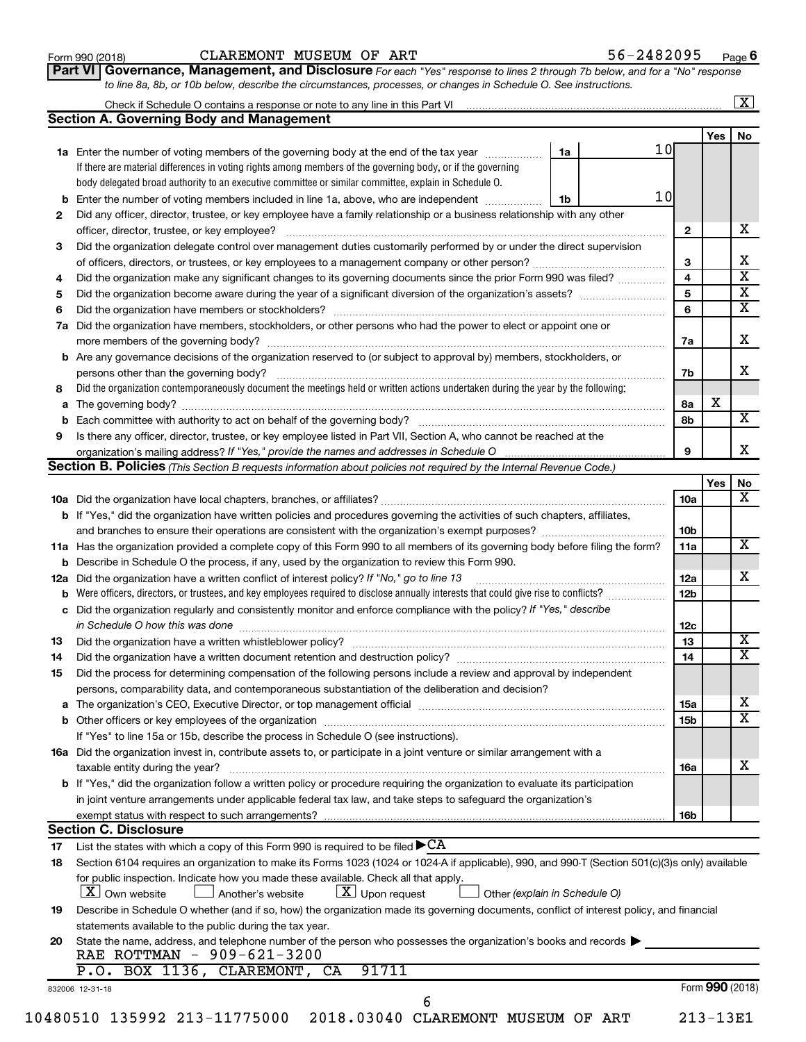| Form 990 (2018) |  |
|-----------------|--|
|-----------------|--|

### Form 990 (2018)  $CLAREMONT$   $MUSEUM$  OF  $ART$   $56-2482095$   $Page$

56-2482095 Page 6

| Part VI   Governance, Management, and Disclosure For each "Yes" response to lines 2 through 7b below, and for a "No" response |  |
|-------------------------------------------------------------------------------------------------------------------------------|--|
| to line 8a, 8b, or 10b below, describe the circumstances, processes, or changes in Schedule O. See instructions.              |  |

|    |                                                                                                                                                 |    |    |                 |                 | $\mathbf{X}$ |
|----|-------------------------------------------------------------------------------------------------------------------------------------------------|----|----|-----------------|-----------------|--------------|
|    | <b>Section A. Governing Body and Management</b>                                                                                                 |    |    |                 |                 |              |
|    |                                                                                                                                                 |    | 10 |                 | Yes             | No           |
|    | 1a Enter the number of voting members of the governing body at the end of the tax year                                                          | 1a |    |                 |                 |              |
|    | If there are material differences in voting rights among members of the governing body, or if the governing                                     |    |    |                 |                 |              |
|    | body delegated broad authority to an executive committee or similar committee, explain in Schedule O.                                           |    | 10 |                 |                 |              |
|    | <b>b</b> Enter the number of voting members included in line 1a, above, who are independent <i>manumum</i>                                      | 1b |    |                 |                 |              |
| 2  | Did any officer, director, trustee, or key employee have a family relationship or a business relationship with any other                        |    |    |                 |                 |              |
|    |                                                                                                                                                 |    |    | $\mathbf{2}$    |                 |              |
| 3  | Did the organization delegate control over management duties customarily performed by or under the direct supervision                           |    |    |                 |                 |              |
|    |                                                                                                                                                 |    |    | 3               |                 |              |
| 4  | Did the organization make any significant changes to its governing documents since the prior Form 990 was filed?                                |    |    | 4               |                 |              |
| 5  |                                                                                                                                                 |    |    | 5               |                 |              |
| 6  |                                                                                                                                                 |    |    | 6               |                 |              |
| 7a | Did the organization have members, stockholders, or other persons who had the power to elect or appoint one or                                  |    |    |                 |                 |              |
|    |                                                                                                                                                 |    |    | 7a              |                 |              |
|    | <b>b</b> Are any governance decisions of the organization reserved to (or subject to approval by) members, stockholders, or                     |    |    |                 |                 |              |
|    |                                                                                                                                                 |    |    | 7b              |                 |              |
| 8  | Did the organization contemporaneously document the meetings held or written actions undertaken during the year by the following:               |    |    |                 |                 |              |
|    |                                                                                                                                                 |    |    | 8а              | х               |              |
|    |                                                                                                                                                 |    |    | 8b              |                 |              |
| 9  | Is there any officer, director, trustee, or key employee listed in Part VII, Section A, who cannot be reached at the                            |    |    |                 |                 |              |
|    |                                                                                                                                                 |    |    | 9               |                 |              |
|    | <b>Section B. Policies</b> (This Section B requests information about policies not required by the Internal Revenue Code.)                      |    |    |                 |                 |              |
|    |                                                                                                                                                 |    |    |                 | Yes             |              |
|    |                                                                                                                                                 |    |    | 10a             |                 |              |
|    | b If "Yes," did the organization have written policies and procedures governing the activities of such chapters, affiliates,                    |    |    |                 |                 |              |
|    |                                                                                                                                                 |    |    | 10 <sub>b</sub> |                 |              |
|    | 11a Has the organization provided a complete copy of this Form 990 to all members of its governing body before filing the form?                 |    |    | 11a             |                 |              |
|    | <b>b</b> Describe in Schedule O the process, if any, used by the organization to review this Form 990.                                          |    |    |                 |                 |              |
|    | 12a Did the organization have a written conflict of interest policy? If "No," go to line 13                                                     |    |    | 12a             |                 |              |
|    | <b>b</b> Were officers, directors, or trustees, and key employees required to disclose annually interests that could give rise to conflicts?    |    |    | 12 <sub>b</sub> |                 |              |
|    | c Did the organization regularly and consistently monitor and enforce compliance with the policy? If "Yes," describe                            |    |    |                 |                 |              |
|    | in Schedule O how this was done <i>manufacture contract to the set of the set of the set of the set of the set of t</i>                         |    |    | 12c             |                 |              |
| 13 |                                                                                                                                                 |    |    | 13              |                 |              |
| 14 |                                                                                                                                                 |    |    | 14              |                 |              |
| 15 | Did the process for determining compensation of the following persons include a review and approval by independent                              |    |    |                 |                 |              |
|    | persons, comparability data, and contemporaneous substantiation of the deliberation and decision?                                               |    |    |                 |                 |              |
|    |                                                                                                                                                 |    |    | <b>15a</b>      |                 |              |
|    |                                                                                                                                                 |    |    | 15 <sub>b</sub> |                 |              |
|    | If "Yes" to line 15a or 15b, describe the process in Schedule O (see instructions).                                                             |    |    |                 |                 |              |
|    | 16a Did the organization invest in, contribute assets to, or participate in a joint venture or similar arrangement with a                       |    |    |                 |                 |              |
|    | taxable entity during the year?                                                                                                                 |    |    | <b>16a</b>      |                 |              |
|    | b If "Yes," did the organization follow a written policy or procedure requiring the organization to evaluate its participation                  |    |    |                 |                 |              |
|    | in joint venture arrangements under applicable federal tax law, and take steps to safeguard the organization's                                  |    |    |                 |                 |              |
|    | exempt status with respect to such arrangements?                                                                                                |    |    | 16b             |                 |              |
|    | <b>Section C. Disclosure</b>                                                                                                                    |    |    |                 |                 |              |
| 17 | List the states with which a copy of this Form 990 is required to be filed $\blacktriangleright$ CA                                             |    |    |                 |                 |              |
| 18 | Section 6104 requires an organization to make its Forms 1023 (1024 or 1024 A if applicable), 990, and 990 T (Section 501(c)(3)s only) available |    |    |                 |                 |              |
|    | for public inspection. Indicate how you made these available. Check all that apply.                                                             |    |    |                 |                 |              |
|    | $\lfloor x \rfloor$ Upon request<br>$ \mathbf{X} $ Own website<br>Another's website<br>Other (explain in Schedule O)                            |    |    |                 |                 |              |
| 19 | Describe in Schedule O whether (and if so, how) the organization made its governing documents, conflict of interest policy, and financial       |    |    |                 |                 |              |
|    | statements available to the public during the tax year.                                                                                         |    |    |                 |                 |              |
| 20 | State the name, address, and telephone number of the person who possesses the organization's books and records                                  |    |    |                 |                 |              |
|    | RAE ROTTMAN - 909-621-3200                                                                                                                      |    |    |                 |                 |              |
|    | 91711<br>P.O. BOX 1136, CLAREMONT, CA                                                                                                           |    |    |                 |                 |              |
|    | 832006 12-31-18                                                                                                                                 |    |    |                 | Form 990 (2018) |              |
|    | 6                                                                                                                                               |    |    |                 |                 |              |
|    | 10480510 135992 213-11775000 2018.03040 CLAREMONT MUSEUM OF ART                                                                                 |    |    |                 | $213 - 13E1$    |              |
|    |                                                                                                                                                 |    |    |                 |                 |              |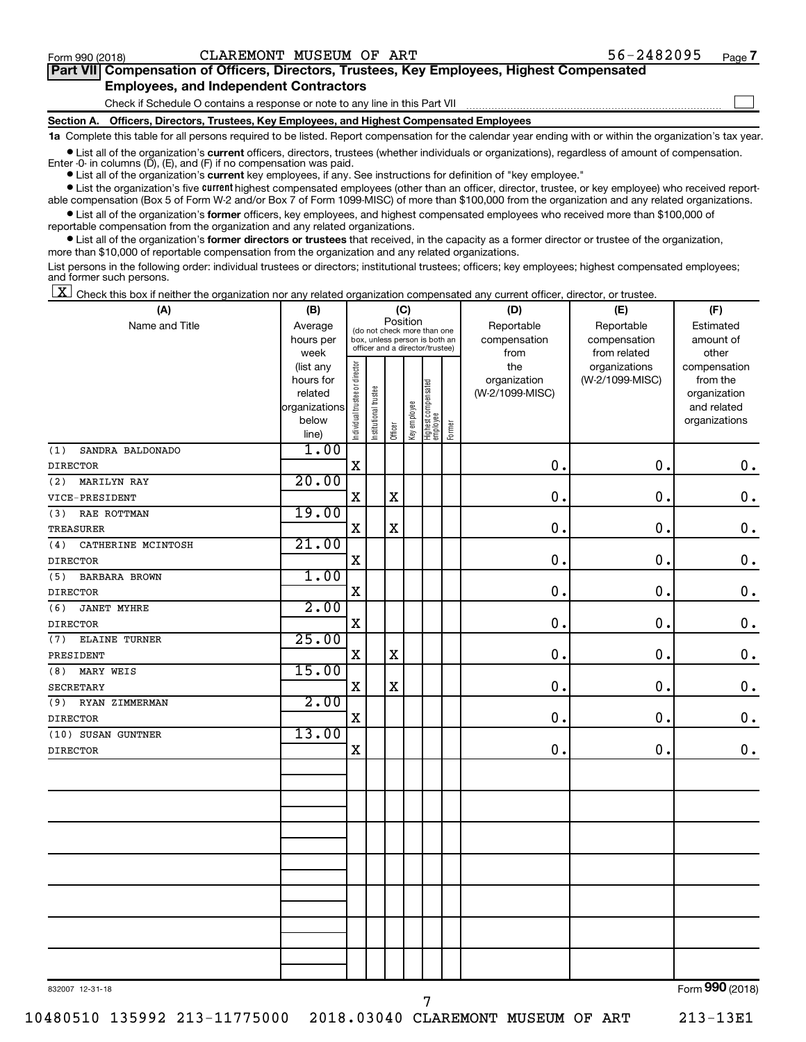$\Box$ 

| Part VII Compensation of Officers, Directors, Trustees, Key Employees, Highest Compensated |  |  |
|--------------------------------------------------------------------------------------------|--|--|
| <b>Employees, and Independent Contractors</b>                                              |  |  |

Check if Schedule O contains a response or note to any line in this Part VII

**Section A. Officers, Directors, Trustees, Key Employees, and Highest Compensated Employees**

**1a**  Complete this table for all persons required to be listed. Report compensation for the calendar year ending with or within the organization's tax year.

**•** List all of the organization's current officers, directors, trustees (whether individuals or organizations), regardless of amount of compensation.

**•** List all of the organization's **current** key employees, if any. See instructions for definition of "key employee." Enter -0- in columns  $(D)$ ,  $(E)$ , and  $(F)$  if no compensation was paid.

**•** List the organization's five current highest compensated employees (other than an officer, director, trustee, or key employee) who received reportable compensation (Box 5 of Form W-2 and/or Box 7 of Form 1099-MISC) of more than \$100,000 from the organization and any related organizations.

**•** List all of the organization's former officers, key employees, and highest compensated employees who received more than \$100,000 of reportable compensation from the organization and any related organizations.

**•** List all of the organization's former directors or trustees that received, in the capacity as a former director or trustee of the organization, more than \$10,000 of reportable compensation from the organization and any related organizations.

List persons in the following order: individual trustees or directors; institutional trustees; officers; key employees; highest compensated employees; and former such persons.

 $\boxed{\textbf{X}}$  Check this box if neither the organization nor any related organization compensated any current officer, director, or trustee.

| (A)                         | (B)           |                                |                                 |             | (C)          |                                 |        | (D)             | (E)             | (F)                         |
|-----------------------------|---------------|--------------------------------|---------------------------------|-------------|--------------|---------------------------------|--------|-----------------|-----------------|-----------------------------|
| Name and Title              | Average       |                                | (do not check more than one     |             | Position     |                                 |        | Reportable      | Reportable      | Estimated                   |
|                             | hours per     |                                | box, unless person is both an   |             |              |                                 |        | compensation    | compensation    | amount of                   |
|                             | week          |                                | officer and a director/trustee) |             |              |                                 |        | from            | from related    | other                       |
|                             | (list any     |                                |                                 |             |              |                                 |        | the             | organizations   | compensation                |
|                             | hours for     |                                |                                 |             |              |                                 |        | organization    | (W-2/1099-MISC) | from the                    |
|                             | related       |                                |                                 |             |              |                                 |        | (W-2/1099-MISC) |                 | organization                |
|                             | organizations |                                |                                 |             |              |                                 |        |                 |                 | and related                 |
|                             | below         | Individual trustee or director | Institutional trustee           |             | Key employee |                                 |        |                 |                 | organizations               |
|                             | line)         |                                |                                 | Officer     |              | Highest compensated<br>employee | Former |                 |                 |                             |
| SANDRA BALDONADO<br>(1)     | 1.00          |                                |                                 |             |              |                                 |        |                 |                 |                             |
| <b>DIRECTOR</b>             |               | X                              |                                 |             |              |                                 |        | $\mathbf 0$ .   | $\mathbf 0$ .   | $\mathbf 0$ .               |
| <b>MARILYN RAY</b><br>(2)   | 20.00         |                                |                                 |             |              |                                 |        |                 |                 |                             |
| VICE-PRESIDENT              |               | $\mathbf X$                    |                                 | $\mathbf X$ |              |                                 |        | $\mathbf 0$ .   | $\mathbf 0$ .   | $\mathbf 0$ .               |
| RAE ROTTMAN<br>(3)          | 19.00         |                                |                                 |             |              |                                 |        |                 |                 |                             |
| <b>TREASURER</b>            |               | X                              |                                 | $\mathbf X$ |              |                                 |        | 0.              | 0.              | $0$ .                       |
| CATHERINE MCINTOSH<br>(4)   | 21.00         |                                |                                 |             |              |                                 |        |                 |                 |                             |
| <b>DIRECTOR</b>             |               | $\mathbf X$                    |                                 |             |              |                                 |        | $0$ .           | 0.              | $\mathbf 0$ .               |
| (5)<br><b>BARBARA BROWN</b> | 1.00          |                                |                                 |             |              |                                 |        |                 |                 |                             |
| <b>DIRECTOR</b>             |               | $\mathbf X$                    |                                 |             |              |                                 |        | 0.              | 0.              | $\mathbf 0$ .               |
| (6)<br><b>JANET MYHRE</b>   | 2.00          |                                |                                 |             |              |                                 |        |                 |                 |                             |
| <b>DIRECTOR</b>             |               | $\mathbf x$                    |                                 |             |              |                                 |        | 0.              | 0.              | $\mathbf 0$ .               |
| (7)<br><b>ELAINE TURNER</b> | 25.00         |                                |                                 |             |              |                                 |        |                 |                 |                             |
| PRESIDENT                   |               | $\mathbf X$                    |                                 | $\mathbf X$ |              |                                 |        | $\mathbf 0$ .   | $\mathbf 0$ .   | $\mathbf 0$ .               |
| MARY WEIS<br>(8)            | 15.00         |                                |                                 |             |              |                                 |        |                 |                 |                             |
| SECRETARY                   |               | X                              |                                 | $\mathbf X$ |              |                                 |        | $\mathbf 0$ .   | 0.              | $\mathbf 0$ .               |
| (9)<br>RYAN ZIMMERMAN       | 2.00          |                                |                                 |             |              |                                 |        |                 |                 |                             |
| <b>DIRECTOR</b>             |               | $\mathbf x$                    |                                 |             |              |                                 |        | $\mathbf 0$ .   | 0.              | $0$ .                       |
| (10) SUSAN GUNTNER          | 13.00         |                                |                                 |             |              |                                 |        |                 |                 |                             |
| <b>DIRECTOR</b>             |               | $\mathbf X$                    |                                 |             |              |                                 |        | $\mathbf 0$ .   | 0.              | $\mathbf 0$ .               |
|                             |               |                                |                                 |             |              |                                 |        |                 |                 |                             |
|                             |               |                                |                                 |             |              |                                 |        |                 |                 |                             |
|                             |               |                                |                                 |             |              |                                 |        |                 |                 |                             |
|                             |               |                                |                                 |             |              |                                 |        |                 |                 |                             |
|                             |               |                                |                                 |             |              |                                 |        |                 |                 |                             |
|                             |               |                                |                                 |             |              |                                 |        |                 |                 |                             |
|                             |               |                                |                                 |             |              |                                 |        |                 |                 |                             |
|                             |               |                                |                                 |             |              |                                 |        |                 |                 |                             |
|                             |               |                                |                                 |             |              |                                 |        |                 |                 |                             |
|                             |               |                                |                                 |             |              |                                 |        |                 |                 |                             |
|                             |               |                                |                                 |             |              |                                 |        |                 |                 |                             |
|                             |               |                                |                                 |             |              |                                 |        |                 |                 |                             |
|                             |               |                                |                                 |             |              |                                 |        |                 |                 |                             |
| 020007, 10, 21, 10          |               |                                |                                 |             |              |                                 |        |                 |                 | $F_{\text{orm}}$ 990 (2018) |

7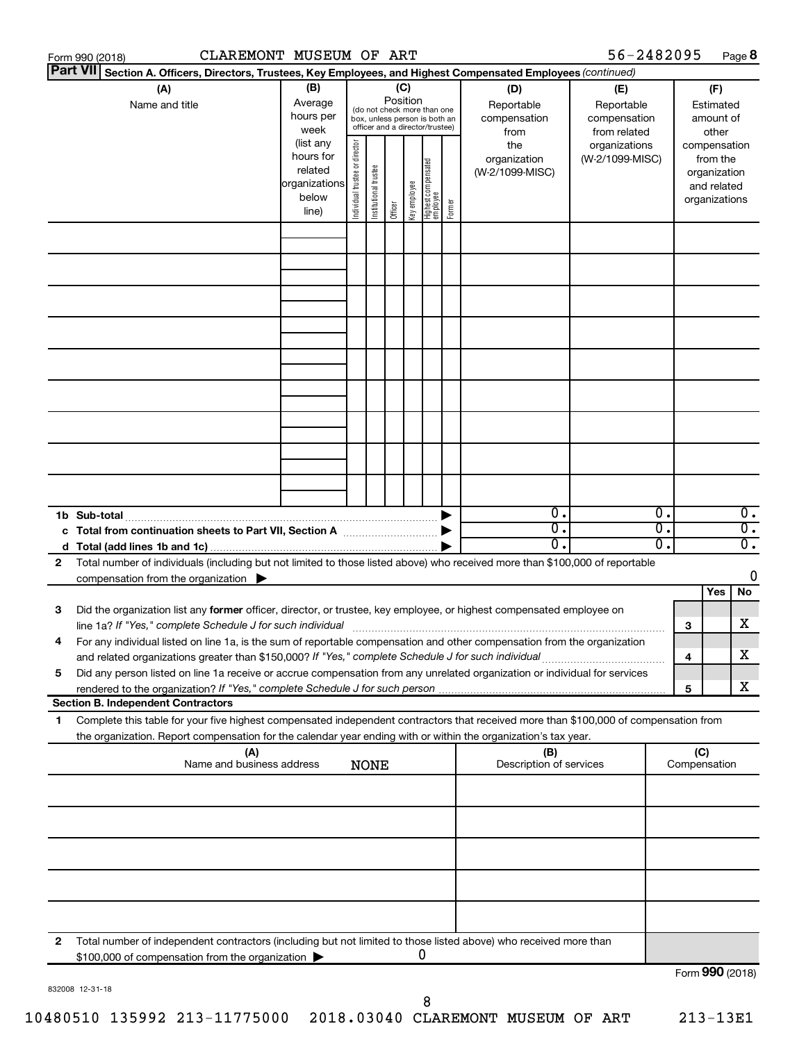|    | CLAREMONT MUSEUM OF ART<br>Form 990 (2018)                                                                                                                                                                                                             |                                                                      |                                |                       |                 |              |                                                                                                 |        |                                           | 56-2482095                                        |                                                                          |                 |                                        | Page 8                               |
|----|--------------------------------------------------------------------------------------------------------------------------------------------------------------------------------------------------------------------------------------------------------|----------------------------------------------------------------------|--------------------------------|-----------------------|-----------------|--------------|-------------------------------------------------------------------------------------------------|--------|-------------------------------------------|---------------------------------------------------|--------------------------------------------------------------------------|-----------------|----------------------------------------|--------------------------------------|
|    | <b>Part VII</b><br>Section A. Officers, Directors, Trustees, Key Employees, and Highest Compensated Employees (continued)                                                                                                                              |                                                                      |                                |                       |                 |              |                                                                                                 |        |                                           |                                                   |                                                                          |                 |                                        |                                      |
|    | (A)<br>Name and title                                                                                                                                                                                                                                  | (B)<br>Average<br>hours per<br>week                                  |                                |                       | (C)<br>Position |              | (do not check more than one<br>box, unless person is both an<br>officer and a director/trustee) |        | (D)<br>Reportable<br>compensation<br>from | (E)<br>Reportable<br>compensation<br>from related |                                                                          |                 | (F)<br>Estimated<br>amount of<br>other |                                      |
|    |                                                                                                                                                                                                                                                        | (list any<br>hours for<br>related<br>organizations<br>below<br>line) | Individual trustee or director | Institutional trustee | Officer         | Key employee | Highest compensated<br>  employee                                                               | Former | the<br>organization<br>(W-2/1099-MISC)    | organizations<br>(W-2/1099-MISC)                  | compensation<br>from the<br>organization<br>and related<br>organizations |                 |                                        |                                      |
|    |                                                                                                                                                                                                                                                        |                                                                      |                                |                       |                 |              |                                                                                                 |        |                                           |                                                   |                                                                          |                 |                                        |                                      |
|    |                                                                                                                                                                                                                                                        |                                                                      |                                |                       |                 |              |                                                                                                 |        |                                           |                                                   |                                                                          |                 |                                        |                                      |
|    |                                                                                                                                                                                                                                                        |                                                                      |                                |                       |                 |              |                                                                                                 |        |                                           |                                                   |                                                                          |                 |                                        |                                      |
|    |                                                                                                                                                                                                                                                        |                                                                      |                                |                       |                 |              |                                                                                                 |        |                                           |                                                   |                                                                          |                 |                                        |                                      |
|    |                                                                                                                                                                                                                                                        |                                                                      |                                |                       |                 |              |                                                                                                 |        |                                           |                                                   |                                                                          |                 |                                        |                                      |
|    |                                                                                                                                                                                                                                                        |                                                                      |                                |                       |                 |              |                                                                                                 |        |                                           |                                                   |                                                                          |                 |                                        |                                      |
|    |                                                                                                                                                                                                                                                        |                                                                      |                                |                       |                 |              |                                                                                                 |        |                                           |                                                   |                                                                          |                 |                                        |                                      |
|    | 1b Sub-total<br>c Total from continuation sheets to Part VII, Section A manufactured by                                                                                                                                                                |                                                                      |                                |                       |                 |              |                                                                                                 |        | $\mathbf{0}$ .<br>$\overline{0}$ .        |                                                   | 0.<br>σ.                                                                 |                 |                                        | $\overline{0}$ .<br>$\overline{0}$ . |
|    |                                                                                                                                                                                                                                                        |                                                                      |                                |                       |                 |              |                                                                                                 |        | $\overline{0}$ .                          |                                                   | О.                                                                       |                 |                                        | $\overline{0}$ .                     |
| 2  | Total number of individuals (including but not limited to those listed above) who received more than \$100,000 of reportable                                                                                                                           |                                                                      |                                |                       |                 |              |                                                                                                 |        |                                           |                                                   |                                                                          |                 |                                        |                                      |
|    | compensation from the organization $\blacktriangleright$                                                                                                                                                                                               |                                                                      |                                |                       |                 |              |                                                                                                 |        |                                           |                                                   |                                                                          |                 | Yes                                    | 0<br>No                              |
| 3  | Did the organization list any former officer, director, or trustee, key employee, or highest compensated employee on<br>line 1a? If "Yes," complete Schedule J for such individual manufactured content to the set of the set of the s                 |                                                                      |                                |                       |                 |              |                                                                                                 |        |                                           |                                                   |                                                                          | 3               |                                        | х                                    |
|    | For any individual listed on line 1a, is the sum of reportable compensation and other compensation from the organization<br>and related organizations greater than \$150,000? If "Yes," complete Schedule J for such individual                        |                                                                      |                                |                       |                 |              |                                                                                                 |        |                                           |                                                   |                                                                          | 4               |                                        | х                                    |
| 5  | Did any person listed on line 1a receive or accrue compensation from any unrelated organization or individual for services                                                                                                                             |                                                                      |                                |                       |                 |              |                                                                                                 |        |                                           |                                                   |                                                                          |                 |                                        | х                                    |
|    | <b>Section B. Independent Contractors</b>                                                                                                                                                                                                              |                                                                      |                                |                       |                 |              |                                                                                                 |        |                                           |                                                   |                                                                          | 5               |                                        |                                      |
| 1. | Complete this table for your five highest compensated independent contractors that received more than \$100,000 of compensation from<br>the organization. Report compensation for the calendar year ending with or within the organization's tax year. |                                                                      |                                |                       |                 |              |                                                                                                 |        |                                           |                                                   |                                                                          |                 |                                        |                                      |
|    | (A)                                                                                                                                                                                                                                                    |                                                                      |                                |                       |                 |              |                                                                                                 |        | (B)                                       |                                                   |                                                                          | (C)             |                                        |                                      |
|    | Name and business address                                                                                                                                                                                                                              |                                                                      |                                | <b>NONE</b>           |                 |              |                                                                                                 |        | Description of services                   |                                                   |                                                                          | Compensation    |                                        |                                      |
|    |                                                                                                                                                                                                                                                        |                                                                      |                                |                       |                 |              |                                                                                                 |        |                                           |                                                   |                                                                          |                 |                                        |                                      |
|    |                                                                                                                                                                                                                                                        |                                                                      |                                |                       |                 |              |                                                                                                 |        |                                           |                                                   |                                                                          |                 |                                        |                                      |
|    |                                                                                                                                                                                                                                                        |                                                                      |                                |                       |                 |              |                                                                                                 |        |                                           |                                                   |                                                                          |                 |                                        |                                      |
| 2  | Total number of independent contractors (including but not limited to those listed above) who received more than                                                                                                                                       |                                                                      |                                |                       |                 |              |                                                                                                 |        |                                           |                                                   |                                                                          |                 |                                        |                                      |
|    | \$100,000 of compensation from the organization                                                                                                                                                                                                        |                                                                      |                                |                       |                 |              | 0                                                                                               |        |                                           |                                                   |                                                                          | Form 990 (2018) |                                        |                                      |

832008 12-31-18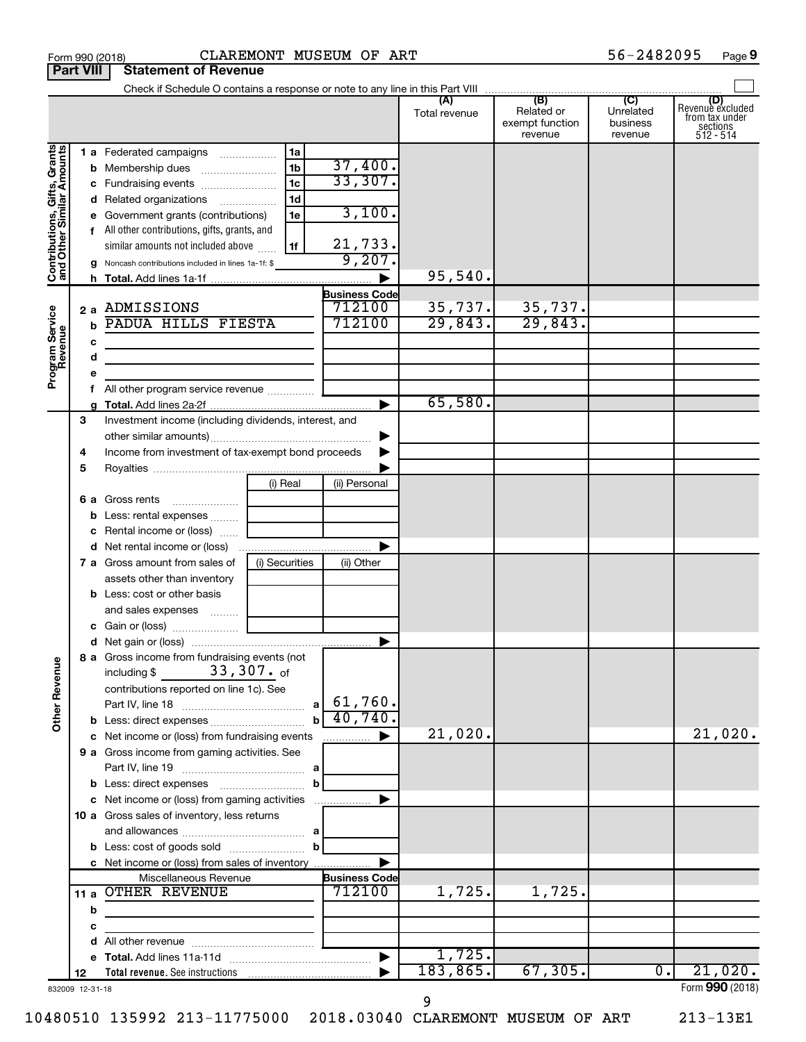|                                                           |                  |   | Form 990 (2018)                                                                                                        |                | CLAREMONT MUSEUM OF ART |               |                                          | 56-2482095                       | Page 9                                                      |
|-----------------------------------------------------------|------------------|---|------------------------------------------------------------------------------------------------------------------------|----------------|-------------------------|---------------|------------------------------------------|----------------------------------|-------------------------------------------------------------|
|                                                           | <b>Part VIII</b> |   | <b>Statement of Revenue</b>                                                                                            |                |                         |               |                                          |                                  |                                                             |
|                                                           |                  |   |                                                                                                                        |                |                         |               |                                          |                                  |                                                             |
|                                                           |                  |   |                                                                                                                        |                |                         | Total revenue | Related or<br>exempt function<br>revenue | Unrelated<br>business<br>revenue | Revenue excluded<br>trom tax under<br>sections<br>512 - 514 |
|                                                           |                  |   | 1 a Federated campaigns                                                                                                | 1a             |                         |               |                                          |                                  |                                                             |
| Contributions, Gifts, Grants<br>and Other Similar Amounts |                  |   |                                                                                                                        | 1 <sub>b</sub> | 37,400.                 |               |                                          |                                  |                                                             |
|                                                           |                  |   | c Fundraising events                                                                                                   | 1 <sub>c</sub> | 33,307.                 |               |                                          |                                  |                                                             |
|                                                           |                  |   | d Related organizations                                                                                                | 1 <sub>d</sub> |                         |               |                                          |                                  |                                                             |
|                                                           |                  |   | e Government grants (contributions)                                                                                    | 1e             | 3,100.                  |               |                                          |                                  |                                                             |
|                                                           |                  |   | f All other contributions, gifts, grants, and                                                                          |                |                         |               |                                          |                                  |                                                             |
|                                                           |                  |   | similar amounts not included above                                                                                     | 1f             | $\frac{21,733}{9,207}$  |               |                                          |                                  |                                                             |
|                                                           |                  |   | g Noncash contributions included in lines 1a-1f: \$                                                                    |                |                         |               |                                          |                                  |                                                             |
|                                                           |                  |   |                                                                                                                        |                |                         | 95,540.       |                                          |                                  |                                                             |
|                                                           |                  |   |                                                                                                                        |                | <b>Business Code</b>    |               |                                          |                                  |                                                             |
|                                                           |                  |   | 2 a ADMISSIONS                                                                                                         |                | 712100                  | 35,737.       | 35,737.                                  |                                  |                                                             |
| Program Service<br>Revenue                                |                  |   | PADUA HILLS FIESTA                                                                                                     |                | 712100                  | 29,843.       | 29,843.                                  |                                  |                                                             |
|                                                           |                  | с | the control of the control of the control of the control of the control of                                             |                |                         |               |                                          |                                  |                                                             |
|                                                           |                  | d | <u> 1989 - Johann Stein, marwolaethau a bhann an t-Albann an t-Albann an t-Albann an t-Albann an t-Albann an t-Alb</u> |                |                         |               |                                          |                                  |                                                             |
|                                                           |                  | е |                                                                                                                        |                |                         |               |                                          |                                  |                                                             |
|                                                           |                  |   | All other program service revenue                                                                                      |                |                         |               |                                          |                                  |                                                             |
|                                                           |                  |   |                                                                                                                        |                |                         | 65,580.       |                                          |                                  |                                                             |
|                                                           | 3                |   | Investment income (including dividends, interest, and                                                                  |                |                         |               |                                          |                                  |                                                             |
|                                                           |                  |   |                                                                                                                        |                | ▶                       |               |                                          |                                  |                                                             |
|                                                           | 4                |   | Income from investment of tax-exempt bond proceeds                                                                     |                |                         |               |                                          |                                  |                                                             |
|                                                           | 5                |   |                                                                                                                        |                |                         |               |                                          |                                  |                                                             |
|                                                           |                  |   |                                                                                                                        | (i) Real       | (ii) Personal           |               |                                          |                                  |                                                             |
|                                                           |                  |   | 6 a Gross rents                                                                                                        |                |                         |               |                                          |                                  |                                                             |
|                                                           |                  |   | <b>b</b> Less: rental expenses                                                                                         |                |                         |               |                                          |                                  |                                                             |
|                                                           |                  |   | c Rental income or (loss)                                                                                              |                |                         |               |                                          |                                  |                                                             |
|                                                           |                  |   | <b>7 a</b> Gross amount from sales of                                                                                  | (i) Securities | (ii) Other              |               |                                          |                                  |                                                             |
|                                                           |                  |   | assets other than inventory                                                                                            |                |                         |               |                                          |                                  |                                                             |
|                                                           |                  |   | <b>b</b> Less: cost or other basis                                                                                     |                |                         |               |                                          |                                  |                                                             |
|                                                           |                  |   | and sales expenses                                                                                                     |                |                         |               |                                          |                                  |                                                             |
|                                                           |                  |   |                                                                                                                        |                |                         |               |                                          |                                  |                                                             |
|                                                           |                  |   |                                                                                                                        |                |                         |               |                                          |                                  |                                                             |
|                                                           |                  |   | 8 a Gross income from fundraising events (not<br>$33$ , $307$ . of                                                     |                |                         |               |                                          |                                  |                                                             |
| <b>Other Revenue</b>                                      |                  |   | including \$<br>contributions reported on line 1c). See                                                                |                |                         |               |                                          |                                  |                                                             |
|                                                           |                  |   |                                                                                                                        |                |                         |               |                                          |                                  |                                                             |
|                                                           |                  |   |                                                                                                                        | b              | 40,740.                 |               |                                          |                                  |                                                             |
|                                                           |                  |   | c Net income or (loss) from fundraising events                                                                         |                | ▶                       | 21,020.       |                                          |                                  | 21,020.                                                     |
|                                                           |                  |   | 9 a Gross income from gaming activities. See                                                                           |                |                         |               |                                          |                                  |                                                             |
|                                                           |                  |   |                                                                                                                        |                |                         |               |                                          |                                  |                                                             |
|                                                           |                  |   |                                                                                                                        | $\mathbf b$    |                         |               |                                          |                                  |                                                             |
|                                                           |                  |   | c Net income or (loss) from gaming activities                                                                          |                | ▶                       |               |                                          |                                  |                                                             |
|                                                           |                  |   | 10 a Gross sales of inventory, less returns                                                                            |                |                         |               |                                          |                                  |                                                             |
|                                                           |                  |   |                                                                                                                        |                |                         |               |                                          |                                  |                                                             |
|                                                           |                  |   |                                                                                                                        | $\mathbf b$    |                         |               |                                          |                                  |                                                             |
|                                                           |                  |   | c Net income or (loss) from sales of inventory                                                                         |                |                         |               |                                          |                                  |                                                             |
|                                                           |                  |   | Miscellaneous Revenue                                                                                                  |                | <b>Business Code</b>    |               |                                          |                                  |                                                             |
|                                                           |                  |   | 11 a OTHER REVENUE                                                                                                     |                | 712100                  | 1,725.        | 1,725.                                   |                                  |                                                             |
|                                                           |                  | b |                                                                                                                        |                |                         |               |                                          |                                  |                                                             |
|                                                           |                  | с |                                                                                                                        |                |                         |               |                                          |                                  |                                                             |
|                                                           |                  | d |                                                                                                                        |                |                         |               |                                          |                                  |                                                             |
|                                                           |                  |   |                                                                                                                        |                | ▶                       | 1,725.        |                                          |                                  |                                                             |
|                                                           | 12               |   |                                                                                                                        |                |                         | 183,865.      | 67, 305.                                 | $\overline{0}$ .                 | 21,020.                                                     |
| 832009 12-31-18                                           |                  |   |                                                                                                                        |                |                         |               |                                          |                                  | Form 990 (2018)                                             |

9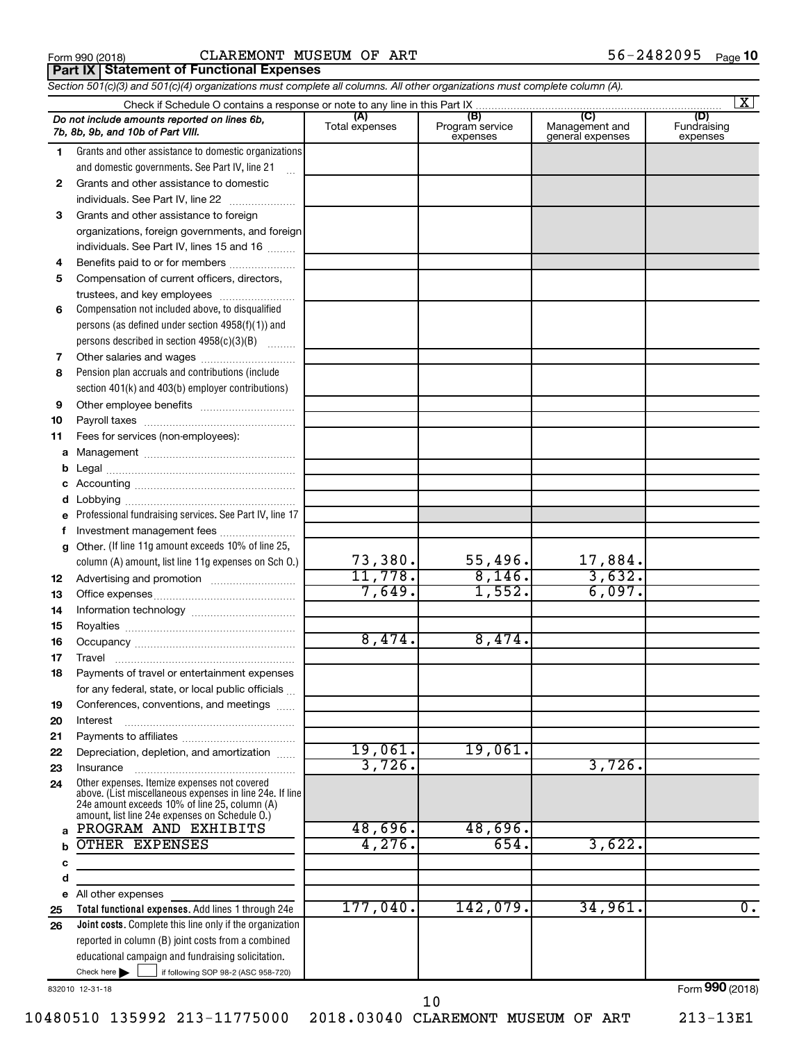| Form 990 (2018 |  |  |
|----------------|--|--|
|----------------|--|--|

**Part IX | Statement of Functional Expenses** 

*Section 501(c)(3) and 501(c)(4) organizations must complete all columns. All other organizations must complete column (A).*

|              |                                                                                                                                                           |                       |                                    |                                           | $\mathbf{X}$                   |
|--------------|-----------------------------------------------------------------------------------------------------------------------------------------------------------|-----------------------|------------------------------------|-------------------------------------------|--------------------------------|
|              | Do not include amounts reported on lines 6b,<br>7b, 8b, 9b, and 10b of Part VIII.                                                                         | (A)<br>Total expenses | (B)<br>Program service<br>expenses | (C)<br>Management and<br>general expenses | (D)<br>Fundraising<br>expenses |
| 1            | Grants and other assistance to domestic organizations                                                                                                     |                       |                                    |                                           |                                |
|              | and domestic governments. See Part IV, line 21                                                                                                            |                       |                                    |                                           |                                |
| $\mathbf{2}$ | Grants and other assistance to domestic                                                                                                                   |                       |                                    |                                           |                                |
|              | individuals. See Part IV, line 22                                                                                                                         |                       |                                    |                                           |                                |
| 3            | Grants and other assistance to foreign                                                                                                                    |                       |                                    |                                           |                                |
|              | organizations, foreign governments, and foreign                                                                                                           |                       |                                    |                                           |                                |
|              | individuals. See Part IV, lines 15 and 16                                                                                                                 |                       |                                    |                                           |                                |
| 4            | Benefits paid to or for members                                                                                                                           |                       |                                    |                                           |                                |
| 5            | Compensation of current officers, directors,                                                                                                              |                       |                                    |                                           |                                |
|              | trustees, and key employees                                                                                                                               |                       |                                    |                                           |                                |
| 6            | Compensation not included above, to disqualified                                                                                                          |                       |                                    |                                           |                                |
|              | persons (as defined under section $4958(f)(1)$ ) and                                                                                                      |                       |                                    |                                           |                                |
|              | persons described in section 4958(c)(3)(B)                                                                                                                |                       |                                    |                                           |                                |
| 7            |                                                                                                                                                           |                       |                                    |                                           |                                |
| 8            | Pension plan accruals and contributions (include                                                                                                          |                       |                                    |                                           |                                |
|              | section 401(k) and 403(b) employer contributions)                                                                                                         |                       |                                    |                                           |                                |
| 9            |                                                                                                                                                           |                       |                                    |                                           |                                |
| 10           |                                                                                                                                                           |                       |                                    |                                           |                                |
| 11           | Fees for services (non-employees):                                                                                                                        |                       |                                    |                                           |                                |
| a            |                                                                                                                                                           |                       |                                    |                                           |                                |
| b            |                                                                                                                                                           |                       |                                    |                                           |                                |
| c            |                                                                                                                                                           |                       |                                    |                                           |                                |
| d            |                                                                                                                                                           |                       |                                    |                                           |                                |
| e            | Professional fundraising services. See Part IV, line 17                                                                                                   |                       |                                    |                                           |                                |
| f            | Investment management fees                                                                                                                                |                       |                                    |                                           |                                |
| g            | Other. (If line 11g amount exceeds 10% of line 25,                                                                                                        |                       |                                    |                                           |                                |
|              | column (A) amount, list line 11g expenses on Sch O.)                                                                                                      | 73,380.               | 55,496.                            | 17,884.                                   |                                |
| 12           |                                                                                                                                                           | 11,778.               | 8,146.                             | 3,632.                                    |                                |
| 13           |                                                                                                                                                           | 7,649.                | 1,552.                             | 6,097.                                    |                                |
| 14           |                                                                                                                                                           |                       |                                    |                                           |                                |
| 15           |                                                                                                                                                           |                       |                                    |                                           |                                |
| 16           |                                                                                                                                                           | 8,474.                | 8,474.                             |                                           |                                |
| 17           | Travel                                                                                                                                                    |                       |                                    |                                           |                                |
| 18           | Payments of travel or entertainment expenses                                                                                                              |                       |                                    |                                           |                                |
|              | for any federal, state, or local public officials                                                                                                         |                       |                                    |                                           |                                |
| 19           | Conferences, conventions, and meetings                                                                                                                    |                       |                                    |                                           |                                |
| 20           | Interest                                                                                                                                                  |                       |                                    |                                           |                                |
| 21           |                                                                                                                                                           |                       |                                    |                                           |                                |
| 22           | Depreciation, depletion, and amortization                                                                                                                 | 19,061.<br>3,726.     | 19,061.                            | 3,726.                                    |                                |
| 23           | Insurance                                                                                                                                                 |                       |                                    |                                           |                                |
| 24           | Other expenses. Itemize expenses not covered<br>above. (List miscellaneous expenses in line 24e. If line<br>24e amount exceeds 10% of line 25, column (A) |                       |                                    |                                           |                                |
|              | amount, list line 24e expenses on Schedule O.)                                                                                                            |                       |                                    |                                           |                                |
| a            | PROGRAM AND EXHIBITS                                                                                                                                      | 48,696.               | 48,696.                            |                                           |                                |
| $\mathbf b$  | OTHER EXPENSES                                                                                                                                            | 4,276.                | 654.                               | 3,622.                                    |                                |
| c            |                                                                                                                                                           |                       |                                    |                                           |                                |
| d            |                                                                                                                                                           |                       |                                    |                                           |                                |
| е            | All other expenses                                                                                                                                        |                       |                                    |                                           |                                |
| 25           | Total functional expenses. Add lines 1 through 24e                                                                                                        | 177,040.              | 142,079.                           | 34,961.                                   | $\overline{0}$ .               |
| 26           | Joint costs. Complete this line only if the organization                                                                                                  |                       |                                    |                                           |                                |
|              | reported in column (B) joint costs from a combined                                                                                                        |                       |                                    |                                           |                                |
|              | educational campaign and fundraising solicitation.                                                                                                        |                       |                                    |                                           |                                |
|              | Check here       if following SOP 98-2 (ASC 958-720)                                                                                                      |                       |                                    |                                           |                                |

832010 12-31-18

Form (2018) **990**

10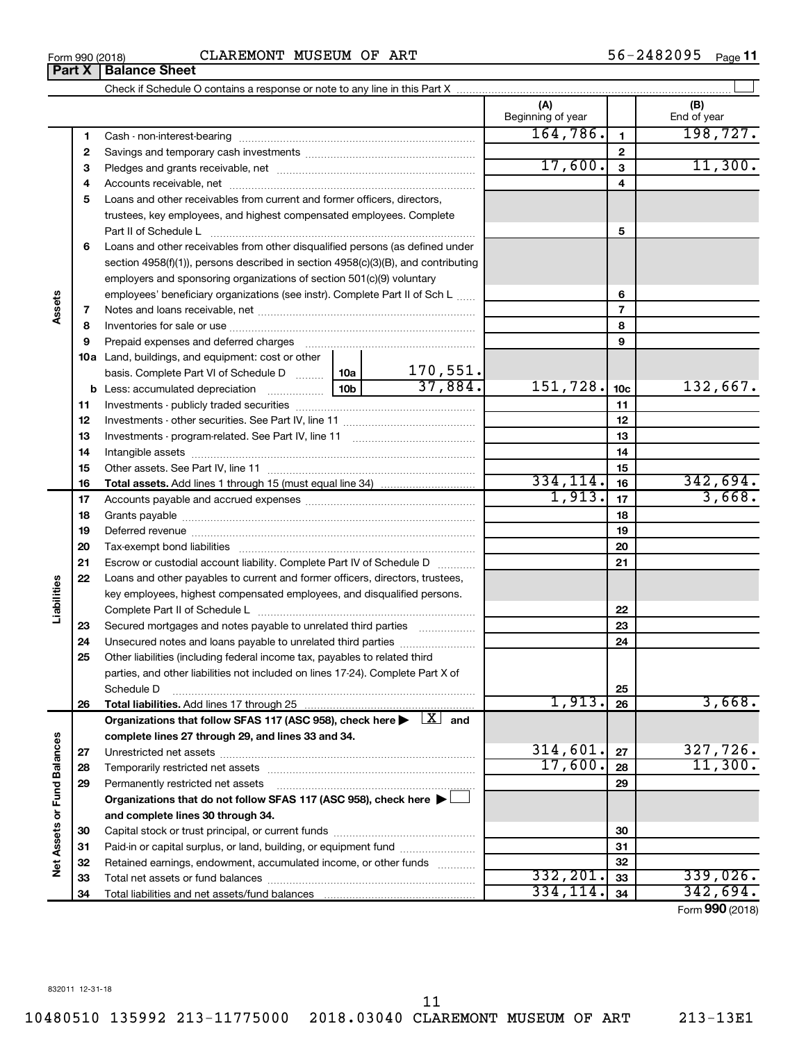|                             |    |                                                                                                                                                                                                                                | (A)<br>Beginning of year |                | (B)<br>End of year |
|-----------------------------|----|--------------------------------------------------------------------------------------------------------------------------------------------------------------------------------------------------------------------------------|--------------------------|----------------|--------------------|
|                             | 1  |                                                                                                                                                                                                                                | 164,786.                 | 1              | 198, 727.          |
|                             | 2  |                                                                                                                                                                                                                                |                          | 2              |                    |
|                             | з  |                                                                                                                                                                                                                                | 17,600.                  | 3              | 11,300.            |
|                             | 4  |                                                                                                                                                                                                                                |                          | 4              |                    |
|                             | 5  | Loans and other receivables from current and former officers, directors,                                                                                                                                                       |                          |                |                    |
|                             |    | trustees, key employees, and highest compensated employees. Complete                                                                                                                                                           |                          |                |                    |
|                             |    | Part II of Schedule L                                                                                                                                                                                                          |                          | 5              |                    |
|                             | 6  | Loans and other receivables from other disqualified persons (as defined under                                                                                                                                                  |                          |                |                    |
|                             |    | section 4958(f)(1)), persons described in section 4958(c)(3)(B), and contributing                                                                                                                                              |                          |                |                    |
|                             |    | employers and sponsoring organizations of section 501(c)(9) voluntary                                                                                                                                                          |                          |                |                    |
|                             |    | employees' beneficiary organizations (see instr). Complete Part II of Sch L                                                                                                                                                    |                          | 6              |                    |
| Assets                      | 7  |                                                                                                                                                                                                                                |                          | $\overline{7}$ |                    |
|                             | 8  |                                                                                                                                                                                                                                |                          | 8              |                    |
|                             | 9  | Prepaid expenses and deferred charges [11] [11] prepaid expenses and deferred charges [11] [11] minimum and the Prepaid expenses and deferred charges [11] minimum and the Prepaid experiment of Prepaid experiment and the Pr |                          | 9              |                    |
|                             |    | <b>10a</b> Land, buildings, and equipment: cost or other                                                                                                                                                                       |                          |                |                    |
|                             |    | $\frac{170,551}{37,884}$<br>basis. Complete Part VI of Schedule D  10a                                                                                                                                                         |                          |                |                    |
|                             |    | 10 <sub>b</sub>                                                                                                                                                                                                                | 151,728.                 | 10c            | 132,667.           |
|                             | 11 |                                                                                                                                                                                                                                |                          | 11             |                    |
|                             | 12 |                                                                                                                                                                                                                                |                          | 12             |                    |
|                             | 13 |                                                                                                                                                                                                                                |                          | 13             |                    |
|                             | 14 |                                                                                                                                                                                                                                |                          | 14             |                    |
|                             | 15 |                                                                                                                                                                                                                                |                          | 15             |                    |
|                             | 16 |                                                                                                                                                                                                                                | 334, 114.                | 16             | 342,694.           |
|                             | 17 |                                                                                                                                                                                                                                | 1,913.                   | 17             | 3,668.             |
|                             | 18 |                                                                                                                                                                                                                                |                          | 18             |                    |
|                             | 19 |                                                                                                                                                                                                                                |                          | 19             |                    |
|                             | 20 |                                                                                                                                                                                                                                |                          | 20             |                    |
|                             | 21 | Escrow or custodial account liability. Complete Part IV of Schedule D                                                                                                                                                          |                          | 21             |                    |
|                             | 22 | Loans and other payables to current and former officers, directors, trustees,                                                                                                                                                  |                          |                |                    |
|                             |    | key employees, highest compensated employees, and disqualified persons.                                                                                                                                                        |                          |                |                    |
| Liabilities                 |    |                                                                                                                                                                                                                                |                          | 22             |                    |
|                             | 23 | Secured mortgages and notes payable to unrelated third parties                                                                                                                                                                 |                          | 23             |                    |
|                             | 24 | Unsecured notes and loans payable to unrelated third parties                                                                                                                                                                   |                          | 24             |                    |
|                             | 25 | Other liabilities (including federal income tax, payables to related third                                                                                                                                                     |                          |                |                    |
|                             |    | parties, and other liabilities not included on lines 17-24). Complete Part X of                                                                                                                                                |                          |                |                    |
|                             |    | Schedule D                                                                                                                                                                                                                     |                          | 25             |                    |
|                             | 26 | Total liabilities. Add lines 17 through 25                                                                                                                                                                                     | 1,913.                   | 26             | 3,668.             |
|                             |    | Organizations that follow SFAS 117 (ASC 958), check here $\blacktriangleright \begin{array}{c} \boxed{X} \end{array}$ and                                                                                                      |                          |                |                    |
|                             |    | complete lines 27 through 29, and lines 33 and 34.                                                                                                                                                                             |                          |                |                    |
|                             | 27 |                                                                                                                                                                                                                                | 314,601.                 | 27             | 327,726.           |
|                             | 28 |                                                                                                                                                                                                                                | 17,600.                  | 28             | 11,300.            |
|                             | 29 | Permanently restricted net assets                                                                                                                                                                                              |                          | 29             |                    |
| Net Assets or Fund Balances |    | Organizations that do not follow SFAS 117 (ASC 958), check here ▶                                                                                                                                                              |                          |                |                    |
|                             |    | and complete lines 30 through 34.                                                                                                                                                                                              |                          |                |                    |
|                             | 30 |                                                                                                                                                                                                                                |                          | 30             |                    |
|                             | 31 | Paid-in or capital surplus, or land, building, or equipment fund                                                                                                                                                               |                          | 31             |                    |
|                             | 32 | Retained earnings, endowment, accumulated income, or other funds                                                                                                                                                               |                          | 32             |                    |
|                             | 33 |                                                                                                                                                                                                                                | 332, 201.                | 33             | 339,026.           |
|                             | 34 |                                                                                                                                                                                                                                | 334,114.                 | 34             | 342,694.           |

Form (2018) **990**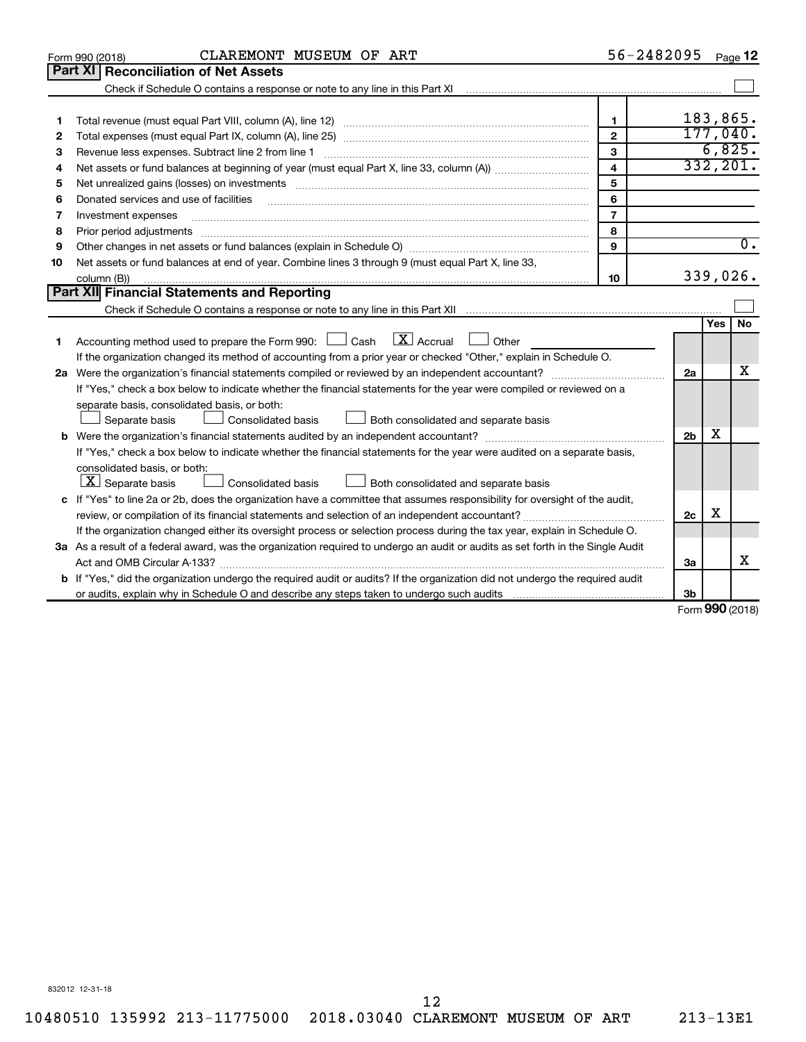|    | CLAREMONT MUSEUM OF ART<br>Form 990 (2018)                                                                                                                                                                                                                                                                                                                                                                                                                               |                         | 56-2482095     |           | Page 12          |
|----|--------------------------------------------------------------------------------------------------------------------------------------------------------------------------------------------------------------------------------------------------------------------------------------------------------------------------------------------------------------------------------------------------------------------------------------------------------------------------|-------------------------|----------------|-----------|------------------|
|    | Part XI   Reconciliation of Net Assets                                                                                                                                                                                                                                                                                                                                                                                                                                   |                         |                |           |                  |
|    |                                                                                                                                                                                                                                                                                                                                                                                                                                                                          |                         |                |           |                  |
|    |                                                                                                                                                                                                                                                                                                                                                                                                                                                                          |                         |                |           |                  |
| 1  |                                                                                                                                                                                                                                                                                                                                                                                                                                                                          | 1                       |                |           | 183,865.         |
| 2  |                                                                                                                                                                                                                                                                                                                                                                                                                                                                          | $\overline{2}$          |                |           | 177,040.         |
| З  | Revenue less expenses. Subtract line 2 from line 1                                                                                                                                                                                                                                                                                                                                                                                                                       | 3                       |                |           | 6,825.           |
| 4  |                                                                                                                                                                                                                                                                                                                                                                                                                                                                          | $\overline{\mathbf{4}}$ |                |           | 332, 201.        |
| 5  | Net unrealized gains (losses) on investments [11] matter than the control of the state of the state of the state of the state of the state of the state of the state of the state of the state of the state of the state of th                                                                                                                                                                                                                                           | 5                       |                |           |                  |
| 6  | Donated services and use of facilities                                                                                                                                                                                                                                                                                                                                                                                                                                   | 6                       |                |           |                  |
| 7  | Investment expenses                                                                                                                                                                                                                                                                                                                                                                                                                                                      | $\overline{7}$          |                |           |                  |
| 8  | Prior period adjustments<br>$\begin{minipage}{0.5\textwidth} \begin{tabular}{ l l l } \hline \multicolumn{1}{ l l l } \hline \multicolumn{1}{ l l } \hline \multicolumn{1}{ l } \multicolumn{1}{ l } \hline \multicolumn{1}{ l } \multicolumn{1}{ l } \multicolumn{1}{ l } \multicolumn{1}{ l } \hline \multicolumn{1}{ l } \multicolumn{1}{ l } \multicolumn{1}{ l } \multicolumn{1}{ l } \hline \multicolumn{1}{ l } \multicolumn{1}{ l } \multicolumn{1}{ l } \hline$ | 8                       |                |           |                  |
| 9  |                                                                                                                                                                                                                                                                                                                                                                                                                                                                          | 9                       |                |           | $\overline{0}$ . |
| 10 | Net assets or fund balances at end of year. Combine lines 3 through 9 (must equal Part X, line 33,                                                                                                                                                                                                                                                                                                                                                                       |                         |                |           |                  |
|    | column (B))                                                                                                                                                                                                                                                                                                                                                                                                                                                              | 10                      |                |           | 339,026.         |
|    | Part XII Financial Statements and Reporting                                                                                                                                                                                                                                                                                                                                                                                                                              |                         |                |           |                  |
|    |                                                                                                                                                                                                                                                                                                                                                                                                                                                                          |                         |                |           |                  |
|    |                                                                                                                                                                                                                                                                                                                                                                                                                                                                          |                         |                | Yes       | No               |
| 1  | Accounting method used to prepare the Form 990: $\Box$ Cash $X$ Accrual<br>$\Box$ Other                                                                                                                                                                                                                                                                                                                                                                                  |                         |                |           |                  |
|    | If the organization changed its method of accounting from a prior year or checked "Other," explain in Schedule O.                                                                                                                                                                                                                                                                                                                                                        |                         |                |           |                  |
|    |                                                                                                                                                                                                                                                                                                                                                                                                                                                                          |                         | 2a             |           | х                |
|    | If "Yes," check a box below to indicate whether the financial statements for the year were compiled or reviewed on a                                                                                                                                                                                                                                                                                                                                                     |                         |                |           |                  |
|    | separate basis, consolidated basis, or both:                                                                                                                                                                                                                                                                                                                                                                                                                             |                         |                |           |                  |
|    | Both consolidated and separate basis<br>Separate basis<br>Consolidated basis                                                                                                                                                                                                                                                                                                                                                                                             |                         |                |           |                  |
|    |                                                                                                                                                                                                                                                                                                                                                                                                                                                                          |                         | 2 <sub>b</sub> | x         |                  |
|    | If "Yes," check a box below to indicate whether the financial statements for the year were audited on a separate basis,                                                                                                                                                                                                                                                                                                                                                  |                         |                |           |                  |
|    | consolidated basis, or both:                                                                                                                                                                                                                                                                                                                                                                                                                                             |                         |                |           |                  |
|    | $ \mathbf{X} $ Separate basis<br><b>Consolidated basis</b><br>Both consolidated and separate basis                                                                                                                                                                                                                                                                                                                                                                       |                         |                |           |                  |
|    | c If "Yes" to line 2a or 2b, does the organization have a committee that assumes responsibility for oversight of the audit,                                                                                                                                                                                                                                                                                                                                              |                         |                |           |                  |
|    |                                                                                                                                                                                                                                                                                                                                                                                                                                                                          |                         | 2c             | X         |                  |
|    | If the organization changed either its oversight process or selection process during the tax year, explain in Schedule O.                                                                                                                                                                                                                                                                                                                                                |                         |                |           |                  |
|    | 3a As a result of a federal award, was the organization required to undergo an audit or audits as set forth in the Single Audit                                                                                                                                                                                                                                                                                                                                          |                         |                |           |                  |
|    |                                                                                                                                                                                                                                                                                                                                                                                                                                                                          |                         | 3a             |           | x                |
|    | <b>b</b> If "Yes," did the organization undergo the required audit or audits? If the organization did not undergo the required audit                                                                                                                                                                                                                                                                                                                                     |                         |                |           |                  |
|    |                                                                                                                                                                                                                                                                                                                                                                                                                                                                          |                         | 3b             | $000 - 1$ |                  |

Form (2018) **990**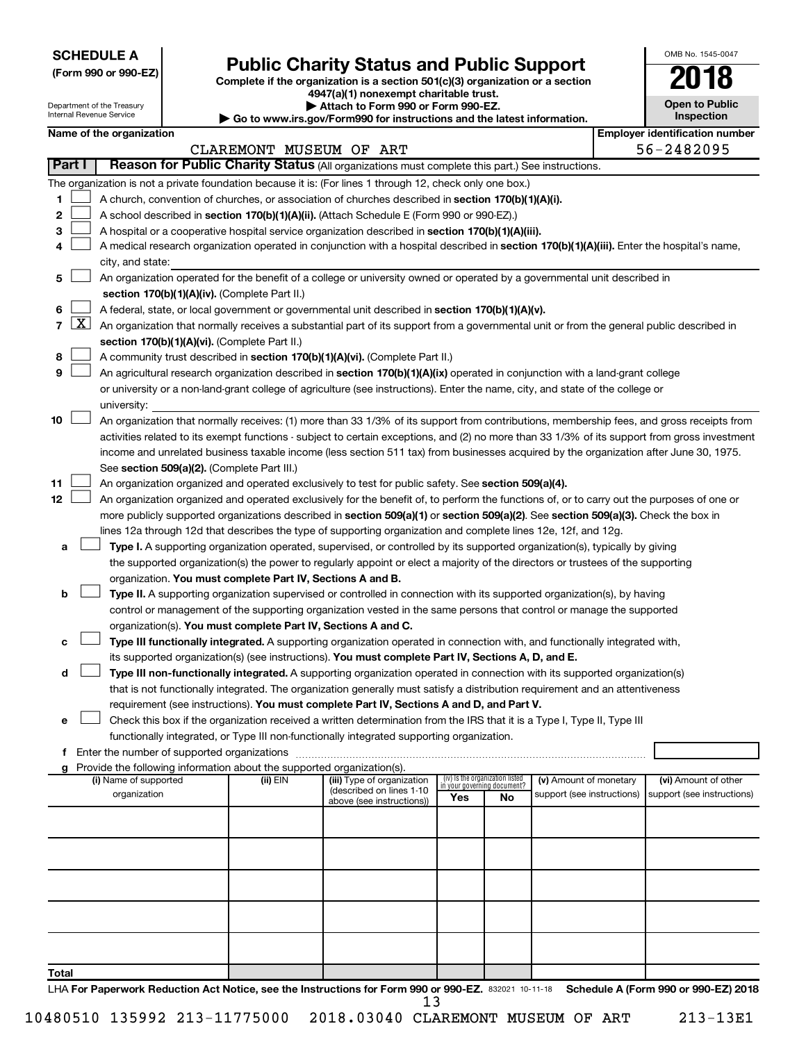| <b>SCHEDULE A</b> |  |
|-------------------|--|
|-------------------|--|

| (Form 990 or 990-EZ) |  |  |
|----------------------|--|--|
|----------------------|--|--|

Department of the Treasury Internal Revenue Service

**Total**

## Form 990 or 990-EZ)<br>
Complete if the organization is a section 501(c)(3) organization or a section<br> **Public Charity Status and Public Support**

**4947(a)(1) nonexempt charitable trust.**

**| Attach to Form 990 or Form 990-EZ.** 

**| Go to www.irs.gov/Form990 for instructions and the latest information.**

| OMB No. 1545-0047                   |
|-------------------------------------|
| U                                   |
| <b>Open to Public</b><br>Inspection |
|                                     |

|              | Name of the organization                                                                                                                                                                                                                                                                                                                                                                                                                                                                                   | CLAREMONT MUSEUM OF ART |                                                                                     |                                                                       |    |                                                      | <b>Employer identification number</b><br>56-2482095 |
|--------------|------------------------------------------------------------------------------------------------------------------------------------------------------------------------------------------------------------------------------------------------------------------------------------------------------------------------------------------------------------------------------------------------------------------------------------------------------------------------------------------------------------|-------------------------|-------------------------------------------------------------------------------------|-----------------------------------------------------------------------|----|------------------------------------------------------|-----------------------------------------------------|
| Part I       | Reason for Public Charity Status (All organizations must complete this part.) See instructions.                                                                                                                                                                                                                                                                                                                                                                                                            |                         |                                                                                     |                                                                       |    |                                                      |                                                     |
| 1.<br>2<br>з | The organization is not a private foundation because it is: (For lines 1 through 12, check only one box.)<br>A church, convention of churches, or association of churches described in section 170(b)(1)(A)(i).<br>A school described in section 170(b)(1)(A)(ii). (Attach Schedule E (Form 990 or 990-EZ).)<br>A hospital or a cooperative hospital service organization described in section 170(b)(1)(A)(iii).                                                                                          |                         |                                                                                     |                                                                       |    |                                                      |                                                     |
| 4            | A medical research organization operated in conjunction with a hospital described in section 170(b)(1)(A)(iii). Enter the hospital's name,<br>city, and state:                                                                                                                                                                                                                                                                                                                                             |                         |                                                                                     |                                                                       |    |                                                      |                                                     |
| 5.           | An organization operated for the benefit of a college or university owned or operated by a governmental unit described in<br>section 170(b)(1)(A)(iv). (Complete Part II.)                                                                                                                                                                                                                                                                                                                                 |                         |                                                                                     |                                                                       |    |                                                      |                                                     |
| 6.           | A federal, state, or local government or governmental unit described in section 170(b)(1)(A)(v).<br>7 $ X $ An organization that normally receives a substantial part of its support from a governmental unit or from the general public described in<br>section 170(b)(1)(A)(vi). (Complete Part II.)                                                                                                                                                                                                     |                         |                                                                                     |                                                                       |    |                                                      |                                                     |
| 8<br>9       | A community trust described in section 170(b)(1)(A)(vi). (Complete Part II.)<br>An agricultural research organization described in section 170(b)(1)(A)(ix) operated in conjunction with a land-grant college<br>or university or a non-land-grant college of agriculture (see instructions). Enter the name, city, and state of the college or<br>university:                                                                                                                                             |                         |                                                                                     |                                                                       |    |                                                      |                                                     |
| 10           | An organization that normally receives: (1) more than 33 1/3% of its support from contributions, membership fees, and gross receipts from<br>activities related to its exempt functions - subject to certain exceptions, and (2) no more than 33 1/3% of its support from gross investment<br>income and unrelated business taxable income (less section 511 tax) from businesses acquired by the organization after June 30, 1975.<br>See section 509(a)(2). (Complete Part III.)                         |                         |                                                                                     |                                                                       |    |                                                      |                                                     |
| 11<br>12     | An organization organized and operated exclusively to test for public safety. See section 509(a)(4).<br>An organization organized and operated exclusively for the benefit of, to perform the functions of, or to carry out the purposes of one or<br>more publicly supported organizations described in section 509(a)(1) or section 509(a)(2). See section 509(a)(3). Check the box in<br>lines 12a through 12d that describes the type of supporting organization and complete lines 12e, 12f, and 12g. |                         |                                                                                     |                                                                       |    |                                                      |                                                     |
| а            | Type I. A supporting organization operated, supervised, or controlled by its supported organization(s), typically by giving<br>the supported organization(s) the power to regularly appoint or elect a majority of the directors or trustees of the supporting<br>organization. You must complete Part IV, Sections A and B.                                                                                                                                                                               |                         |                                                                                     |                                                                       |    |                                                      |                                                     |
| b            | Type II. A supporting organization supervised or controlled in connection with its supported organization(s), by having<br>control or management of the supporting organization vested in the same persons that control or manage the supported<br>organization(s). You must complete Part IV, Sections A and C.                                                                                                                                                                                           |                         |                                                                                     |                                                                       |    |                                                      |                                                     |
| с<br>d       | Type III functionally integrated. A supporting organization operated in connection with, and functionally integrated with,<br>its supported organization(s) (see instructions). You must complete Part IV, Sections A, D, and E.<br>Type III non-functionally integrated. A supporting organization operated in connection with its supported organization(s)                                                                                                                                              |                         |                                                                                     |                                                                       |    |                                                      |                                                     |
|              | that is not functionally integrated. The organization generally must satisfy a distribution requirement and an attentiveness<br>requirement (see instructions). You must complete Part IV, Sections A and D, and Part V.<br>Check this box if the organization received a written determination from the IRS that it is a Type I, Type II, Type III                                                                                                                                                        |                         |                                                                                     |                                                                       |    |                                                      |                                                     |
|              | functionally integrated, or Type III non-functionally integrated supporting organization.<br>f Enter the number of supported organizations                                                                                                                                                                                                                                                                                                                                                                 |                         |                                                                                     |                                                                       |    |                                                      |                                                     |
|              | g Provide the following information about the supported organization(s).                                                                                                                                                                                                                                                                                                                                                                                                                                   |                         |                                                                                     |                                                                       |    |                                                      |                                                     |
|              | (i) Name of supported<br>organization                                                                                                                                                                                                                                                                                                                                                                                                                                                                      | (ii) EIN                | (iii) Type of organization<br>(described on lines 1-10<br>above (see instructions)) | (iv) Is the organization listed<br>in your governing document?<br>Yes | No | (v) Amount of monetary<br>support (see instructions) | (vi) Amount of other<br>support (see instructions)  |
|              |                                                                                                                                                                                                                                                                                                                                                                                                                                                                                                            |                         |                                                                                     |                                                                       |    |                                                      |                                                     |
|              |                                                                                                                                                                                                                                                                                                                                                                                                                                                                                                            |                         |                                                                                     |                                                                       |    |                                                      |                                                     |
|              |                                                                                                                                                                                                                                                                                                                                                                                                                                                                                                            |                         |                                                                                     |                                                                       |    |                                                      |                                                     |
|              |                                                                                                                                                                                                                                                                                                                                                                                                                                                                                                            |                         |                                                                                     |                                                                       |    |                                                      |                                                     |

LHA For Paperwork Reduction Act Notice, see the Instructions for Form 990 or 990-EZ. 832021 10-11-18 Schedule A (Form 990 or 990-EZ) 2018 13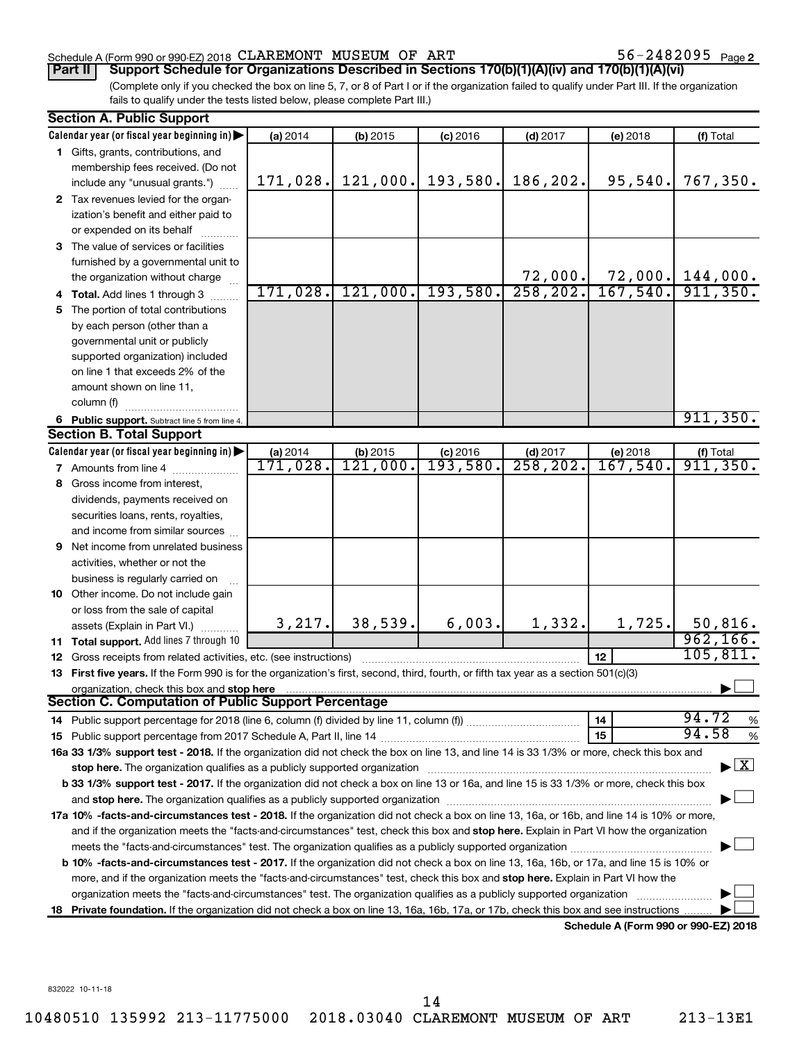### Schedule A (Form 990 or 990-EZ) 2018  $CLAREMONT$   $MUSEUM$  OF  $ART$   $56-2482095$   $Page$

56-2482095 Page 2

(Complete only if you checked the box on line 5, 7, or 8 of Part I or if the organization failed to qualify under Part III. If the organization fails to qualify under the tests listed below, please complete Part III.) **Part II Support Schedule for Organizations Described in Sections 170(b)(1)(A)(iv) and 170(b)(1)(A)(vi)**

|    | <b>Section A. Public Support</b>                                                                                                                                                                                               |                           |                           |                       |            |                           |                                    |
|----|--------------------------------------------------------------------------------------------------------------------------------------------------------------------------------------------------------------------------------|---------------------------|---------------------------|-----------------------|------------|---------------------------|------------------------------------|
|    | Calendar year (or fiscal year beginning in)                                                                                                                                                                                    | (a) 2014                  | (b) 2015                  | $(c)$ 2016            | $(d)$ 2017 | (e) 2018                  | (f) Total                          |
|    | 1 Gifts, grants, contributions, and                                                                                                                                                                                            |                           |                           |                       |            |                           |                                    |
|    | membership fees received. (Do not                                                                                                                                                                                              |                           |                           |                       |            |                           |                                    |
|    | include any "unusual grants.")                                                                                                                                                                                                 | 171,028.                  | 121,000.                  | 193,580.              | 186,202.   | 95,540.                   | 767,350.                           |
|    | 2 Tax revenues levied for the organ-                                                                                                                                                                                           |                           |                           |                       |            |                           |                                    |
|    | ization's benefit and either paid to                                                                                                                                                                                           |                           |                           |                       |            |                           |                                    |
|    | or expended on its behalf                                                                                                                                                                                                      |                           |                           |                       |            |                           |                                    |
|    | 3 The value of services or facilities                                                                                                                                                                                          |                           |                           |                       |            |                           |                                    |
|    | furnished by a governmental unit to                                                                                                                                                                                            |                           |                           |                       |            |                           |                                    |
|    | the organization without charge                                                                                                                                                                                                |                           |                           |                       | 72,000.    |                           | $72,000.$ 144,000.                 |
|    | 4 Total. Add lines 1 through 3                                                                                                                                                                                                 | 171,028.                  | 121,000.                  | 193,580.              | 258, 202.  | 167,540.                  | 911,350.                           |
| 5  | The portion of total contributions                                                                                                                                                                                             |                           |                           |                       |            |                           |                                    |
|    | by each person (other than a                                                                                                                                                                                                   |                           |                           |                       |            |                           |                                    |
|    | governmental unit or publicly                                                                                                                                                                                                  |                           |                           |                       |            |                           |                                    |
|    | supported organization) included                                                                                                                                                                                               |                           |                           |                       |            |                           |                                    |
|    | on line 1 that exceeds 2% of the                                                                                                                                                                                               |                           |                           |                       |            |                           |                                    |
|    | amount shown on line 11,                                                                                                                                                                                                       |                           |                           |                       |            |                           |                                    |
|    | column (f)                                                                                                                                                                                                                     |                           |                           |                       |            |                           |                                    |
|    | 6 Public support. Subtract line 5 from line 4.                                                                                                                                                                                 |                           |                           |                       |            |                           | 911, 350.                          |
|    | <b>Section B. Total Support</b>                                                                                                                                                                                                |                           |                           |                       |            |                           |                                    |
|    | Calendar year (or fiscal year beginning in)                                                                                                                                                                                    | (a) $2014$<br>$171,028$ . | (b) $2015$<br>$121,000$ . | $\frac{c}{193,580}$ . | $(d)$ 2017 | (e) $2018$<br>$167,540$ . | $($ f) Total 911, 350.             |
|    | 7 Amounts from line 4                                                                                                                                                                                                          |                           |                           |                       | 258, 202.  |                           |                                    |
| 8. | Gross income from interest,                                                                                                                                                                                                    |                           |                           |                       |            |                           |                                    |
|    | dividends, payments received on                                                                                                                                                                                                |                           |                           |                       |            |                           |                                    |
|    | securities loans, rents, royalties,                                                                                                                                                                                            |                           |                           |                       |            |                           |                                    |
|    | and income from similar sources                                                                                                                                                                                                |                           |                           |                       |            |                           |                                    |
| 9  | Net income from unrelated business                                                                                                                                                                                             |                           |                           |                       |            |                           |                                    |
|    | activities, whether or not the                                                                                                                                                                                                 |                           |                           |                       |            |                           |                                    |
|    | business is regularly carried on                                                                                                                                                                                               |                           |                           |                       |            |                           |                                    |
|    | 10 Other income. Do not include gain                                                                                                                                                                                           |                           |                           |                       |            |                           |                                    |
|    | or loss from the sale of capital                                                                                                                                                                                               |                           |                           |                       |            |                           |                                    |
|    | assets (Explain in Part VI.)                                                                                                                                                                                                   | 3, 217.                   | 38,539.                   | 6,003.                | 1,332.     | 1,725.                    | 50,816.                            |
|    | 11 Total support. Add lines 7 through 10                                                                                                                                                                                       |                           |                           |                       |            |                           | 962, 166.                          |
|    | 12 Gross receipts from related activities, etc. (see instructions)                                                                                                                                                             |                           |                           |                       |            | 12                        | 105, 811.                          |
|    | 13 First five years. If the Form 990 is for the organization's first, second, third, fourth, or fifth tax year as a section 501(c)(3)                                                                                          |                           |                           |                       |            |                           |                                    |
|    | organization, check this box and stop here                                                                                                                                                                                     |                           |                           |                       |            |                           |                                    |
|    | Section C. Computation of Public Support Percentage                                                                                                                                                                            |                           |                           |                       |            |                           |                                    |
|    |                                                                                                                                                                                                                                |                           |                           |                       |            | 14                        | 94.72<br>%                         |
|    |                                                                                                                                                                                                                                |                           |                           |                       |            | 15                        | 94.58<br>%                         |
|    | 16a 33 1/3% support test - 2018. If the organization did not check the box on line 13, and line 14 is 33 1/3% or more, check this box and                                                                                      |                           |                           |                       |            |                           |                                    |
|    | stop here. The organization qualifies as a publicly supported organization manufaction manufacture content and the organization manufacture of the organization of the organization of the state of the state of the state of  |                           |                           |                       |            |                           | $\blacktriangleright$ $\mathbf{X}$ |
|    | <b>b 33 1/3% support test - 2017.</b> If the organization did not check a box on line 13 or 16a, and line 15 is 33 1/3% or more, check this box                                                                                |                           |                           |                       |            |                           |                                    |
|    | and stop here. The organization qualifies as a publicly supported organization [11] manuscription manuscription manuscription manuscription manuscription manuscription and starting and starting and starting and starting an |                           |                           |                       |            |                           |                                    |
|    | 17a 10% -facts-and-circumstances test - 2018. If the organization did not check a box on line 13, 16a, or 16b, and line 14 is 10% or more,                                                                                     |                           |                           |                       |            |                           |                                    |
|    | and if the organization meets the "facts-and-circumstances" test, check this box and stop here. Explain in Part VI how the organization                                                                                        |                           |                           |                       |            |                           |                                    |
|    |                                                                                                                                                                                                                                |                           |                           |                       |            |                           |                                    |
|    | b 10% -facts-and-circumstances test - 2017. If the organization did not check a box on line 13, 16a, 16b, or 17a, and line 15 is 10% or                                                                                        |                           |                           |                       |            |                           |                                    |
|    | more, and if the organization meets the "facts-and-circumstances" test, check this box and stop here. Explain in Part VI how the                                                                                               |                           |                           |                       |            |                           |                                    |
|    | organization meets the "facts-and-circumstances" test. The organization qualifies as a publicly supported organization                                                                                                         |                           |                           |                       |            |                           |                                    |
| 18 | Private foundation. If the organization did not check a box on line 13, 16a, 16b, 17a, or 17b, check this box and see instructions                                                                                             |                           |                           |                       |            | $000 -$                   | 000.5200                           |

**Schedule A (Form 990 or 990-EZ) 2018**

832022 10-11-18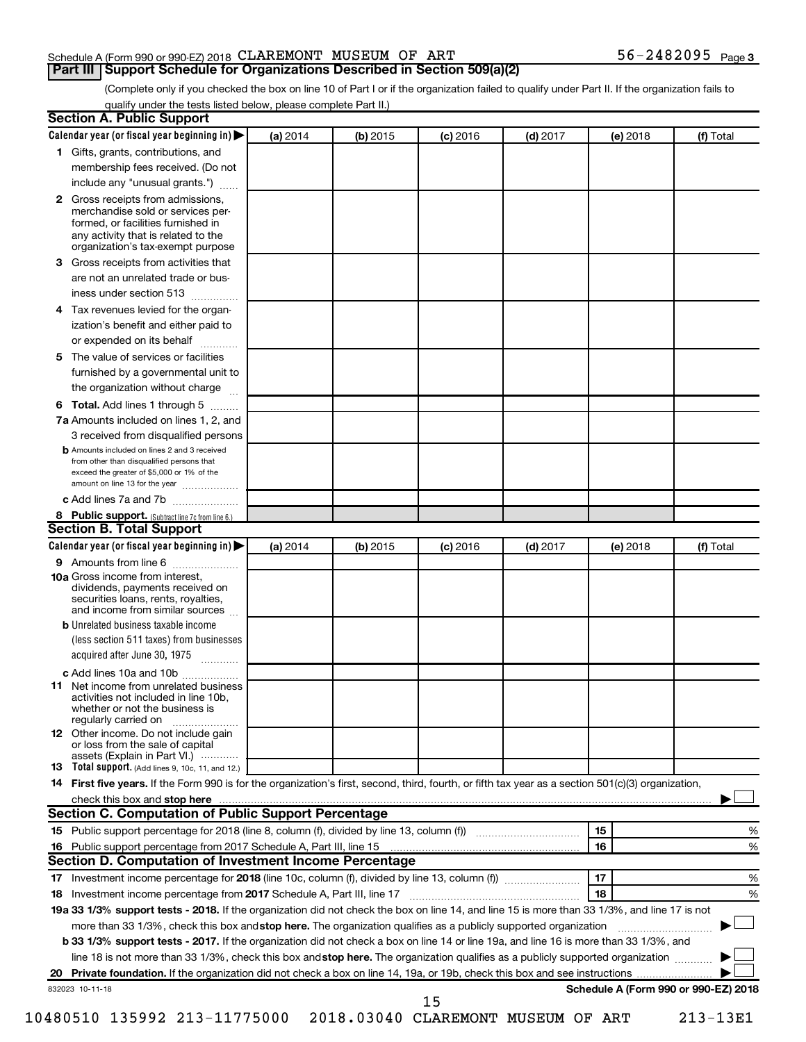### Schedule A (Form 990 or 990-EZ) 2018  $CLAREMONT$   $MUSEUM$  OF  $ART$   $56-2482095$   $Page$

**Part III Support Schedule for Organizations Described in Section 509(a)(2)** 

(Complete only if you checked the box on line 10 of Part I or if the organization failed to qualify under Part II. If the organization fails to qualify under the tests listed below, please complete Part II.)

| Calendar year (or fiscal year beginning in)                                                                                                                                                                                                                   | (a) 2014 | (b) 2015 | $(c)$ 2016 | $(d)$ 2017 |    | (e) 2018 | (f) Total                            |
|---------------------------------------------------------------------------------------------------------------------------------------------------------------------------------------------------------------------------------------------------------------|----------|----------|------------|------------|----|----------|--------------------------------------|
| 1 Gifts, grants, contributions, and                                                                                                                                                                                                                           |          |          |            |            |    |          |                                      |
| membership fees received. (Do not                                                                                                                                                                                                                             |          |          |            |            |    |          |                                      |
| include any "unusual grants.")                                                                                                                                                                                                                                |          |          |            |            |    |          |                                      |
| Gross receipts from admissions,<br>$\mathbf{2}$<br>merchandise sold or services per-<br>formed, or facilities furnished in<br>any activity that is related to the                                                                                             |          |          |            |            |    |          |                                      |
| organization's tax-exempt purpose                                                                                                                                                                                                                             |          |          |            |            |    |          |                                      |
| Gross receipts from activities that<br>3.                                                                                                                                                                                                                     |          |          |            |            |    |          |                                      |
| are not an unrelated trade or bus-<br>iness under section 513                                                                                                                                                                                                 |          |          |            |            |    |          |                                      |
| Tax revenues levied for the organ-<br>4                                                                                                                                                                                                                       |          |          |            |            |    |          |                                      |
| ization's benefit and either paid to<br>or expended on its behalf<br>.                                                                                                                                                                                        |          |          |            |            |    |          |                                      |
| The value of services or facilities<br>5                                                                                                                                                                                                                      |          |          |            |            |    |          |                                      |
| furnished by a governmental unit to<br>the organization without charge                                                                                                                                                                                        |          |          |            |            |    |          |                                      |
| Total. Add lines 1 through 5                                                                                                                                                                                                                                  |          |          |            |            |    |          |                                      |
| 6                                                                                                                                                                                                                                                             |          |          |            |            |    |          |                                      |
| 7a Amounts included on lines 1, 2, and                                                                                                                                                                                                                        |          |          |            |            |    |          |                                      |
| 3 received from disqualified persons<br><b>b</b> Amounts included on lines 2 and 3 received                                                                                                                                                                   |          |          |            |            |    |          |                                      |
| from other than disqualified persons that<br>exceed the greater of \$5,000 or 1% of the<br>amount on line 13 for the year                                                                                                                                     |          |          |            |            |    |          |                                      |
| c Add lines 7a and 7b                                                                                                                                                                                                                                         |          |          |            |            |    |          |                                      |
| 8 Public support. (Subtract line 7c from line 6.)                                                                                                                                                                                                             |          |          |            |            |    |          |                                      |
| <b>Section B. Total Support</b>                                                                                                                                                                                                                               |          |          |            |            |    |          |                                      |
| Calendar year (or fiscal year beginning in)                                                                                                                                                                                                                   | (a) 2014 | (b) 2015 | $(c)$ 2016 | $(d)$ 2017 |    | (e) 2018 | (f) Total                            |
| 9 Amounts from line 6                                                                                                                                                                                                                                         |          |          |            |            |    |          |                                      |
| <b>10a</b> Gross income from interest,<br>dividends, payments received on<br>securities loans, rents, royalties,<br>and income from similar sources                                                                                                           |          |          |            |            |    |          |                                      |
| <b>b</b> Unrelated business taxable income                                                                                                                                                                                                                    |          |          |            |            |    |          |                                      |
| (less section 511 taxes) from businesses<br>acquired after June 30, 1975                                                                                                                                                                                      |          |          |            |            |    |          |                                      |
| c Add lines 10a and 10b                                                                                                                                                                                                                                       |          |          |            |            |    |          |                                      |
| Net income from unrelated business<br>11<br>activities not included in line 10b.<br>whether or not the business is<br>regularly carried on                                                                                                                    |          |          |            |            |    |          |                                      |
| <b>12</b> Other income. Do not include gain<br>or loss from the sale of capital                                                                                                                                                                               |          |          |            |            |    |          |                                      |
| assets (Explain in Part VI.)<br>13 Total support. (Add lines 9, 10c, 11, and 12.)                                                                                                                                                                             |          |          |            |            |    |          |                                      |
| 14 First five years. If the Form 990 is for the organization's first, second, third, fourth, or fifth tax year as a section 501(c)(3) organization,                                                                                                           |          |          |            |            |    |          |                                      |
| check this box and stop here <b>manufacture and contract the state of the state of state and stop here</b> manufacture                                                                                                                                        |          |          |            |            |    |          |                                      |
|                                                                                                                                                                                                                                                               |          |          |            |            |    |          |                                      |
|                                                                                                                                                                                                                                                               |          |          |            |            |    |          | %                                    |
|                                                                                                                                                                                                                                                               |          |          |            |            |    |          |                                      |
|                                                                                                                                                                                                                                                               |          |          |            |            | 15 |          |                                      |
|                                                                                                                                                                                                                                                               |          |          |            |            | 16 |          | %                                    |
|                                                                                                                                                                                                                                                               |          |          |            |            |    |          |                                      |
|                                                                                                                                                                                                                                                               |          |          |            |            | 17 |          | %                                    |
|                                                                                                                                                                                                                                                               |          |          |            |            | 18 |          | %                                    |
|                                                                                                                                                                                                                                                               |          |          |            |            |    |          |                                      |
| more than 33 1/3%, check this box and stop here. The organization qualifies as a publicly supported organization                                                                                                                                              |          |          |            |            |    |          |                                      |
| b 33 1/3% support tests - 2017. If the organization did not check a box on line 14 or line 19a, and line 16 is more than 33 1/3%, and                                                                                                                         |          |          |            |            |    |          |                                      |
| line 18 is not more than 33 1/3%, check this box and stop here. The organization qualifies as a publicly supported organization                                                                                                                               |          |          |            |            |    |          |                                      |
| Section C. Computation of Public Support Percentage<br>Section D. Computation of Investment Income Percentage<br>19a 33 1/3% support tests - 2018. If the organization did not check the box on line 14, and line 15 is more than 33 1/3%, and line 17 is not |          |          |            |            |    |          |                                      |
| 832023 10-11-18                                                                                                                                                                                                                                               |          |          | 15         |            |    |          | Schedule A (Form 990 or 990-EZ) 2018 |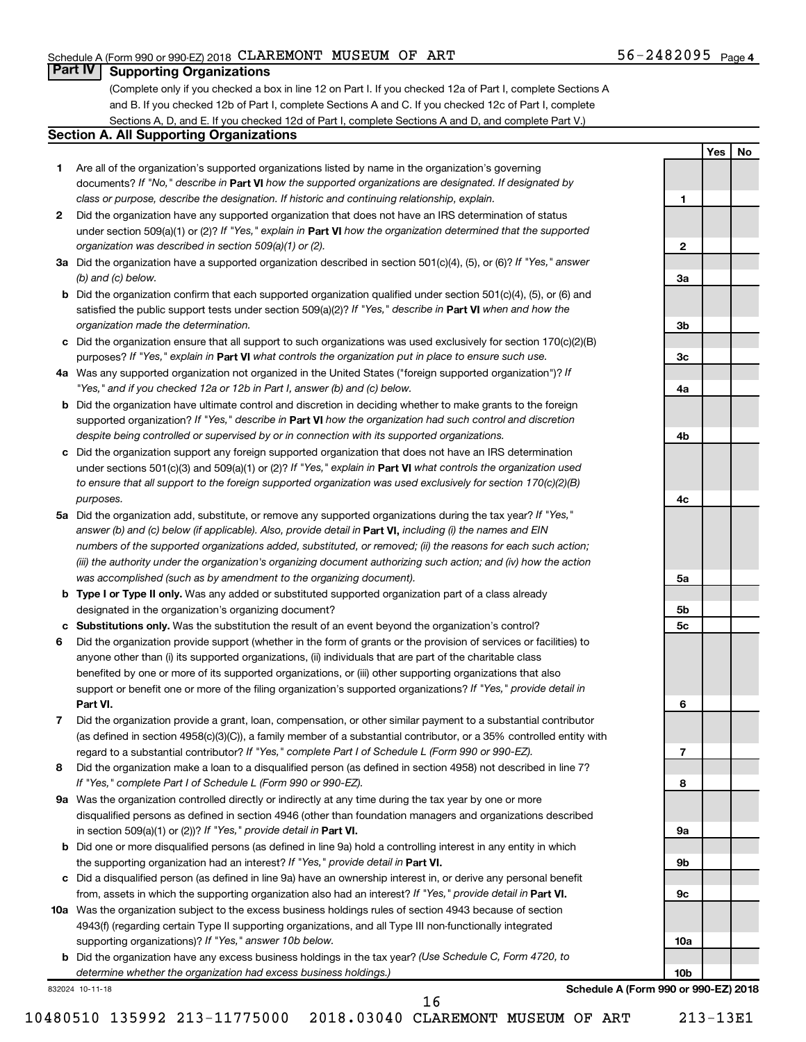**1**

**2**

**3a**

**3b**

**3c**

**4a**

**4b**

**4c**

**5a**

**5b 5c**

**6**

**7**

**8**

**9a**

**9b**

**9c**

**10a**

**10b**

**Yes No**

### **Part IV Supporting Organizations**

(Complete only if you checked a box in line 12 on Part I. If you checked 12a of Part I, complete Sections A and B. If you checked 12b of Part I, complete Sections A and C. If you checked 12c of Part I, complete Sections A, D, and E. If you checked 12d of Part I, complete Sections A and D, and complete Part V.)

### **Section A. All Supporting Organizations**

- **1** Are all of the organization's supported organizations listed by name in the organization's governing documents? If "No," describe in Part VI how the supported organizations are designated. If designated by *class or purpose, describe the designation. If historic and continuing relationship, explain.*
- **2** Did the organization have any supported organization that does not have an IRS determination of status under section 509(a)(1) or (2)? If "Yes," explain in Part **VI** how the organization determined that the supported *organization was described in section 509(a)(1) or (2).*
- **3a** Did the organization have a supported organization described in section 501(c)(4), (5), or (6)? If "Yes," answer *(b) and (c) below.*
- **b** Did the organization confirm that each supported organization qualified under section 501(c)(4), (5), or (6) and satisfied the public support tests under section 509(a)(2)? If "Yes," describe in Part VI when and how the *organization made the determination.*
- **c** Did the organization ensure that all support to such organizations was used exclusively for section 170(c)(2)(B) purposes? If "Yes," explain in Part VI what controls the organization put in place to ensure such use.
- **4 a** *If* Was any supported organization not organized in the United States ("foreign supported organization")? *"Yes," and if you checked 12a or 12b in Part I, answer (b) and (c) below.*
- **b** Did the organization have ultimate control and discretion in deciding whether to make grants to the foreign supported organization? If "Yes," describe in Part VI how the organization had such control and discretion *despite being controlled or supervised by or in connection with its supported organizations.*
- **c** Did the organization support any foreign supported organization that does not have an IRS determination under sections 501(c)(3) and 509(a)(1) or (2)? If "Yes," explain in Part VI what controls the organization used *to ensure that all support to the foreign supported organization was used exclusively for section 170(c)(2)(B) purposes.*
- **5a** Did the organization add, substitute, or remove any supported organizations during the tax year? If "Yes," answer (b) and (c) below (if applicable). Also, provide detail in **Part VI,** including (i) the names and EIN *numbers of the supported organizations added, substituted, or removed; (ii) the reasons for each such action; (iii) the authority under the organization's organizing document authorizing such action; and (iv) how the action was accomplished (such as by amendment to the organizing document).*
- **b** Type I or Type II only. Was any added or substituted supported organization part of a class already designated in the organization's organizing document?
- **c Substitutions only.**  Was the substitution the result of an event beyond the organization's control?
- **6** Did the organization provide support (whether in the form of grants or the provision of services or facilities) to **Part VI.** support or benefit one or more of the filing organization's supported organizations? If "Yes," provide detail in anyone other than (i) its supported organizations, (ii) individuals that are part of the charitable class benefited by one or more of its supported organizations, or (iii) other supporting organizations that also
- **7** Did the organization provide a grant, loan, compensation, or other similar payment to a substantial contributor regard to a substantial contributor? If "Yes," complete Part I of Schedule L (Form 990 or 990-EZ). (as defined in section 4958(c)(3)(C)), a family member of a substantial contributor, or a 35% controlled entity with
- **8** Did the organization make a loan to a disqualified person (as defined in section 4958) not described in line 7? *If "Yes," complete Part I of Schedule L (Form 990 or 990-EZ).*
- **9 a** Was the organization controlled directly or indirectly at any time during the tax year by one or more in section 509(a)(1) or (2))? If "Yes," provide detail in **Part VI.** disqualified persons as defined in section 4946 (other than foundation managers and organizations described
- **b** Did one or more disqualified persons (as defined in line 9a) hold a controlling interest in any entity in which the supporting organization had an interest? If "Yes," provide detail in Part VI.
- **c** Did a disqualified person (as defined in line 9a) have an ownership interest in, or derive any personal benefit from, assets in which the supporting organization also had an interest? If "Yes," provide detail in Part VI.
- **10 a** Was the organization subject to the excess business holdings rules of section 4943 because of section supporting organizations)? If "Yes," answer 10b below. 4943(f) (regarding certain Type II supporting organizations, and all Type III non-functionally integrated
	- **b** Did the organization have any excess business holdings in the tax year? (Use Schedule C, Form 4720, to *determine whether the organization had excess business holdings.)*

832024 10-11-18

**Schedule A (Form 990 or 990-EZ) 2018**

10480510 135992 213-11775000 2018.03040 CLAREMONT MUSEUM OF ART 213-13E1

16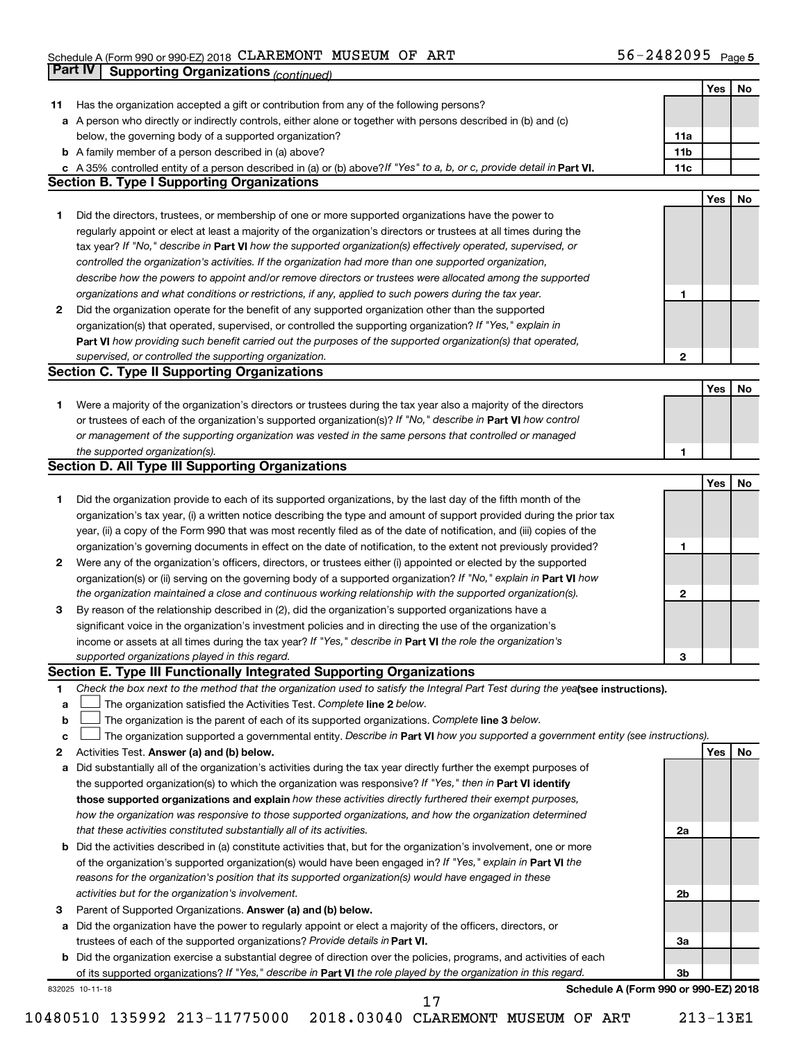### Schedule A (Form 990 or 990-EZ) 2018 CLAREMON'L' MUSEUM OF ART' 5 b = Z 4 8 Z U 9 5 Page CLAREMONT MUSEUM OF ART 56-2482095

|    | <b>Part IV</b>  | <b>Supporting Organizations (continued)</b>                                                                                     |                 |     |    |
|----|-----------------|---------------------------------------------------------------------------------------------------------------------------------|-----------------|-----|----|
|    |                 |                                                                                                                                 |                 | Yes | No |
| 11 |                 | Has the organization accepted a gift or contribution from any of the following persons?                                         |                 |     |    |
| а  |                 | A person who directly or indirectly controls, either alone or together with persons described in (b) and (c)                    |                 |     |    |
|    |                 | below, the governing body of a supported organization?                                                                          | 11a             |     |    |
|    |                 | <b>b</b> A family member of a person described in (a) above?                                                                    | 11 <sub>b</sub> |     |    |
|    |                 | c A 35% controlled entity of a person described in (a) or (b) above? If "Yes" to a, b, or c, provide detail in Part VI.         | 11c             |     |    |
|    |                 | <b>Section B. Type I Supporting Organizations</b>                                                                               |                 |     |    |
|    |                 |                                                                                                                                 |                 | Yes | No |
| 1. |                 | Did the directors, trustees, or membership of one or more supported organizations have the power to                             |                 |     |    |
|    |                 |                                                                                                                                 |                 |     |    |
|    |                 | regularly appoint or elect at least a majority of the organization's directors or trustees at all times during the              |                 |     |    |
|    |                 | tax year? If "No," describe in Part VI how the supported organization(s) effectively operated, supervised, or                   |                 |     |    |
|    |                 | controlled the organization's activities. If the organization had more than one supported organization,                         |                 |     |    |
|    |                 | describe how the powers to appoint and/or remove directors or trustees were allocated among the supported                       |                 |     |    |
|    |                 | organizations and what conditions or restrictions, if any, applied to such powers during the tax year.                          | 1               |     |    |
| 2  |                 | Did the organization operate for the benefit of any supported organization other than the supported                             |                 |     |    |
|    |                 | organization(s) that operated, supervised, or controlled the supporting organization? If "Yes," explain in                      |                 |     |    |
|    |                 | Part VI how providing such benefit carried out the purposes of the supported organization(s) that operated,                     |                 |     |    |
|    |                 | supervised, or controlled the supporting organization.                                                                          | 2               |     |    |
|    |                 | <b>Section C. Type II Supporting Organizations</b>                                                                              |                 |     |    |
|    |                 |                                                                                                                                 |                 | Yes | No |
| 1. |                 | Were a majority of the organization's directors or trustees during the tax year also a majority of the directors                |                 |     |    |
|    |                 | or trustees of each of the organization's supported organization(s)? If "No," describe in Part VI how control                   |                 |     |    |
|    |                 | or management of the supporting organization was vested in the same persons that controlled or managed                          |                 |     |    |
|    |                 | the supported organization(s).                                                                                                  | 1               |     |    |
|    |                 | <b>Section D. All Type III Supporting Organizations</b>                                                                         |                 |     |    |
|    |                 |                                                                                                                                 |                 | Yes | No |
| 1  |                 | Did the organization provide to each of its supported organizations, by the last day of the fifth month of the                  |                 |     |    |
|    |                 | organization's tax year, (i) a written notice describing the type and amount of support provided during the prior tax           |                 |     |    |
|    |                 | year, (ii) a copy of the Form 990 that was most recently filed as of the date of notification, and (iii) copies of the          |                 |     |    |
|    |                 | organization's governing documents in effect on the date of notification, to the extent not previously provided?                | 1               |     |    |
| 2  |                 | Were any of the organization's officers, directors, or trustees either (i) appointed or elected by the supported                |                 |     |    |
|    |                 | organization(s) or (ii) serving on the governing body of a supported organization? If "No," explain in Part VI how              |                 |     |    |
|    |                 | the organization maintained a close and continuous working relationship with the supported organization(s).                     | 2               |     |    |
| 3  |                 | By reason of the relationship described in (2), did the organization's supported organizations have a                           |                 |     |    |
|    |                 | significant voice in the organization's investment policies and in directing the use of the organization's                      |                 |     |    |
|    |                 | income or assets at all times during the tax year? If "Yes," describe in Part VI the role the organization's                    |                 |     |    |
|    |                 | supported organizations played in this regard.                                                                                  |                 |     |    |
|    |                 | Section E. Type III Functionally Integrated Supporting Organizations                                                            | з               |     |    |
|    |                 |                                                                                                                                 |                 |     |    |
| 1  |                 | Check the box next to the method that the organization used to satisfy the Integral Part Test during the yealsee instructions). |                 |     |    |
| a  |                 | The organization satisfied the Activities Test. Complete line 2 below.                                                          |                 |     |    |
| b  |                 | The organization is the parent of each of its supported organizations. Complete line 3 below.                                   |                 |     |    |
| c  |                 | The organization supported a governmental entity. Describe in Part VI how you supported a government entity (see instructions). |                 |     |    |
| 2  |                 | Activities Test. Answer (a) and (b) below.                                                                                      |                 | Yes | No |
| а  |                 | Did substantially all of the organization's activities during the tax year directly further the exempt purposes of              |                 |     |    |
|    |                 | the supported organization(s) to which the organization was responsive? If "Yes," then in Part VI identify                      |                 |     |    |
|    |                 | those supported organizations and explain how these activities directly furthered their exempt purposes,                        |                 |     |    |
|    |                 | how the organization was responsive to those supported organizations, and how the organization determined                       |                 |     |    |
|    |                 | that these activities constituted substantially all of its activities.                                                          | 2a              |     |    |
| b  |                 | Did the activities described in (a) constitute activities that, but for the organization's involvement, one or more             |                 |     |    |
|    |                 | of the organization's supported organization(s) would have been engaged in? If "Yes," explain in Part VI the                    |                 |     |    |
|    |                 | reasons for the organization's position that its supported organization(s) would have engaged in these                          |                 |     |    |
|    |                 | activities but for the organization's involvement.                                                                              | 2b              |     |    |
| з  |                 | Parent of Supported Organizations. Answer (a) and (b) below.                                                                    |                 |     |    |
| а  |                 | Did the organization have the power to regularly appoint or elect a majority of the officers, directors, or                     |                 |     |    |
|    |                 | trustees of each of the supported organizations? Provide details in Part VI.                                                    | За              |     |    |
|    |                 | <b>b</b> Did the organization exercise a substantial degree of direction over the policies, programs, and activities of each    |                 |     |    |
|    |                 | of its supported organizations? If "Yes," describe in Part VI the role played by the organization in this regard.               | 3b              |     |    |
|    | 832025 10-11-18 | Schedule A (Form 990 or 990-EZ) 2018                                                                                            |                 |     |    |
|    |                 | 17                                                                                                                              |                 |     |    |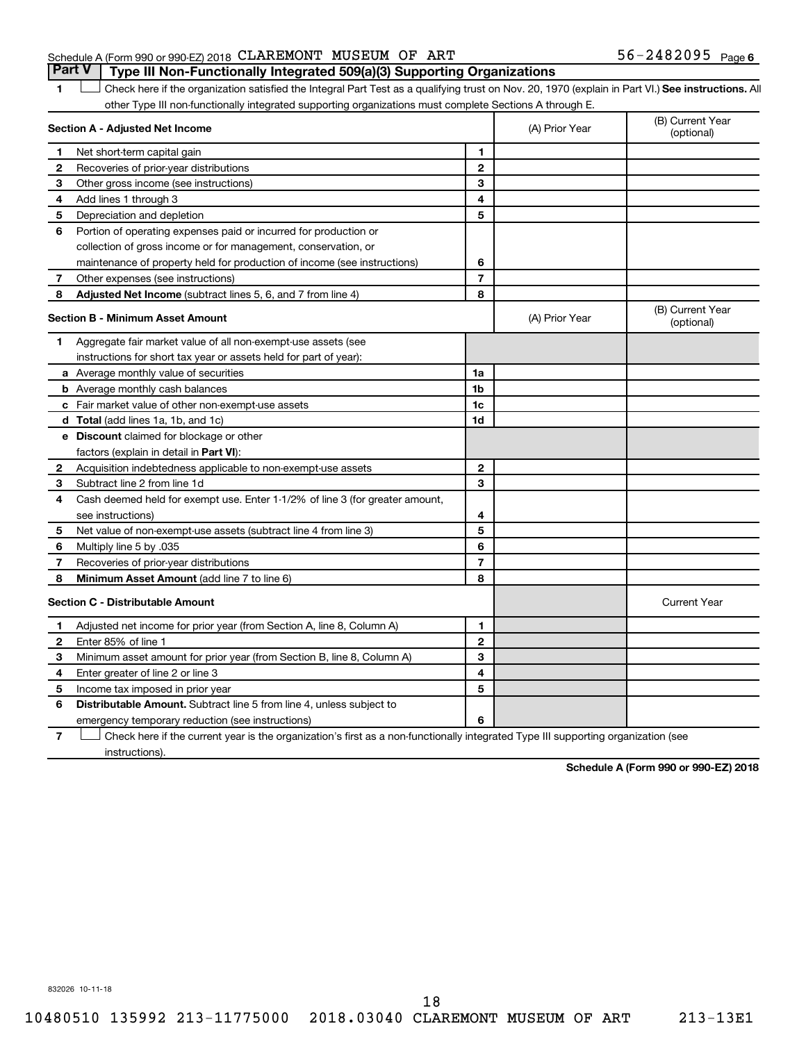### Schedule A (Form 990 or 990-EZ) 2018  $CLAREMONT$   $MUSEUM$  OF  $ART$   $56-2482095$   $Page$ **Part V Type III Non-Functionally Integrated 509(a)(3) Supporting Organizations**

1 **Letter See instructions.** All Check here if the organization satisfied the Integral Part Test as a qualifying trust on Nov. 20, 1970 (explain in Part VI.) See instructions. All other Type III non-functionally integrated supporting organizations must complete Sections A through E.

|              | Section A - Adjusted Net Income                                              |                | (A) Prior Year | (B) Current Year<br>(optional) |
|--------------|------------------------------------------------------------------------------|----------------|----------------|--------------------------------|
| 1            | Net short-term capital gain                                                  | 1              |                |                                |
| $\mathbf{2}$ | Recoveries of prior-year distributions                                       | $\mathbf{2}$   |                |                                |
| З            | Other gross income (see instructions)                                        | 3              |                |                                |
| 4            | Add lines 1 through 3                                                        | 4              |                |                                |
| 5            | Depreciation and depletion                                                   | 5              |                |                                |
| 6            | Portion of operating expenses paid or incurred for production or             |                |                |                                |
|              | collection of gross income or for management, conservation, or               |                |                |                                |
|              | maintenance of property held for production of income (see instructions)     | 6              |                |                                |
| 7            | Other expenses (see instructions)                                            | $\overline{7}$ |                |                                |
| 8            | Adjusted Net Income (subtract lines 5, 6, and 7 from line 4)                 | 8              |                |                                |
|              | <b>Section B - Minimum Asset Amount</b>                                      |                | (A) Prior Year | (B) Current Year<br>(optional) |
| 1            | Aggregate fair market value of all non-exempt-use assets (see                |                |                |                                |
|              | instructions for short tax year or assets held for part of year):            |                |                |                                |
|              | a Average monthly value of securities                                        | 1a             |                |                                |
|              | <b>b</b> Average monthly cash balances                                       | 1 <sub>b</sub> |                |                                |
|              | c Fair market value of other non-exempt-use assets                           | 1c             |                |                                |
|              | d Total (add lines 1a, 1b, and 1c)                                           | 1d             |                |                                |
|              | e Discount claimed for blockage or other                                     |                |                |                                |
|              | factors (explain in detail in <b>Part VI</b> ):                              |                |                |                                |
| 2            | Acquisition indebtedness applicable to non-exempt-use assets                 | $\mathbf{2}$   |                |                                |
| З            | Subtract line 2 from line 1d                                                 | 3              |                |                                |
| 4            | Cash deemed held for exempt use. Enter 1-1/2% of line 3 (for greater amount, |                |                |                                |
|              | see instructions)                                                            | 4              |                |                                |
| 5            | Net value of non-exempt-use assets (subtract line 4 from line 3)             | 5              |                |                                |
| 6            | Multiply line 5 by .035                                                      | 6              |                |                                |
| 7            | Recoveries of prior-year distributions                                       | $\overline{7}$ |                |                                |
| 8            | <b>Minimum Asset Amount (add line 7 to line 6)</b>                           | 8              |                |                                |
|              | <b>Section C - Distributable Amount</b>                                      |                |                | <b>Current Year</b>            |
| 1            | Adjusted net income for prior year (from Section A, line 8, Column A)        | 1              |                |                                |
| $\mathbf{2}$ | Enter 85% of line 1                                                          | $\mathbf{2}$   |                |                                |
| З            | Minimum asset amount for prior year (from Section B, line 8, Column A)       | 3              |                |                                |
| 4            | Enter greater of line 2 or line 3                                            | 4              |                |                                |
| 5            | Income tax imposed in prior year                                             | 5              |                |                                |
| 6            | <b>Distributable Amount.</b> Subtract line 5 from line 4, unless subject to  |                |                |                                |
|              | emergency temporary reduction (see instructions)                             | 6              |                |                                |
|              |                                                                              |                |                |                                |

**7** Check here if the current year is the organization's first as a non-functionally integrated Type III supporting organization (see † instructions).

**Schedule A (Form 990 or 990-EZ) 2018**

832026 10-11-18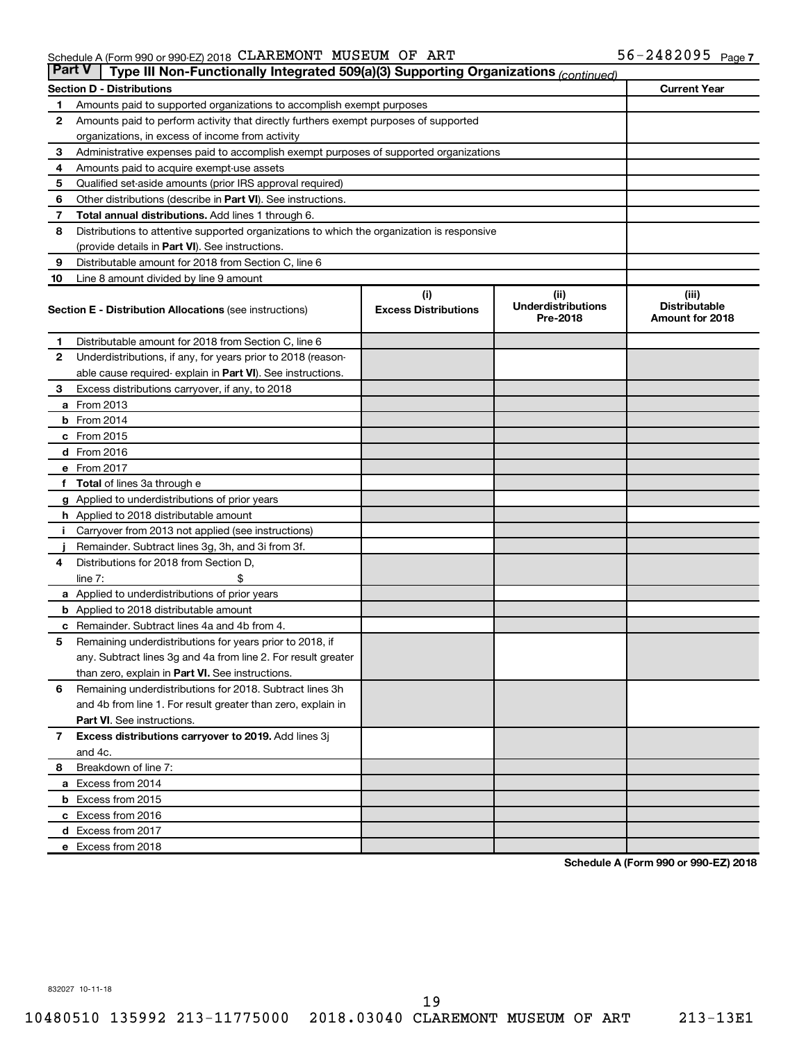| <b>Part V</b>  | Type III Non-Functionally Integrated 509(a)(3) Supporting Organizations (continued)        |                             |                                       |                                         |
|----------------|--------------------------------------------------------------------------------------------|-----------------------------|---------------------------------------|-----------------------------------------|
|                | <b>Section D - Distributions</b>                                                           |                             |                                       | <b>Current Year</b>                     |
| 1              | Amounts paid to supported organizations to accomplish exempt purposes                      |                             |                                       |                                         |
| $\mathbf{2}$   | Amounts paid to perform activity that directly furthers exempt purposes of supported       |                             |                                       |                                         |
|                | organizations, in excess of income from activity                                           |                             |                                       |                                         |
| 3              | Administrative expenses paid to accomplish exempt purposes of supported organizations      |                             |                                       |                                         |
| 4              | Amounts paid to acquire exempt-use assets                                                  |                             |                                       |                                         |
| 5              | Qualified set-aside amounts (prior IRS approval required)                                  |                             |                                       |                                         |
| 6              | Other distributions (describe in <b>Part VI</b> ). See instructions.                       |                             |                                       |                                         |
| 7              | Total annual distributions. Add lines 1 through 6.                                         |                             |                                       |                                         |
| 8              | Distributions to attentive supported organizations to which the organization is responsive |                             |                                       |                                         |
|                | (provide details in Part VI). See instructions.                                            |                             |                                       |                                         |
| 9              | Distributable amount for 2018 from Section C, line 6                                       |                             |                                       |                                         |
| 10             | Line 8 amount divided by line 9 amount                                                     |                             |                                       |                                         |
|                |                                                                                            | (i)                         | (ii)                                  | (iii)                                   |
|                | <b>Section E - Distribution Allocations</b> (see instructions)                             | <b>Excess Distributions</b> | <b>Underdistributions</b><br>Pre-2018 | <b>Distributable</b><br>Amount for 2018 |
| 1              | Distributable amount for 2018 from Section C, line 6                                       |                             |                                       |                                         |
| $\mathbf{2}$   | Underdistributions, if any, for years prior to 2018 (reason-                               |                             |                                       |                                         |
|                | able cause required-explain in Part VI). See instructions.                                 |                             |                                       |                                         |
| 3              | Excess distributions carryover, if any, to 2018                                            |                             |                                       |                                         |
|                | <b>a</b> From 2013                                                                         |                             |                                       |                                         |
|                | $b$ From 2014                                                                              |                             |                                       |                                         |
|                | c From 2015                                                                                |                             |                                       |                                         |
|                | d From 2016                                                                                |                             |                                       |                                         |
|                | e From 2017                                                                                |                             |                                       |                                         |
|                | f Total of lines 3a through e                                                              |                             |                                       |                                         |
|                | <b>g</b> Applied to underdistributions of prior years                                      |                             |                                       |                                         |
|                | h Applied to 2018 distributable amount                                                     |                             |                                       |                                         |
| Ť.             | Carryover from 2013 not applied (see instructions)                                         |                             |                                       |                                         |
|                | Remainder. Subtract lines 3g, 3h, and 3i from 3f.                                          |                             |                                       |                                         |
| 4              | Distributions for 2018 from Section D,                                                     |                             |                                       |                                         |
|                | line $7:$                                                                                  |                             |                                       |                                         |
|                | a Applied to underdistributions of prior years                                             |                             |                                       |                                         |
|                | <b>b</b> Applied to 2018 distributable amount                                              |                             |                                       |                                         |
| c              | Remainder. Subtract lines 4a and 4b from 4.                                                |                             |                                       |                                         |
| 5              | Remaining underdistributions for years prior to 2018, if                                   |                             |                                       |                                         |
|                | any. Subtract lines 3g and 4a from line 2. For result greater                              |                             |                                       |                                         |
|                | than zero, explain in Part VI. See instructions.                                           |                             |                                       |                                         |
| 6              | Remaining underdistributions for 2018. Subtract lines 3h                                   |                             |                                       |                                         |
|                | and 4b from line 1. For result greater than zero, explain in                               |                             |                                       |                                         |
|                | <b>Part VI.</b> See instructions.                                                          |                             |                                       |                                         |
| $\overline{7}$ | Excess distributions carryover to 2019. Add lines 3j                                       |                             |                                       |                                         |
|                | and 4c.                                                                                    |                             |                                       |                                         |
| 8              | Breakdown of line 7:                                                                       |                             |                                       |                                         |
|                | a Excess from 2014                                                                         |                             |                                       |                                         |
|                | <b>b</b> Excess from 2015                                                                  |                             |                                       |                                         |
|                | c Excess from 2016                                                                         |                             |                                       |                                         |
|                | d Excess from 2017                                                                         |                             |                                       |                                         |
|                | e Excess from 2018                                                                         |                             |                                       |                                         |

**Schedule A (Form 990 or 990-EZ) 2018**

832027 10-11-18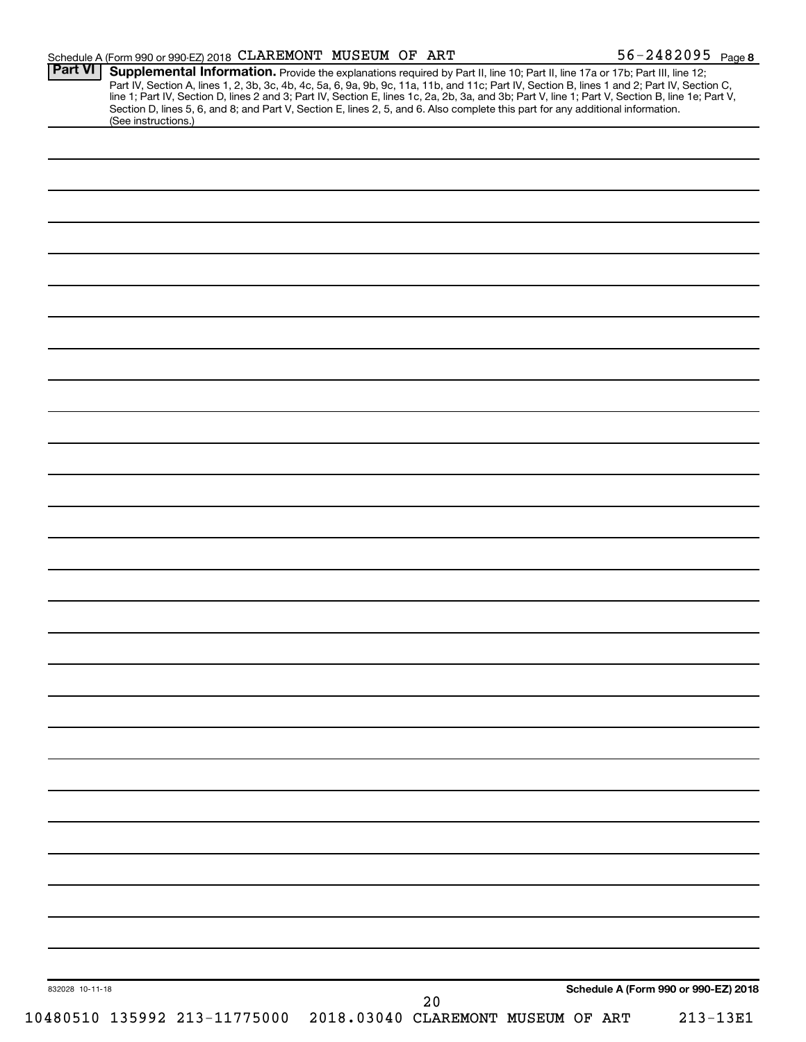|                 | Schedule A (Form 990 or 990-EZ) 2018 CLAREMONT MUSEUM OF ART                                                                                                                                                                                                                                                                                                                                                                                                                                                                                                                                |                                    |    | 56-2482095 Page 8                    |          |
|-----------------|---------------------------------------------------------------------------------------------------------------------------------------------------------------------------------------------------------------------------------------------------------------------------------------------------------------------------------------------------------------------------------------------------------------------------------------------------------------------------------------------------------------------------------------------------------------------------------------------|------------------------------------|----|--------------------------------------|----------|
| <b>Part VI</b>  | Supplemental Information. Provide the explanations required by Part II, line 10; Part II, line 17a or 17b; Part III, line 12;<br>Part IV, Section A, lines 1, 2, 3b, 3c, 4b, 4c, 5a, 6, 9a, 9b, 9c, 11a, 11b, and 11c; Part IV, Section B, lines 1 and 2; Part IV, Section C,<br>line 1; Part IV, Section D, lines 2 and 3; Part IV, Section E, lines 1c, 2a, 2b, 3a, and 3b; Part V, line 1; Part V, Section B, line 1e; Part V,<br>Section D, lines 5, 6, and 8; and Part V, Section E, lines 2, 5, and 6. Also complete this part for any additional information.<br>(See instructions.) |                                    |    |                                      |          |
|                 |                                                                                                                                                                                                                                                                                                                                                                                                                                                                                                                                                                                             |                                    |    |                                      |          |
|                 |                                                                                                                                                                                                                                                                                                                                                                                                                                                                                                                                                                                             |                                    |    |                                      |          |
|                 |                                                                                                                                                                                                                                                                                                                                                                                                                                                                                                                                                                                             |                                    |    |                                      |          |
|                 |                                                                                                                                                                                                                                                                                                                                                                                                                                                                                                                                                                                             |                                    |    |                                      |          |
|                 |                                                                                                                                                                                                                                                                                                                                                                                                                                                                                                                                                                                             |                                    |    |                                      |          |
|                 |                                                                                                                                                                                                                                                                                                                                                                                                                                                                                                                                                                                             |                                    |    |                                      |          |
|                 |                                                                                                                                                                                                                                                                                                                                                                                                                                                                                                                                                                                             |                                    |    |                                      |          |
|                 |                                                                                                                                                                                                                                                                                                                                                                                                                                                                                                                                                                                             |                                    |    |                                      |          |
|                 |                                                                                                                                                                                                                                                                                                                                                                                                                                                                                                                                                                                             |                                    |    |                                      |          |
|                 |                                                                                                                                                                                                                                                                                                                                                                                                                                                                                                                                                                                             |                                    |    |                                      |          |
|                 |                                                                                                                                                                                                                                                                                                                                                                                                                                                                                                                                                                                             |                                    |    |                                      |          |
|                 |                                                                                                                                                                                                                                                                                                                                                                                                                                                                                                                                                                                             |                                    |    |                                      |          |
|                 |                                                                                                                                                                                                                                                                                                                                                                                                                                                                                                                                                                                             |                                    |    |                                      |          |
|                 |                                                                                                                                                                                                                                                                                                                                                                                                                                                                                                                                                                                             |                                    |    |                                      |          |
|                 |                                                                                                                                                                                                                                                                                                                                                                                                                                                                                                                                                                                             |                                    |    |                                      |          |
|                 |                                                                                                                                                                                                                                                                                                                                                                                                                                                                                                                                                                                             |                                    |    |                                      |          |
|                 |                                                                                                                                                                                                                                                                                                                                                                                                                                                                                                                                                                                             |                                    |    |                                      |          |
|                 |                                                                                                                                                                                                                                                                                                                                                                                                                                                                                                                                                                                             |                                    |    |                                      |          |
|                 |                                                                                                                                                                                                                                                                                                                                                                                                                                                                                                                                                                                             |                                    |    |                                      |          |
|                 |                                                                                                                                                                                                                                                                                                                                                                                                                                                                                                                                                                                             |                                    |    |                                      |          |
|                 |                                                                                                                                                                                                                                                                                                                                                                                                                                                                                                                                                                                             |                                    |    |                                      |          |
|                 |                                                                                                                                                                                                                                                                                                                                                                                                                                                                                                                                                                                             |                                    |    |                                      |          |
|                 |                                                                                                                                                                                                                                                                                                                                                                                                                                                                                                                                                                                             |                                    |    |                                      |          |
|                 |                                                                                                                                                                                                                                                                                                                                                                                                                                                                                                                                                                                             |                                    |    |                                      |          |
|                 |                                                                                                                                                                                                                                                                                                                                                                                                                                                                                                                                                                                             |                                    |    |                                      |          |
|                 |                                                                                                                                                                                                                                                                                                                                                                                                                                                                                                                                                                                             |                                    |    |                                      |          |
|                 |                                                                                                                                                                                                                                                                                                                                                                                                                                                                                                                                                                                             |                                    |    |                                      |          |
|                 |                                                                                                                                                                                                                                                                                                                                                                                                                                                                                                                                                                                             |                                    |    |                                      |          |
|                 |                                                                                                                                                                                                                                                                                                                                                                                                                                                                                                                                                                                             |                                    |    |                                      |          |
|                 |                                                                                                                                                                                                                                                                                                                                                                                                                                                                                                                                                                                             |                                    |    |                                      |          |
|                 |                                                                                                                                                                                                                                                                                                                                                                                                                                                                                                                                                                                             |                                    |    |                                      |          |
|                 |                                                                                                                                                                                                                                                                                                                                                                                                                                                                                                                                                                                             |                                    |    |                                      |          |
|                 |                                                                                                                                                                                                                                                                                                                                                                                                                                                                                                                                                                                             |                                    |    |                                      |          |
| 832028 10-11-18 |                                                                                                                                                                                                                                                                                                                                                                                                                                                                                                                                                                                             |                                    | 20 | Schedule A (Form 990 or 990-EZ) 2018 |          |
|                 | 10480510 135992 213-11775000                                                                                                                                                                                                                                                                                                                                                                                                                                                                                                                                                                | 2018.03040 CLAREMONT MUSEUM OF ART |    |                                      | 213-13E1 |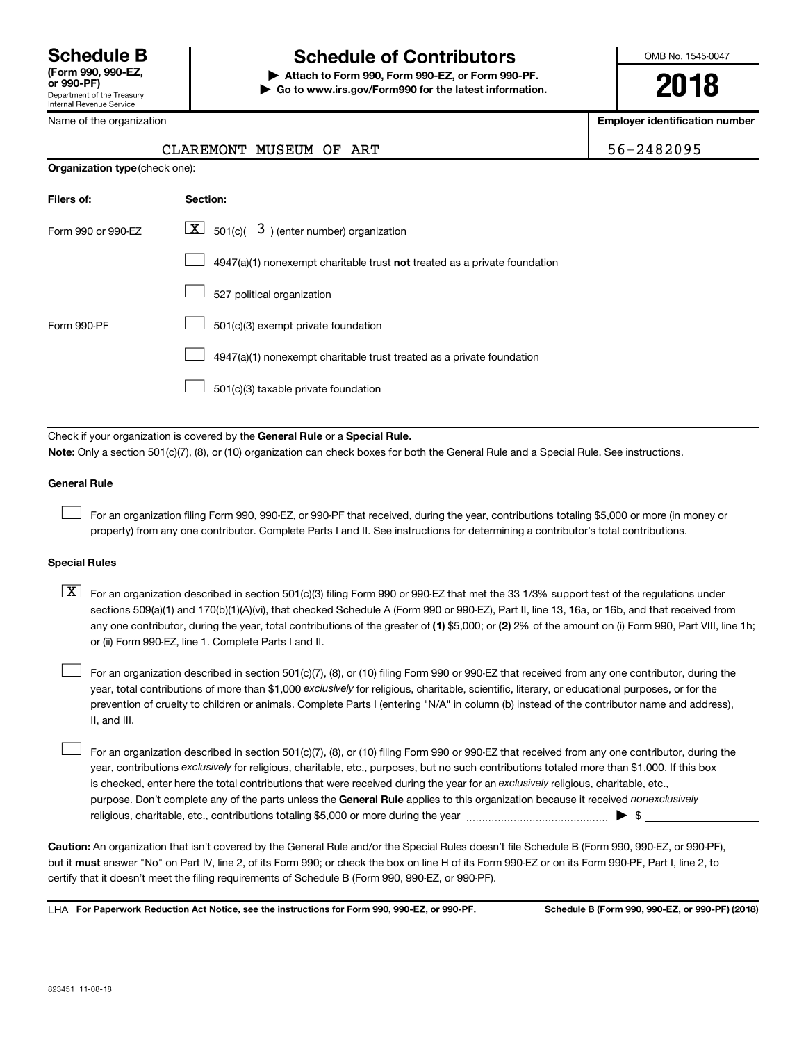## **Schedule B Schedule of Contributors**

**or 990-PF) | Attach to Form 990, Form 990-EZ, or Form 990-PF. | Go to www.irs.gov/Form990 for the latest information.** OMB No. 1545-0047

**2018**

**Employer identification number**

| CLAREMONT MUSEUM OF ART | 56-2482095 |
|-------------------------|------------|
|-------------------------|------------|

| Name of the organization |  |
|--------------------------|--|
|                          |  |

| <b>Organization type</b> (check one): |                                                                           |  |  |
|---------------------------------------|---------------------------------------------------------------------------|--|--|
| Filers of:                            | Section:                                                                  |  |  |
| Form 990 or 990-EZ                    | $\lfloor x \rfloor$ 501(c)( 3) (enter number) organization                |  |  |
|                                       | 4947(a)(1) nonexempt charitable trust not treated as a private foundation |  |  |
|                                       | 527 political organization                                                |  |  |
| Form 990-PF                           | 501(c)(3) exempt private foundation                                       |  |  |
|                                       | 4947(a)(1) nonexempt charitable trust treated as a private foundation     |  |  |
|                                       | 501(c)(3) taxable private foundation                                      |  |  |

Check if your organization is covered by the General Rule or a Special Rule. **Note:**  Only a section 501(c)(7), (8), or (10) organization can check boxes for both the General Rule and a Special Rule. See instructions.

### **General Rule**

 $\Box$ 

For an organization filing Form 990, 990-EZ, or 990-PF that received, during the year, contributions totaling \$5,000 or more (in money or property) from any one contributor. Complete Parts I and II. See instructions for determining a contributor's total contributions.

### **Special Rules**

any one contributor, during the year, total contributions of the greater of (1) \$5,000; or (2) 2% of the amount on (i) Form 990, Part VIII, line 1h;  $\boxed{\text{X}}$  For an organization described in section 501(c)(3) filing Form 990 or 990-EZ that met the 33 1/3% support test of the regulations under sections 509(a)(1) and 170(b)(1)(A)(vi), that checked Schedule A (Form 990 or 990-EZ), Part II, line 13, 16a, or 16b, and that received from or (ii) Form 990-EZ, line 1. Complete Parts I and II.

year, total contributions of more than \$1,000 *exclusively* for religious, charitable, scientific, literary, or educational purposes, or for the For an organization described in section 501(c)(7), (8), or (10) filing Form 990 or 990-EZ that received from any one contributor, during the prevention of cruelty to children or animals. Complete Parts I (entering "N/A" in column (b) instead of the contributor name and address), II, and III.  $\Box$ 

purpose. Don't complete any of the parts unless the General Rule applies to this organization because it received nonexclusively year, contributions exclusively for religious, charitable, etc., purposes, but no such contributions totaled more than \$1,000. If this box is checked, enter here the total contributions that were received during the year for an exclusively religious, charitable, etc., For an organization described in section 501(c)(7), (8), or (10) filing Form 990 or 990-EZ that received from any one contributor, during the religious, charitable, etc., contributions totaling \$5,000 or more during the year  $~\ldots\ldots\ldots\ldots\ldots\ldots\ldots\ldots\blacktriangleright~$ \$  $\Box$ 

**Caution:**  An organization that isn't covered by the General Rule and/or the Special Rules doesn't file Schedule B (Form 990, 990-EZ, or 990-PF),  **must** but it answer "No" on Part IV, line 2, of its Form 990; or check the box on line H of its Form 990-EZ or on its Form 990-PF, Part I, line 2, to certify that it doesn't meet the filing requirements of Schedule B (Form 990, 990-EZ, or 990-PF).

**For Paperwork Reduction Act Notice, see the instructions for Form 990, 990-EZ, or 990-PF. Schedule B (Form 990, 990-EZ, or 990-PF) (2018)** LHA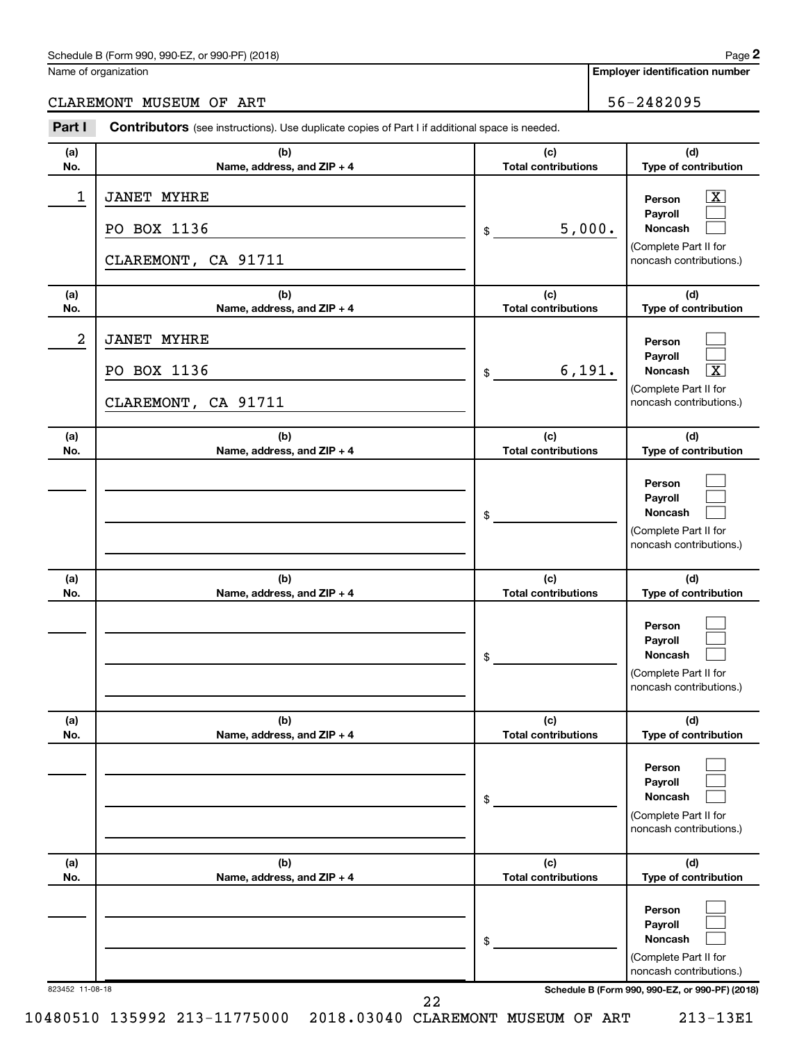### Schedule B (Form 990, 990-EZ, or 990-PF) (2018)

Name of organization

**Employer identification number**

### CLAREMONT MUSEUM OF ART 56-2482095

| Part I          | Contributors (see instructions). Use duplicate copies of Part I if additional space is needed. |                                   |                                                                                                                                     |
|-----------------|------------------------------------------------------------------------------------------------|-----------------------------------|-------------------------------------------------------------------------------------------------------------------------------------|
| (a)<br>No.      | (b)<br>Name, address, and ZIP + 4                                                              | (c)<br><b>Total contributions</b> | (d)<br>Type of contribution                                                                                                         |
| 1               | <b>JANET MYHRE</b><br>PO BOX 1136<br>CLAREMONT, CA 91711                                       | 5,000.<br>\$                      | $\boxed{\mathbf{X}}$<br>Person<br>Payroll<br>Noncash<br>(Complete Part II for<br>noncash contributions.)                            |
| (a)<br>No.      | (b)<br>Name, address, and ZIP + 4                                                              | (c)<br><b>Total contributions</b> | (d)<br>Type of contribution                                                                                                         |
| 2               | <b>JANET MYHRE</b><br>PO BOX 1136<br>CLAREMONT, CA 91711                                       | 6, 191.<br>\$                     | Person<br>Payroll<br>$\boxed{\text{X}}$<br><b>Noncash</b><br>(Complete Part II for<br>noncash contributions.)                       |
| (a)<br>No.      | (b)<br>Name, address, and ZIP + 4                                                              | (c)<br><b>Total contributions</b> | (d)<br>Type of contribution                                                                                                         |
|                 |                                                                                                | \$                                | Person<br>Payroll<br>Noncash<br>(Complete Part II for<br>noncash contributions.)                                                    |
| (a)<br>No.      | (b)<br>Name, address, and ZIP + 4                                                              | (c)<br><b>Total contributions</b> | (d)<br>Type of contribution                                                                                                         |
|                 |                                                                                                | \$                                | Person<br>Payroll<br>Noncash<br>(Complete Part II for<br>noncash contributions.)                                                    |
| (a)<br>No.      | (b)<br>Name, address, and ZIP + 4                                                              | (c)<br><b>Total contributions</b> | (d)<br>Type of contribution                                                                                                         |
|                 |                                                                                                | \$                                | Person<br>Payroll<br>Noncash<br>(Complete Part II for<br>noncash contributions.)                                                    |
| (a)<br>No.      | (b)<br>Name, address, and ZIP + 4                                                              | (c)<br><b>Total contributions</b> | (d)<br>Type of contribution                                                                                                         |
| 823452 11-08-18 |                                                                                                | \$                                | Person<br>Payroll<br>Noncash<br>(Complete Part II for<br>noncash contributions.)<br>Schedule B (Form 990, 990-EZ, or 990-PF) (2018) |

22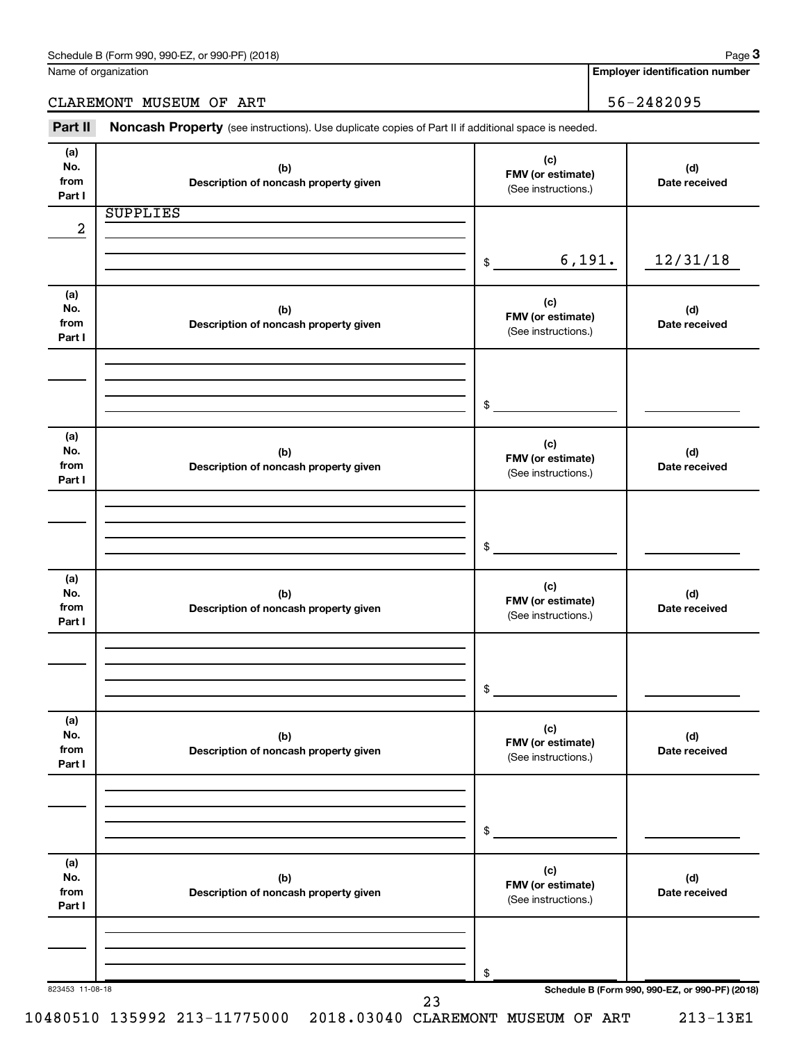**Employer identification number**

### CLAREMONT MUSEUM OF ART 36-2482095

Name of organization

Part II Noncash Property (see instructions). Use duplicate copies of Part II if additional space is needed.

| No.<br>from     | (b)<br>Description of noncash property given | (c)<br>FMV (or estimate)<br>(See instructions.) | (d)<br>Date received                            |
|-----------------|----------------------------------------------|-------------------------------------------------|-------------------------------------------------|
| Part I          |                                              |                                                 |                                                 |
|                 | <b>SUPPLIES</b>                              |                                                 |                                                 |
| 2               |                                              |                                                 |                                                 |
|                 |                                              | 6,191.                                          | 12/31/18                                        |
|                 |                                              | $$\tilde{\phantom{a}}$$                         |                                                 |
| (a)             |                                              |                                                 |                                                 |
| No.             | (b)                                          | (c)                                             | (d)                                             |
| from            | Description of noncash property given        | FMV (or estimate)                               | Date received                                   |
| Part I          |                                              | (See instructions.)                             |                                                 |
|                 |                                              |                                                 |                                                 |
|                 |                                              |                                                 |                                                 |
|                 |                                              |                                                 |                                                 |
|                 |                                              | \$                                              |                                                 |
| (a)             |                                              |                                                 |                                                 |
| No.             | (b)                                          | (c)<br>FMV (or estimate)                        | (d)                                             |
| from            | Description of noncash property given        | (See instructions.)                             | Date received                                   |
| Part I          |                                              |                                                 |                                                 |
|                 |                                              |                                                 |                                                 |
|                 |                                              |                                                 |                                                 |
|                 |                                              | $$\circ$$                                       |                                                 |
|                 |                                              |                                                 |                                                 |
| (a)             |                                              |                                                 |                                                 |
| No.             | (b)                                          | (c)<br>FMV (or estimate)                        | (d)                                             |
| from<br>Part I  | Description of noncash property given        | (See instructions.)                             | Date received                                   |
|                 |                                              |                                                 |                                                 |
|                 |                                              |                                                 |                                                 |
|                 |                                              |                                                 |                                                 |
|                 |                                              | $\frac{1}{2}$                                   |                                                 |
|                 |                                              |                                                 |                                                 |
| (a)<br>No.      | (b)                                          | (c)                                             | (d)                                             |
| from            | Description of noncash property given        | FMV (or estimate)                               | Date received                                   |
| Part I          |                                              | (See instructions.)                             |                                                 |
|                 |                                              |                                                 |                                                 |
|                 |                                              |                                                 |                                                 |
|                 |                                              |                                                 |                                                 |
|                 |                                              | \$                                              |                                                 |
| (a)             |                                              |                                                 |                                                 |
| No.             | (b)                                          | (c)                                             | (d)                                             |
| from            | Description of noncash property given        | FMV (or estimate)<br>(See instructions.)        | Date received                                   |
| Part I          |                                              |                                                 |                                                 |
|                 |                                              |                                                 |                                                 |
|                 |                                              |                                                 |                                                 |
|                 |                                              | \$                                              |                                                 |
| 823453 11-08-18 |                                              |                                                 | Schedule B (Form 990, 990-EZ, or 990-PF) (2018) |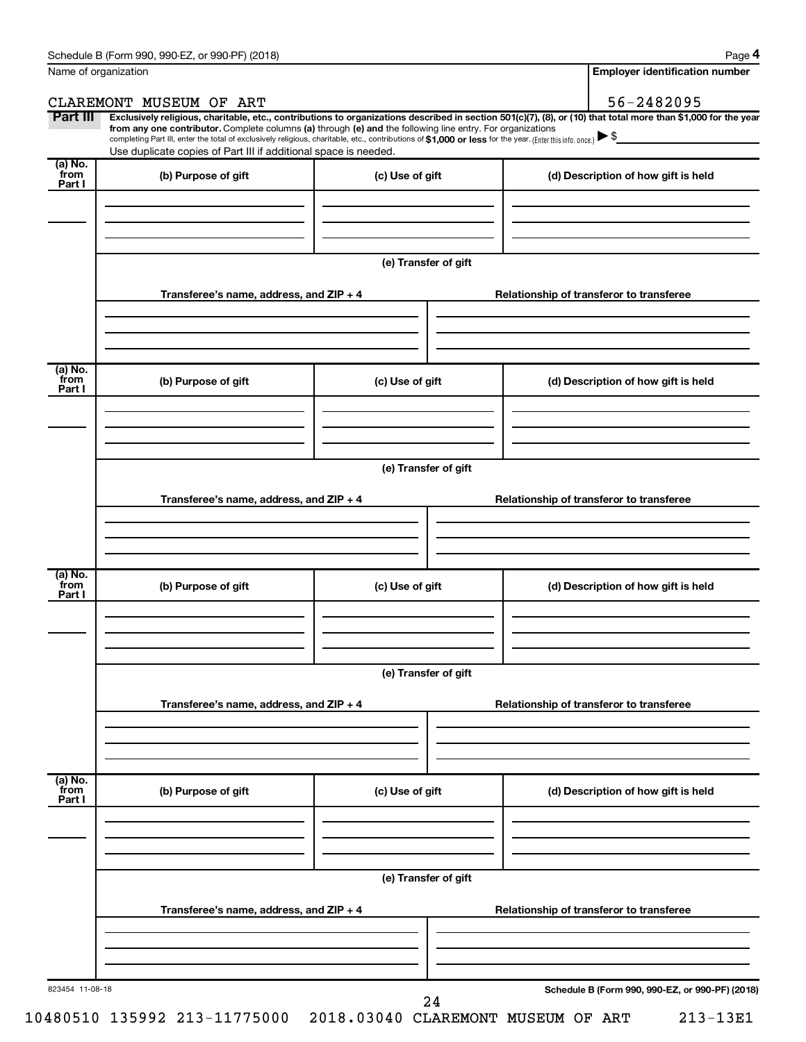**4**

| Name of organization      |                                                                                                                                                                                                                                                                                                                                                                                                                                                                                                                  |                      |  | <b>Employer identification number</b>           |
|---------------------------|------------------------------------------------------------------------------------------------------------------------------------------------------------------------------------------------------------------------------------------------------------------------------------------------------------------------------------------------------------------------------------------------------------------------------------------------------------------------------------------------------------------|----------------------|--|-------------------------------------------------|
|                           | CLAREMONT MUSEUM OF ART                                                                                                                                                                                                                                                                                                                                                                                                                                                                                          |                      |  | 56-2482095                                      |
| Part III                  | Exclusively religious, charitable, etc., contributions to organizations described in section 501(c)(7), (8), or (10) that total more than \$1,000 for the year<br>from any one contributor. Complete columns (a) through (e) and the following line entry. For organizations<br>completing Part III, enter the total of exclusively religious, charitable, etc., contributions of \$1,000 or less for the year. (Enter this info. once.) ▶ \$<br>Use duplicate copies of Part III if additional space is needed. |                      |  | <u> 1990 - John Stein, amerikansk politiker</u> |
| (a) No.<br>from<br>Part I | (b) Purpose of gift                                                                                                                                                                                                                                                                                                                                                                                                                                                                                              | (c) Use of gift      |  | (d) Description of how gift is held             |
|                           |                                                                                                                                                                                                                                                                                                                                                                                                                                                                                                                  |                      |  |                                                 |
|                           |                                                                                                                                                                                                                                                                                                                                                                                                                                                                                                                  | (e) Transfer of gift |  |                                                 |
|                           | Transferee's name, address, and ZIP + 4                                                                                                                                                                                                                                                                                                                                                                                                                                                                          |                      |  | Relationship of transferor to transferee        |
| $(a)$ No.<br>`from        | (b) Purpose of gift                                                                                                                                                                                                                                                                                                                                                                                                                                                                                              | (c) Use of gift      |  | (d) Description of how gift is held             |
| Part I                    |                                                                                                                                                                                                                                                                                                                                                                                                                                                                                                                  |                      |  |                                                 |
|                           |                                                                                                                                                                                                                                                                                                                                                                                                                                                                                                                  | (e) Transfer of gift |  |                                                 |
|                           | Transferee's name, address, and ZIP + 4                                                                                                                                                                                                                                                                                                                                                                                                                                                                          |                      |  | Relationship of transferor to transferee        |
| $(a)$ No.<br>`from        | (b) Purpose of gift                                                                                                                                                                                                                                                                                                                                                                                                                                                                                              | (c) Use of gift      |  |                                                 |
| Part I                    |                                                                                                                                                                                                                                                                                                                                                                                                                                                                                                                  |                      |  | (d) Description of how gift is held             |
|                           |                                                                                                                                                                                                                                                                                                                                                                                                                                                                                                                  | (e) Transfer of gift |  |                                                 |
|                           | Transferee's name, address, and ZIP + 4                                                                                                                                                                                                                                                                                                                                                                                                                                                                          |                      |  | Relationship of transferor to transferee        |
| (a) No.<br>from<br>Part I | (b) Purpose of gift                                                                                                                                                                                                                                                                                                                                                                                                                                                                                              | (c) Use of gift      |  | (d) Description of how gift is held             |
|                           |                                                                                                                                                                                                                                                                                                                                                                                                                                                                                                                  |                      |  |                                                 |
|                           |                                                                                                                                                                                                                                                                                                                                                                                                                                                                                                                  | (e) Transfer of gift |  |                                                 |
|                           | Transferee's name, address, and ZIP + 4                                                                                                                                                                                                                                                                                                                                                                                                                                                                          |                      |  | Relationship of transferor to transferee        |
|                           |                                                                                                                                                                                                                                                                                                                                                                                                                                                                                                                  |                      |  |                                                 |
| 823454 11-08-18           |                                                                                                                                                                                                                                                                                                                                                                                                                                                                                                                  | 24                   |  | Schedule B (Form 990, 990-EZ, or 990-PF) (2018) |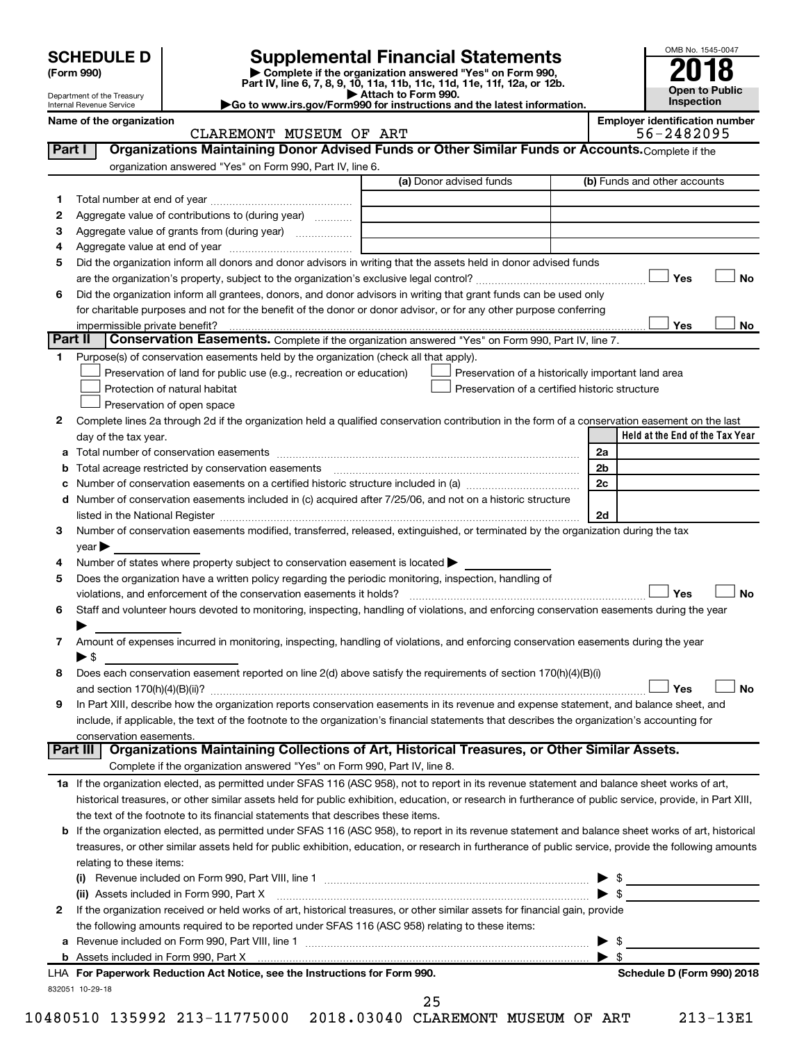## **SCHEDULE D Supplemental Financial Statements**<br> **Form 990 2018**<br> **Part IV** line 6.7.8.9.10, 11a, 11b, 11d, 11d, 11d, 11d, 11d, 12a, 0r, 12b

**(Form 990) | Complete if the organization answered "Yes" on Form 990, Part IV, line 6, 7, 8, 9, 10, 11a, 11b, 11c, 11d, 11e, 11f, 12a, or 12b.**

**| Attach to Form 990. |Go to www.irs.gov/Form990 for instructions and the latest information.**



Department of the Treasury Internal Revenue Service **Name of the organization Employer identification number**

|                         | _________________________ |
|-------------------------|---------------------------|
| CLAREMONT MUSEUM OF ART | 56-2482095                |

| Part I       | Organizations Maintaining Donor Advised Funds or Other Similar Funds or Accounts. Complete if the                                                                                                                                                  |                                                    |  |                                                     |  |  |  |  |
|--------------|----------------------------------------------------------------------------------------------------------------------------------------------------------------------------------------------------------------------------------------------------|----------------------------------------------------|--|-----------------------------------------------------|--|--|--|--|
|              | organization answered "Yes" on Form 990, Part IV, line 6.                                                                                                                                                                                          |                                                    |  |                                                     |  |  |  |  |
|              |                                                                                                                                                                                                                                                    | (a) Donor advised funds                            |  | (b) Funds and other accounts                        |  |  |  |  |
| 1.           |                                                                                                                                                                                                                                                    |                                                    |  |                                                     |  |  |  |  |
| 2            | Aggregate value of contributions to (during year)                                                                                                                                                                                                  |                                                    |  |                                                     |  |  |  |  |
| З            | Aggregate value of grants from (during year)                                                                                                                                                                                                       |                                                    |  |                                                     |  |  |  |  |
| 4            |                                                                                                                                                                                                                                                    |                                                    |  |                                                     |  |  |  |  |
| 5            | Did the organization inform all donors and donor advisors in writing that the assets held in donor advised funds                                                                                                                                   |                                                    |  |                                                     |  |  |  |  |
|              |                                                                                                                                                                                                                                                    |                                                    |  | Yes<br>No                                           |  |  |  |  |
| 6            | Did the organization inform all grantees, donors, and donor advisors in writing that grant funds can be used only                                                                                                                                  |                                                    |  |                                                     |  |  |  |  |
|              | for charitable purposes and not for the benefit of the donor or donor advisor, or for any other purpose conferring                                                                                                                                 |                                                    |  |                                                     |  |  |  |  |
|              | impermissible private benefit?                                                                                                                                                                                                                     |                                                    |  | Yes<br>No                                           |  |  |  |  |
| Part II      | Conservation Easements. Complete if the organization answered "Yes" on Form 990, Part IV, line 7.                                                                                                                                                  |                                                    |  |                                                     |  |  |  |  |
| 1.           | Purpose(s) of conservation easements held by the organization (check all that apply).                                                                                                                                                              |                                                    |  |                                                     |  |  |  |  |
|              | Preservation of land for public use (e.g., recreation or education)                                                                                                                                                                                | Preservation of a historically important land area |  |                                                     |  |  |  |  |
|              | Protection of natural habitat                                                                                                                                                                                                                      | Preservation of a certified historic structure     |  |                                                     |  |  |  |  |
|              | Preservation of open space                                                                                                                                                                                                                         |                                                    |  |                                                     |  |  |  |  |
| 2            | Complete lines 2a through 2d if the organization held a qualified conservation contribution in the form of a conservation easement on the last                                                                                                     |                                                    |  |                                                     |  |  |  |  |
|              | day of the tax year.                                                                                                                                                                                                                               |                                                    |  | Held at the End of the Tax Year                     |  |  |  |  |
|              |                                                                                                                                                                                                                                                    |                                                    |  | 2a                                                  |  |  |  |  |
|              | <b>b</b> Total acreage restricted by conservation easements                                                                                                                                                                                        |                                                    |  | 2b                                                  |  |  |  |  |
|              | Number of conservation easements on a certified historic structure included in (a) manufacture included in (a)                                                                                                                                     |                                                    |  | 2c                                                  |  |  |  |  |
|              | d Number of conservation easements included in (c) acquired after 7/25/06, and not on a historic structure                                                                                                                                         |                                                    |  | 2d                                                  |  |  |  |  |
| 3            | listed in the National Register [11, 1200] [12] The National Register [11, 1200] [12] The National Register [1<br>Number of conservation easements modified, transferred, released, extinguished, or terminated by the organization during the tax |                                                    |  |                                                     |  |  |  |  |
|              | $year \blacktriangleright$                                                                                                                                                                                                                         |                                                    |  |                                                     |  |  |  |  |
| 4            | Number of states where property subject to conservation easement is located >                                                                                                                                                                      |                                                    |  |                                                     |  |  |  |  |
| 5            | Does the organization have a written policy regarding the periodic monitoring, inspection, handling of                                                                                                                                             |                                                    |  |                                                     |  |  |  |  |
|              | violations, and enforcement of the conservation easements it holds?                                                                                                                                                                                |                                                    |  | Yes<br><b>No</b>                                    |  |  |  |  |
| 6            | Staff and volunteer hours devoted to monitoring, inspecting, handling of violations, and enforcing conservation easements during the year                                                                                                          |                                                    |  |                                                     |  |  |  |  |
|              |                                                                                                                                                                                                                                                    |                                                    |  |                                                     |  |  |  |  |
| 7            | Amount of expenses incurred in monitoring, inspecting, handling of violations, and enforcing conservation easements during the year                                                                                                                |                                                    |  |                                                     |  |  |  |  |
|              | $\blacktriangleright$ \$                                                                                                                                                                                                                           |                                                    |  |                                                     |  |  |  |  |
| 8            | Does each conservation easement reported on line 2(d) above satisfy the requirements of section 170(h)(4)(B)(i)                                                                                                                                    |                                                    |  |                                                     |  |  |  |  |
|              |                                                                                                                                                                                                                                                    |                                                    |  | <b>No</b><br>Yes                                    |  |  |  |  |
| 9            | In Part XIII, describe how the organization reports conservation easements in its revenue and expense statement, and balance sheet, and                                                                                                            |                                                    |  |                                                     |  |  |  |  |
|              | include, if applicable, the text of the footnote to the organization's financial statements that describes the organization's accounting for                                                                                                       |                                                    |  |                                                     |  |  |  |  |
|              | conservation easements.                                                                                                                                                                                                                            |                                                    |  |                                                     |  |  |  |  |
| Part III     | Organizations Maintaining Collections of Art, Historical Treasures, or Other Similar Assets.                                                                                                                                                       |                                                    |  |                                                     |  |  |  |  |
|              | Complete if the organization answered "Yes" on Form 990, Part IV, line 8.                                                                                                                                                                          |                                                    |  |                                                     |  |  |  |  |
|              | 1a If the organization elected, as permitted under SFAS 116 (ASC 958), not to report in its revenue statement and balance sheet works of art,                                                                                                      |                                                    |  |                                                     |  |  |  |  |
|              | historical treasures, or other similar assets held for public exhibition, education, or research in furtherance of public service, provide, in Part XIII,                                                                                          |                                                    |  |                                                     |  |  |  |  |
|              | the text of the footnote to its financial statements that describes these items.                                                                                                                                                                   |                                                    |  |                                                     |  |  |  |  |
|              | b If the organization elected, as permitted under SFAS 116 (ASC 958), to report in its revenue statement and balance sheet works of art, historical                                                                                                |                                                    |  |                                                     |  |  |  |  |
|              | treasures, or other similar assets held for public exhibition, education, or research in furtherance of public service, provide the following amounts                                                                                              |                                                    |  |                                                     |  |  |  |  |
|              | relating to these items:                                                                                                                                                                                                                           |                                                    |  |                                                     |  |  |  |  |
|              |                                                                                                                                                                                                                                                    |                                                    |  | $\blacktriangleright$ \$                            |  |  |  |  |
|              | (ii) Assets included in Form 990, Part X [11] Marten and Martin Martin Marten and Martin Martin Marten and Mar                                                                                                                                     |                                                    |  | $\blacktriangleright$ \$                            |  |  |  |  |
| $\mathbf{2}$ | If the organization received or held works of art, historical treasures, or other similar assets for financial gain, provide                                                                                                                       |                                                    |  |                                                     |  |  |  |  |
|              | the following amounts required to be reported under SFAS 116 (ASC 958) relating to these items:                                                                                                                                                    |                                                    |  |                                                     |  |  |  |  |
|              |                                                                                                                                                                                                                                                    |                                                    |  | $\blacktriangleright$ \$<br>$\blacktriangleright$ s |  |  |  |  |
|              | LHA For Paperwork Reduction Act Notice, see the Instructions for Form 990.                                                                                                                                                                         |                                                    |  | Schedule D (Form 990) 2018                          |  |  |  |  |
|              | 832051 10-29-18                                                                                                                                                                                                                                    |                                                    |  |                                                     |  |  |  |  |

25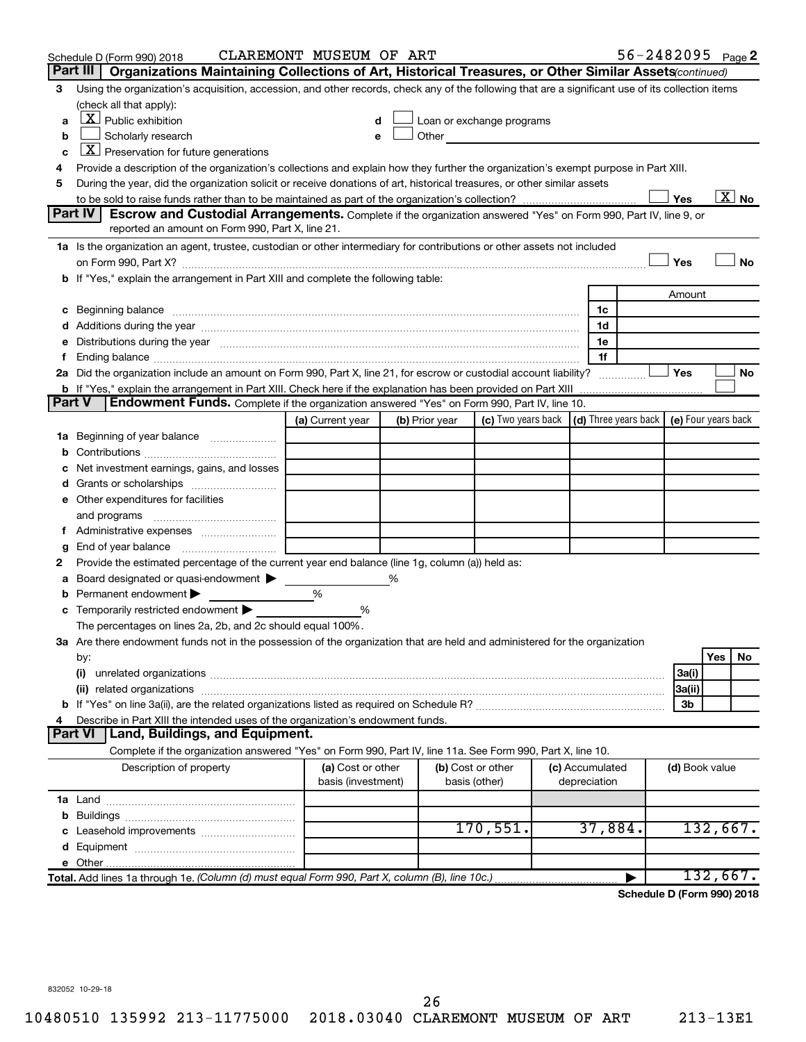|               | Schedule D (Form 990) 2018                                                                                                                                                                                           | CLAREMONT MUSEUM OF ART                 |                |                                                                             |                                 |                | $56 - 2482095$ Page 2      |
|---------------|----------------------------------------------------------------------------------------------------------------------------------------------------------------------------------------------------------------------|-----------------------------------------|----------------|-----------------------------------------------------------------------------|---------------------------------|----------------|----------------------------|
|               | Part III   Organizations Maintaining Collections of Art, Historical Treasures, or Other Similar Assets continued)                                                                                                    |                                         |                |                                                                             |                                 |                |                            |
| 3             | Using the organization's acquisition, accession, and other records, check any of the following that are a significant use of its collection items                                                                    |                                         |                |                                                                             |                                 |                |                            |
|               | (check all that apply):                                                                                                                                                                                              |                                         |                |                                                                             |                                 |                |                            |
|               | $\underline{X}$ Public exhibition                                                                                                                                                                                    | d                                       |                | Loan or exchange programs                                                   |                                 |                |                            |
| b             | Scholarly research                                                                                                                                                                                                   | е                                       |                | Other <b>Communication</b>                                                  |                                 |                |                            |
| c             | $ \underline{X} $ Preservation for future generations                                                                                                                                                                |                                         |                |                                                                             |                                 |                |                            |
| 4             | Provide a description of the organization's collections and explain how they further the organization's exempt purpose in Part XIII.                                                                                 |                                         |                |                                                                             |                                 |                |                            |
| 5             | During the year, did the organization solicit or receive donations of art, historical treasures, or other similar assets                                                                                             |                                         |                |                                                                             |                                 |                |                            |
|               |                                                                                                                                                                                                                      |                                         |                |                                                                             |                                 | Yes            | $\overline{\text{X}}$ No   |
|               | Part IV<br><b>Escrow and Custodial Arrangements.</b> Complete if the organization answered "Yes" on Form 990, Part IV, line 9, or                                                                                    |                                         |                |                                                                             |                                 |                |                            |
|               | reported an amount on Form 990, Part X, line 21.                                                                                                                                                                     |                                         |                |                                                                             |                                 |                |                            |
|               | 1a Is the organization an agent, trustee, custodian or other intermediary for contributions or other assets not included                                                                                             |                                         |                |                                                                             |                                 |                |                            |
|               |                                                                                                                                                                                                                      |                                         |                |                                                                             |                                 | Yes            | <b>No</b>                  |
|               | b If "Yes," explain the arrangement in Part XIII and complete the following table:                                                                                                                                   |                                         |                |                                                                             |                                 |                |                            |
|               |                                                                                                                                                                                                                      |                                         |                |                                                                             |                                 | Amount         |                            |
|               |                                                                                                                                                                                                                      |                                         |                |                                                                             | 1c                              |                |                            |
|               |                                                                                                                                                                                                                      |                                         |                |                                                                             | 1d                              |                |                            |
|               | e Distributions during the year with the continuum continuum control of the control of the Distributions during the year                                                                                             |                                         |                |                                                                             | 1e                              |                |                            |
| f.            |                                                                                                                                                                                                                      |                                         |                |                                                                             | 1f                              |                |                            |
|               | 2a Did the organization include an amount on Form 990, Part X, line 21, for escrow or custodial account liability?                                                                                                   |                                         |                |                                                                             |                                 | Yes            | No                         |
| <b>Part V</b> | <b>b</b> If "Yes," explain the arrangement in Part XIII. Check here if the explanation has been provided on Part XIII<br>Endowment Funds. Complete if the organization answered "Yes" on Form 990, Part IV, line 10. |                                         |                |                                                                             |                                 |                |                            |
|               |                                                                                                                                                                                                                      | (a) Current year                        | (b) Prior year | (c) Two years back $\vert$ (d) Three years back $\vert$ (e) Four years back |                                 |                |                            |
|               | 1a Beginning of year balance                                                                                                                                                                                         |                                         |                |                                                                             |                                 |                |                            |
|               |                                                                                                                                                                                                                      |                                         |                |                                                                             |                                 |                |                            |
|               | Net investment earnings, gains, and losses                                                                                                                                                                           |                                         |                |                                                                             |                                 |                |                            |
|               | <b>d</b> Grants or scholarships <i>manually contained</i>                                                                                                                                                            |                                         |                |                                                                             |                                 |                |                            |
|               | e Other expenditures for facilities                                                                                                                                                                                  |                                         |                |                                                                             |                                 |                |                            |
|               |                                                                                                                                                                                                                      |                                         |                |                                                                             |                                 |                |                            |
|               |                                                                                                                                                                                                                      |                                         |                |                                                                             |                                 |                |                            |
| g             | End of year balance <i></i>                                                                                                                                                                                          |                                         |                |                                                                             |                                 |                |                            |
| 2             | Provide the estimated percentage of the current year end balance (line 1g, column (a)) held as:                                                                                                                      |                                         |                |                                                                             |                                 |                |                            |
| а             | Board designated or quasi-endowment                                                                                                                                                                                  |                                         | %              |                                                                             |                                 |                |                            |
|               | <b>b</b> Permanent endowment $\blacktriangleright$                                                                                                                                                                   | %                                       |                |                                                                             |                                 |                |                            |
|               | c Temporarily restricted endowment                                                                                                                                                                                   | %                                       |                |                                                                             |                                 |                |                            |
|               | The percentages on lines 2a, 2b, and 2c should equal 100%.                                                                                                                                                           |                                         |                |                                                                             |                                 |                |                            |
|               | 3a Are there endowment funds not in the possession of the organization that are held and administered for the organization                                                                                           |                                         |                |                                                                             |                                 |                |                            |
|               | by:                                                                                                                                                                                                                  |                                         |                |                                                                             |                                 |                | Yes<br>No                  |
|               | (i)                                                                                                                                                                                                                  |                                         |                |                                                                             |                                 | 3a(i)          |                            |
|               |                                                                                                                                                                                                                      |                                         |                |                                                                             |                                 | 3a(ii)         |                            |
|               |                                                                                                                                                                                                                      |                                         |                |                                                                             |                                 | 3 <sub>b</sub> |                            |
|               | Describe in Part XIII the intended uses of the organization's endowment funds.                                                                                                                                       |                                         |                |                                                                             |                                 |                |                            |
|               | Land, Buildings, and Equipment.<br><b>Part VI</b>                                                                                                                                                                    |                                         |                |                                                                             |                                 |                |                            |
|               | Complete if the organization answered "Yes" on Form 990, Part IV, line 11a. See Form 990, Part X, line 10.                                                                                                           |                                         |                |                                                                             |                                 |                |                            |
|               | Description of property                                                                                                                                                                                              | (a) Cost or other<br>basis (investment) |                | (b) Cost or other<br>basis (other)                                          | (c) Accumulated<br>depreciation | (d) Book value |                            |
|               |                                                                                                                                                                                                                      |                                         |                |                                                                             |                                 |                |                            |
|               |                                                                                                                                                                                                                      |                                         |                |                                                                             |                                 |                |                            |
|               |                                                                                                                                                                                                                      |                                         |                | 170,551.                                                                    | 37,884.                         |                | 132,667.                   |
|               |                                                                                                                                                                                                                      |                                         |                |                                                                             |                                 |                |                            |
|               |                                                                                                                                                                                                                      |                                         |                |                                                                             |                                 |                |                            |
|               | Total. Add lines 1a through 1e. (Column (d) must equal Form 990, Part X, column (B), line 10c.)                                                                                                                      |                                         |                |                                                                             |                                 |                | 132,667.                   |
|               |                                                                                                                                                                                                                      |                                         |                |                                                                             |                                 |                | Schedule D (Form 990) 2018 |

**Schedule D (Form 990) 2018**

832052 10-29-18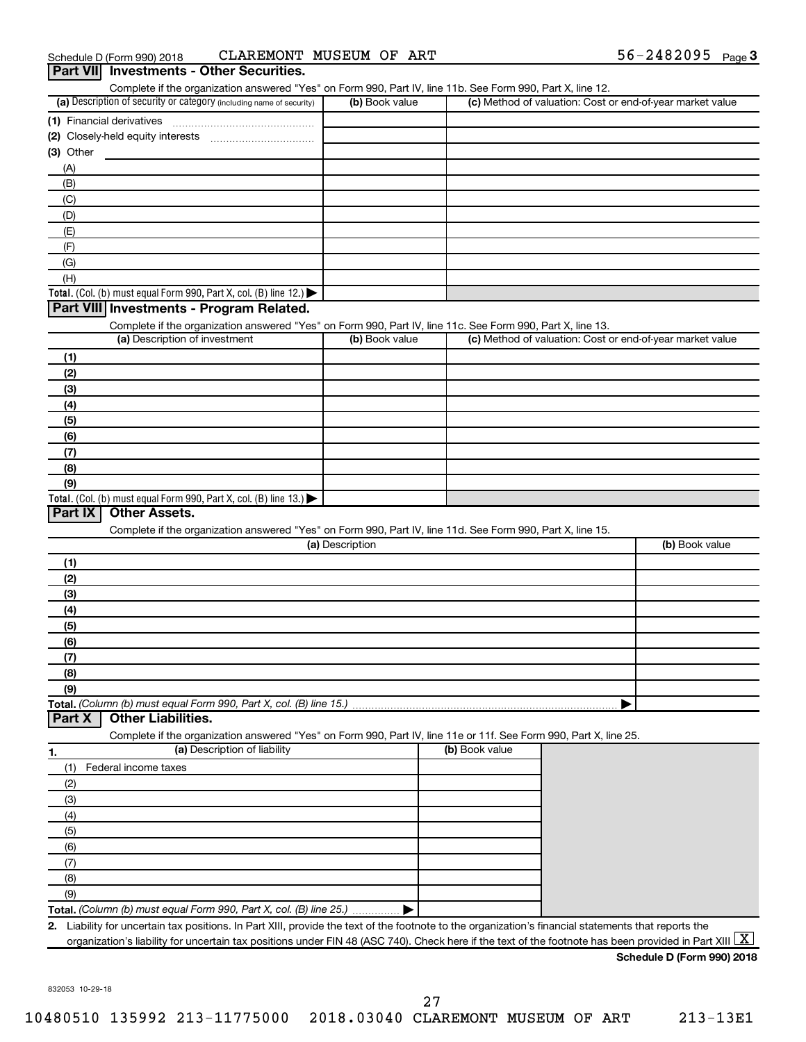| (a) Description of security or category (including name of security)                                              | (b) Book value  | Complete if the organization answered "Yes" on Form 990, Part IV, line 11b. See Form 990, Part X, line 12. | (c) Method of valuation: Cost or end-of-year market value |
|-------------------------------------------------------------------------------------------------------------------|-----------------|------------------------------------------------------------------------------------------------------------|-----------------------------------------------------------|
|                                                                                                                   |                 |                                                                                                            |                                                           |
|                                                                                                                   |                 |                                                                                                            |                                                           |
|                                                                                                                   |                 |                                                                                                            |                                                           |
| $(3)$ Other                                                                                                       |                 |                                                                                                            |                                                           |
| (A)                                                                                                               |                 |                                                                                                            |                                                           |
| (B)                                                                                                               |                 |                                                                                                            |                                                           |
| (C)                                                                                                               |                 |                                                                                                            |                                                           |
| (D)                                                                                                               |                 |                                                                                                            |                                                           |
| (E)                                                                                                               |                 |                                                                                                            |                                                           |
| (F)                                                                                                               |                 |                                                                                                            |                                                           |
| (G)                                                                                                               |                 |                                                                                                            |                                                           |
| (H)                                                                                                               |                 |                                                                                                            |                                                           |
| Total. (Col. (b) must equal Form 990, Part X, col. (B) line 12.) $\blacktriangleright$                            |                 |                                                                                                            |                                                           |
| Part VIII Investments - Program Related.                                                                          |                 |                                                                                                            |                                                           |
| Complete if the organization answered "Yes" on Form 990, Part IV, line 11c. See Form 990, Part X, line 13.        |                 |                                                                                                            |                                                           |
| (a) Description of investment                                                                                     | (b) Book value  |                                                                                                            | (c) Method of valuation: Cost or end-of-year market value |
|                                                                                                                   |                 |                                                                                                            |                                                           |
| (1)                                                                                                               |                 |                                                                                                            |                                                           |
| (2)                                                                                                               |                 |                                                                                                            |                                                           |
| (3)                                                                                                               |                 |                                                                                                            |                                                           |
| (4)                                                                                                               |                 |                                                                                                            |                                                           |
| (5)                                                                                                               |                 |                                                                                                            |                                                           |
| (6)                                                                                                               |                 |                                                                                                            |                                                           |
| (7)                                                                                                               |                 |                                                                                                            |                                                           |
| (8)                                                                                                               |                 |                                                                                                            |                                                           |
| (9)                                                                                                               |                 |                                                                                                            |                                                           |
| Total. (Col. (b) must equal Form 990, Part X, col. (B) line 13.)                                                  |                 |                                                                                                            |                                                           |
| Part IX<br><b>Other Assets.</b>                                                                                   |                 |                                                                                                            |                                                           |
|                                                                                                                   |                 |                                                                                                            |                                                           |
| Complete if the organization answered "Yes" on Form 990, Part IV, line 11d. See Form 990, Part X, line 15.        |                 |                                                                                                            |                                                           |
|                                                                                                                   | (a) Description |                                                                                                            | (b) Book value                                            |
| (1)                                                                                                               |                 |                                                                                                            |                                                           |
| (2)                                                                                                               |                 |                                                                                                            |                                                           |
| (3)                                                                                                               |                 |                                                                                                            |                                                           |
| (4)                                                                                                               |                 |                                                                                                            |                                                           |
| (5)                                                                                                               |                 |                                                                                                            |                                                           |
| (6)                                                                                                               |                 |                                                                                                            |                                                           |
| (7)                                                                                                               |                 |                                                                                                            |                                                           |
| (8)                                                                                                               |                 |                                                                                                            |                                                           |
|                                                                                                                   |                 |                                                                                                            |                                                           |
| (9)                                                                                                               |                 |                                                                                                            |                                                           |
|                                                                                                                   |                 |                                                                                                            |                                                           |
|                                                                                                                   |                 |                                                                                                            |                                                           |
| <b>Other Liabilities.</b>                                                                                         |                 |                                                                                                            |                                                           |
| Complete if the organization answered "Yes" on Form 990, Part IV, line 11e or 11f. See Form 990, Part X, line 25. |                 |                                                                                                            |                                                           |
| (a) Description of liability                                                                                      |                 | (b) Book value                                                                                             |                                                           |
| (1)<br>Federal income taxes                                                                                       |                 |                                                                                                            |                                                           |
| (2)                                                                                                               |                 |                                                                                                            |                                                           |
|                                                                                                                   |                 |                                                                                                            |                                                           |
| (3)                                                                                                               |                 |                                                                                                            |                                                           |
| (4)                                                                                                               |                 |                                                                                                            |                                                           |
| (5)                                                                                                               |                 |                                                                                                            |                                                           |
| (6)                                                                                                               |                 |                                                                                                            |                                                           |
| (7)                                                                                                               |                 |                                                                                                            |                                                           |
| Total. (Column (b) must equal Form 990, Part X, col. (B) line 15.)<br>Part X<br>1.<br>(8)                         |                 |                                                                                                            |                                                           |
| (9)                                                                                                               |                 |                                                                                                            |                                                           |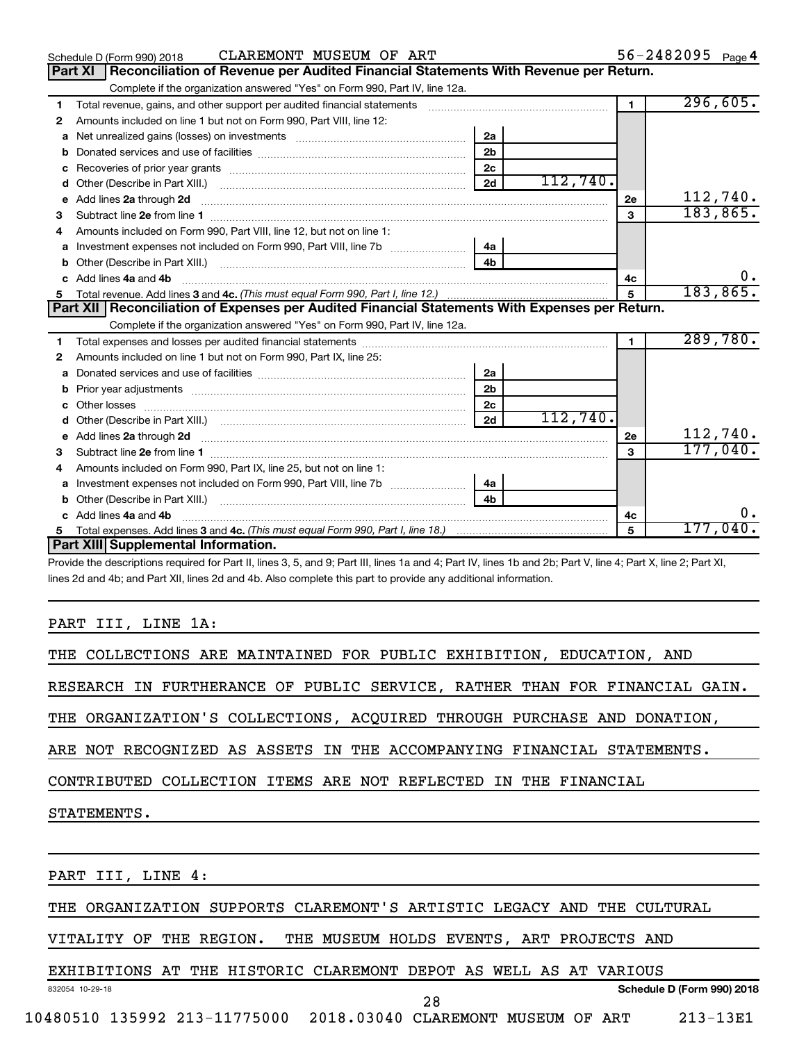| Reconciliation of Revenue per Audited Financial Statements With Revenue per Return.<br>Part XI<br>Complete if the organization answered "Yes" on Form 990, Part IV, line 12a.<br>$\blacksquare$<br>Total revenue, gains, and other support per audited financial statements<br>1<br>Amounts included on line 1 but not on Form 990, Part VIII, line 12:<br>2<br>2a<br>a<br>2 <sub>b</sub><br>b<br>2c<br>c<br>112,740.<br>2d<br>d<br>Add lines 2a through 2d<br>2е<br>е<br>3<br>3<br>Amounts included on Form 990, Part VIII, line 12, but not on line 1:<br>4<br>4 <sub>b</sub><br>Add lines 4a and 4b<br>4c<br>c.<br>5<br>Part XII   Reconciliation of Expenses per Audited Financial Statements With Expenses per Return.<br>Complete if the organization answered "Yes" on Form 990, Part IV, line 12a.<br>$\blacksquare$<br>1<br>Amounts included on line 1 but not on Form 990, Part IX, line 25:<br>2<br>2a<br>a<br>2 <sub>b</sub><br>b<br>2 <sub>c</sub><br>112,740.<br>2d<br>d<br>e Add lines 2a through 2d <b>[10]</b> [20] <b>All and Provide Add lines</b> 21 through 21 <b>All and Provide Add lines 2a through 2d</b><br><b>2e</b><br>3<br>3<br>Amounts included on Form 990, Part IX, line 25, but not on line 1:<br>4<br>Investment expenses not included on Form 990, Part VIII, line 7b   4a<br>a |                                     |  | 296,605.         |
|--------------------------------------------------------------------------------------------------------------------------------------------------------------------------------------------------------------------------------------------------------------------------------------------------------------------------------------------------------------------------------------------------------------------------------------------------------------------------------------------------------------------------------------------------------------------------------------------------------------------------------------------------------------------------------------------------------------------------------------------------------------------------------------------------------------------------------------------------------------------------------------------------------------------------------------------------------------------------------------------------------------------------------------------------------------------------------------------------------------------------------------------------------------------------------------------------------------------------------------------------------------------------------------------------------------------|-------------------------------------|--|------------------|
|                                                                                                                                                                                                                                                                                                                                                                                                                                                                                                                                                                                                                                                                                                                                                                                                                                                                                                                                                                                                                                                                                                                                                                                                                                                                                                                    |                                     |  |                  |
|                                                                                                                                                                                                                                                                                                                                                                                                                                                                                                                                                                                                                                                                                                                                                                                                                                                                                                                                                                                                                                                                                                                                                                                                                                                                                                                    |                                     |  |                  |
|                                                                                                                                                                                                                                                                                                                                                                                                                                                                                                                                                                                                                                                                                                                                                                                                                                                                                                                                                                                                                                                                                                                                                                                                                                                                                                                    |                                     |  |                  |
|                                                                                                                                                                                                                                                                                                                                                                                                                                                                                                                                                                                                                                                                                                                                                                                                                                                                                                                                                                                                                                                                                                                                                                                                                                                                                                                    |                                     |  |                  |
|                                                                                                                                                                                                                                                                                                                                                                                                                                                                                                                                                                                                                                                                                                                                                                                                                                                                                                                                                                                                                                                                                                                                                                                                                                                                                                                    |                                     |  |                  |
|                                                                                                                                                                                                                                                                                                                                                                                                                                                                                                                                                                                                                                                                                                                                                                                                                                                                                                                                                                                                                                                                                                                                                                                                                                                                                                                    |                                     |  |                  |
|                                                                                                                                                                                                                                                                                                                                                                                                                                                                                                                                                                                                                                                                                                                                                                                                                                                                                                                                                                                                                                                                                                                                                                                                                                                                                                                    |                                     |  |                  |
|                                                                                                                                                                                                                                                                                                                                                                                                                                                                                                                                                                                                                                                                                                                                                                                                                                                                                                                                                                                                                                                                                                                                                                                                                                                                                                                    |                                     |  |                  |
|                                                                                                                                                                                                                                                                                                                                                                                                                                                                                                                                                                                                                                                                                                                                                                                                                                                                                                                                                                                                                                                                                                                                                                                                                                                                                                                    |                                     |  | 112,740.         |
|                                                                                                                                                                                                                                                                                                                                                                                                                                                                                                                                                                                                                                                                                                                                                                                                                                                                                                                                                                                                                                                                                                                                                                                                                                                                                                                    |                                     |  | 183, 865.        |
|                                                                                                                                                                                                                                                                                                                                                                                                                                                                                                                                                                                                                                                                                                                                                                                                                                                                                                                                                                                                                                                                                                                                                                                                                                                                                                                    |                                     |  |                  |
|                                                                                                                                                                                                                                                                                                                                                                                                                                                                                                                                                                                                                                                                                                                                                                                                                                                                                                                                                                                                                                                                                                                                                                                                                                                                                                                    |                                     |  |                  |
|                                                                                                                                                                                                                                                                                                                                                                                                                                                                                                                                                                                                                                                                                                                                                                                                                                                                                                                                                                                                                                                                                                                                                                                                                                                                                                                    |                                     |  |                  |
|                                                                                                                                                                                                                                                                                                                                                                                                                                                                                                                                                                                                                                                                                                                                                                                                                                                                                                                                                                                                                                                                                                                                                                                                                                                                                                                    |                                     |  | $0$ .            |
|                                                                                                                                                                                                                                                                                                                                                                                                                                                                                                                                                                                                                                                                                                                                                                                                                                                                                                                                                                                                                                                                                                                                                                                                                                                                                                                    |                                     |  | 183, 865.        |
|                                                                                                                                                                                                                                                                                                                                                                                                                                                                                                                                                                                                                                                                                                                                                                                                                                                                                                                                                                                                                                                                                                                                                                                                                                                                                                                    |                                     |  |                  |
|                                                                                                                                                                                                                                                                                                                                                                                                                                                                                                                                                                                                                                                                                                                                                                                                                                                                                                                                                                                                                                                                                                                                                                                                                                                                                                                    |                                     |  |                  |
|                                                                                                                                                                                                                                                                                                                                                                                                                                                                                                                                                                                                                                                                                                                                                                                                                                                                                                                                                                                                                                                                                                                                                                                                                                                                                                                    |                                     |  | 289,780.         |
|                                                                                                                                                                                                                                                                                                                                                                                                                                                                                                                                                                                                                                                                                                                                                                                                                                                                                                                                                                                                                                                                                                                                                                                                                                                                                                                    |                                     |  |                  |
|                                                                                                                                                                                                                                                                                                                                                                                                                                                                                                                                                                                                                                                                                                                                                                                                                                                                                                                                                                                                                                                                                                                                                                                                                                                                                                                    |                                     |  |                  |
|                                                                                                                                                                                                                                                                                                                                                                                                                                                                                                                                                                                                                                                                                                                                                                                                                                                                                                                                                                                                                                                                                                                                                                                                                                                                                                                    |                                     |  |                  |
|                                                                                                                                                                                                                                                                                                                                                                                                                                                                                                                                                                                                                                                                                                                                                                                                                                                                                                                                                                                                                                                                                                                                                                                                                                                                                                                    |                                     |  |                  |
|                                                                                                                                                                                                                                                                                                                                                                                                                                                                                                                                                                                                                                                                                                                                                                                                                                                                                                                                                                                                                                                                                                                                                                                                                                                                                                                    |                                     |  |                  |
|                                                                                                                                                                                                                                                                                                                                                                                                                                                                                                                                                                                                                                                                                                                                                                                                                                                                                                                                                                                                                                                                                                                                                                                                                                                                                                                    |                                     |  | 112,740.         |
|                                                                                                                                                                                                                                                                                                                                                                                                                                                                                                                                                                                                                                                                                                                                                                                                                                                                                                                                                                                                                                                                                                                                                                                                                                                                                                                    |                                     |  | 177,040.         |
|                                                                                                                                                                                                                                                                                                                                                                                                                                                                                                                                                                                                                                                                                                                                                                                                                                                                                                                                                                                                                                                                                                                                                                                                                                                                                                                    |                                     |  |                  |
|                                                                                                                                                                                                                                                                                                                                                                                                                                                                                                                                                                                                                                                                                                                                                                                                                                                                                                                                                                                                                                                                                                                                                                                                                                                                                                                    |                                     |  |                  |
| 4 <sub>b</sub>                                                                                                                                                                                                                                                                                                                                                                                                                                                                                                                                                                                                                                                                                                                                                                                                                                                                                                                                                                                                                                                                                                                                                                                                                                                                                                     |                                     |  |                  |
| c Add lines 4a and 4b<br>4c                                                                                                                                                                                                                                                                                                                                                                                                                                                                                                                                                                                                                                                                                                                                                                                                                                                                                                                                                                                                                                                                                                                                                                                                                                                                                        |                                     |  | ο.               |
| 5                                                                                                                                                                                                                                                                                                                                                                                                                                                                                                                                                                                                                                                                                                                                                                                                                                                                                                                                                                                                                                                                                                                                                                                                                                                                                                                  |                                     |  | 177,040 <b>.</b> |
|                                                                                                                                                                                                                                                                                                                                                                                                                                                                                                                                                                                                                                                                                                                                                                                                                                                                                                                                                                                                                                                                                                                                                                                                                                                                                                                    | Part XIII Supplemental Information. |  |                  |

Provide the descriptions required for Part II, lines 3, 5, and 9; Part III, lines 1a and 4; Part IV, lines 1b and 2b; Part V, line 4; Part X, line 2; Part XI, lines 2d and 4b; and Part XII, lines 2d and 4b. Also complete this part to provide any additional information.

### PART III, LINE 1A:

832054 10-29-18

EXHIBITIONS AT THE HISTORIC CLAREMONT DEPOT AS WELL AS AT VARIOUS

**Schedule D (Form 990) 2018**

10480510 135992 213-11775000 2018.03040 CLAREMONT MUSEUM OF ART 213-13E1

28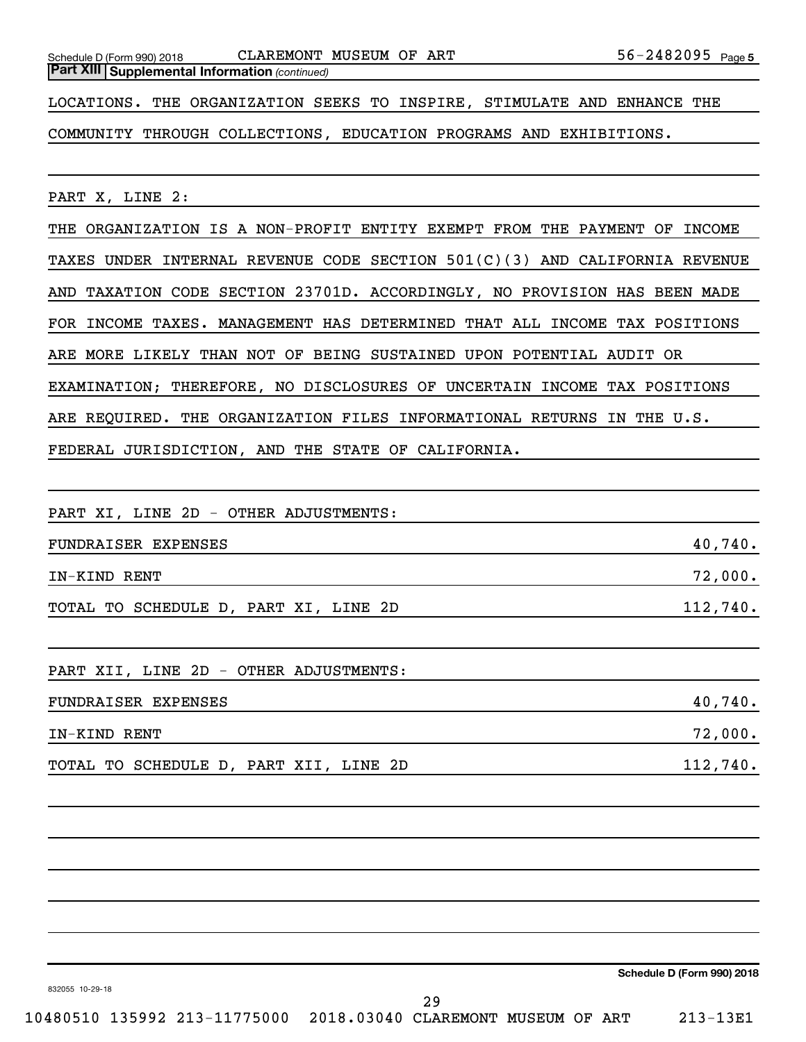*(continued)* **Part XIII Supplemental Information** 

LOCATIONS. THE ORGANIZATION SEEKS TO INSPIRE, STIMULATE AND ENHANCE THE

COMMUNITY THROUGH COLLECTIONS, EDUCATION PROGRAMS AND EXHIBITIONS.

PART X, LINE 2:

THE ORGANIZATION IS A NON-PROFIT ENTITY EXEMPT FROM THE PAYMENT OF INCOME TAXES UNDER INTERNAL REVENUE CODE SECTION 501(C)(3) AND CALIFORNIA REVENUE AND TAXATION CODE SECTION 23701D. ACCORDINGLY, NO PROVISION HAS BEEN MADE FOR INCOME TAXES. MANAGEMENT HAS DETERMINED THAT ALL INCOME TAX POSITIONS ARE MORE LIKELY THAN NOT OF BEING SUSTAINED UPON POTENTIAL AUDIT OR EXAMINATION; THEREFORE, NO DISCLOSURES OF UNCERTAIN INCOME TAX POSITIONS ARE REQUIRED. THE ORGANIZATION FILES INFORMATIONAL RETURNS IN THE U.S. FEDERAL JURISDICTION, AND THE STATE OF CALIFORNIA.

PART XI, LINE 2D - OTHER ADJUSTMENTS:

| FUNDRAISER EXPENSES                   | 40,740.    |
|---------------------------------------|------------|
| IN-KIND RENT                          | $72,000$ . |
| TOTAL TO SCHEDULE D, PART XI, LINE 2D | 112,740.   |

PART XII, LINE 2D - OTHER ADJUSTMENTS:

| FUNDRAISER EXPENSES                    |            |  |  |  |
|----------------------------------------|------------|--|--|--|
| IN-KIND RENT                           | $72,000$ . |  |  |  |
| TOTAL TO SCHEDULE D, PART XII, LINE 2D | 112,740.   |  |  |  |

**Schedule D (Form 990) 2018**

832055 10-29-18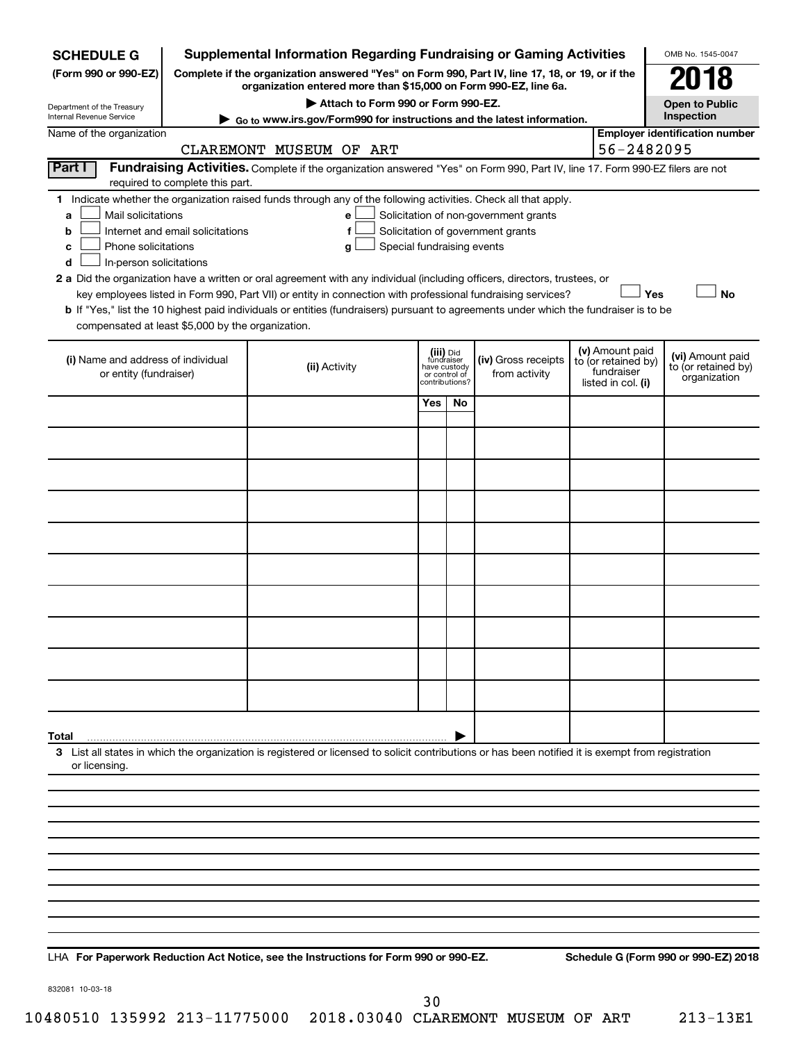| <b>SCHEDULE G</b>                                                                                                                             |                                                                                                        | <b>Supplemental Information Regarding Fundraising or Gaming Activities</b>                                                                                                                                                                                                                                                                                                                                                                                                                                                                         |                                         |                                 |                                                                            |  |                                                                            | OMB No. 1545-0047                                       |
|-----------------------------------------------------------------------------------------------------------------------------------------------|--------------------------------------------------------------------------------------------------------|----------------------------------------------------------------------------------------------------------------------------------------------------------------------------------------------------------------------------------------------------------------------------------------------------------------------------------------------------------------------------------------------------------------------------------------------------------------------------------------------------------------------------------------------------|-----------------------------------------|---------------------------------|----------------------------------------------------------------------------|--|----------------------------------------------------------------------------|---------------------------------------------------------|
| (Form 990 or 990-EZ)                                                                                                                          | Complete if the organization answered "Yes" on Form 990, Part IV, line 17, 18, or 19, or if the        |                                                                                                                                                                                                                                                                                                                                                                                                                                                                                                                                                    |                                         |                                 |                                                                            |  |                                                                            | 018                                                     |
| Department of the Treasury                                                                                                                    | organization entered more than \$15,000 on Form 990-EZ, line 6a.<br>Attach to Form 990 or Form 990-EZ. |                                                                                                                                                                                                                                                                                                                                                                                                                                                                                                                                                    |                                         |                                 |                                                                            |  |                                                                            | <b>Open to Public</b>                                   |
| Internal Revenue Service                                                                                                                      | ► Go to www.irs.gov/Form990 for instructions and the latest information.                               |                                                                                                                                                                                                                                                                                                                                                                                                                                                                                                                                                    |                                         |                                 |                                                                            |  |                                                                            |                                                         |
| <b>Employer identification number</b><br>Name of the organization<br>56-2482095<br>CLAREMONT MUSEUM OF ART                                    |                                                                                                        |                                                                                                                                                                                                                                                                                                                                                                                                                                                                                                                                                    |                                         |                                 |                                                                            |  |                                                                            |                                                         |
| Part I                                                                                                                                        | required to complete this part.                                                                        | Fundraising Activities. Complete if the organization answered "Yes" on Form 990, Part IV, line 17. Form 990-EZ filers are not                                                                                                                                                                                                                                                                                                                                                                                                                      |                                         |                                 |                                                                            |  |                                                                            |                                                         |
| Mail solicitations<br>a<br>b<br>Phone solicitations<br>c<br>In-person solicitations<br>d<br>compensated at least \$5,000 by the organization. | Internet and email solicitations                                                                       | 1 Indicate whether the organization raised funds through any of the following activities. Check all that apply.<br>е<br>f<br>Special fundraising events<br>g<br>2 a Did the organization have a written or oral agreement with any individual (including officers, directors, trustees, or<br>key employees listed in Form 990, Part VII) or entity in connection with professional fundraising services?<br>b If "Yes," list the 10 highest paid individuals or entities (fundraisers) pursuant to agreements under which the fundraiser is to be |                                         |                                 | Solicitation of non-government grants<br>Solicitation of government grants |  | Yes                                                                        | <b>No</b>                                               |
| (i) Name and address of individual<br>or entity (fundraiser)                                                                                  |                                                                                                        | (ii) Activity                                                                                                                                                                                                                                                                                                                                                                                                                                                                                                                                      | (iii) Did<br>fundraiser<br>have custody | or control of<br>contributions? | (iv) Gross receipts<br>from activity                                       |  | (v) Amount paid<br>to (or retained by)<br>fundraiser<br>listed in col. (i) | (vi) Amount paid<br>to (or retained by)<br>organization |
|                                                                                                                                               |                                                                                                        |                                                                                                                                                                                                                                                                                                                                                                                                                                                                                                                                                    | Yes                                     | No                              |                                                                            |  |                                                                            |                                                         |
|                                                                                                                                               |                                                                                                        |                                                                                                                                                                                                                                                                                                                                                                                                                                                                                                                                                    |                                         |                                 |                                                                            |  |                                                                            |                                                         |
|                                                                                                                                               |                                                                                                        |                                                                                                                                                                                                                                                                                                                                                                                                                                                                                                                                                    |                                         |                                 |                                                                            |  |                                                                            |                                                         |
|                                                                                                                                               |                                                                                                        |                                                                                                                                                                                                                                                                                                                                                                                                                                                                                                                                                    |                                         |                                 |                                                                            |  |                                                                            |                                                         |
|                                                                                                                                               |                                                                                                        |                                                                                                                                                                                                                                                                                                                                                                                                                                                                                                                                                    |                                         |                                 |                                                                            |  |                                                                            |                                                         |
|                                                                                                                                               |                                                                                                        |                                                                                                                                                                                                                                                                                                                                                                                                                                                                                                                                                    |                                         |                                 |                                                                            |  |                                                                            |                                                         |
|                                                                                                                                               |                                                                                                        |                                                                                                                                                                                                                                                                                                                                                                                                                                                                                                                                                    |                                         |                                 |                                                                            |  |                                                                            |                                                         |
|                                                                                                                                               |                                                                                                        |                                                                                                                                                                                                                                                                                                                                                                                                                                                                                                                                                    |                                         |                                 |                                                                            |  |                                                                            |                                                         |
|                                                                                                                                               |                                                                                                        |                                                                                                                                                                                                                                                                                                                                                                                                                                                                                                                                                    |                                         |                                 |                                                                            |  |                                                                            |                                                         |
|                                                                                                                                               |                                                                                                        |                                                                                                                                                                                                                                                                                                                                                                                                                                                                                                                                                    |                                         |                                 |                                                                            |  |                                                                            |                                                         |
| Total                                                                                                                                         |                                                                                                        |                                                                                                                                                                                                                                                                                                                                                                                                                                                                                                                                                    |                                         |                                 |                                                                            |  |                                                                            |                                                         |
| or licensing.                                                                                                                                 |                                                                                                        | 3 List all states in which the organization is registered or licensed to solicit contributions or has been notified it is exempt from registration                                                                                                                                                                                                                                                                                                                                                                                                 |                                         |                                 |                                                                            |  |                                                                            |                                                         |
|                                                                                                                                               |                                                                                                        |                                                                                                                                                                                                                                                                                                                                                                                                                                                                                                                                                    |                                         |                                 |                                                                            |  |                                                                            |                                                         |
|                                                                                                                                               |                                                                                                        |                                                                                                                                                                                                                                                                                                                                                                                                                                                                                                                                                    |                                         |                                 |                                                                            |  |                                                                            |                                                         |
|                                                                                                                                               |                                                                                                        |                                                                                                                                                                                                                                                                                                                                                                                                                                                                                                                                                    |                                         |                                 |                                                                            |  |                                                                            |                                                         |
|                                                                                                                                               |                                                                                                        |                                                                                                                                                                                                                                                                                                                                                                                                                                                                                                                                                    |                                         |                                 |                                                                            |  |                                                                            |                                                         |
|                                                                                                                                               |                                                                                                        |                                                                                                                                                                                                                                                                                                                                                                                                                                                                                                                                                    |                                         |                                 |                                                                            |  |                                                                            |                                                         |
|                                                                                                                                               |                                                                                                        |                                                                                                                                                                                                                                                                                                                                                                                                                                                                                                                                                    |                                         |                                 |                                                                            |  |                                                                            |                                                         |
|                                                                                                                                               |                                                                                                        |                                                                                                                                                                                                                                                                                                                                                                                                                                                                                                                                                    |                                         |                                 |                                                                            |  |                                                                            |                                                         |
|                                                                                                                                               |                                                                                                        |                                                                                                                                                                                                                                                                                                                                                                                                                                                                                                                                                    |                                         |                                 |                                                                            |  |                                                                            |                                                         |

**For Paperwork Reduction Act Notice, see the Instructions for Form 990 or 990-EZ. Schedule G (Form 990 or 990-EZ) 2018** LHA

832081 10-03-18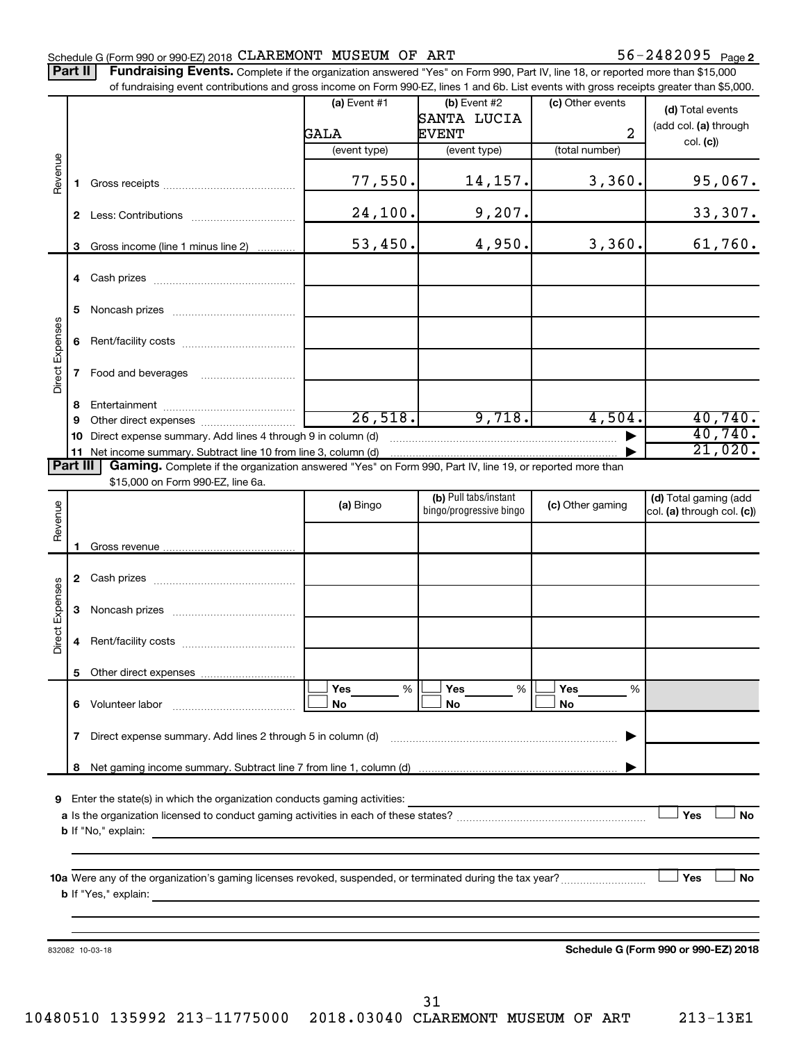### Schedule G (Form 990 or 990-EZ) 2018  $\mathtt{CLAREMONT}$  MUSEUM OF ART  $56-2482095$  Page

Part II | Fundraising Events. Complete if the organization answered "Yes" on Form 990, Part IV, line 18, or reported more than \$15,000 of fundraising event contributions and gross income on Form 990-EZ, lines 1 and 6b. List events with gross receipts greater than \$5,000.

|                        |              | OF RINGLASHIY CVENT CONTINUATIONS AND GIVES INCOME ON FOND 330°CZ, IINCS T AND OD. EIST CVCHIS WILH GIVSS TECCIPIS GREEK THAN \$0,000.             |                |                         |                  |                                      |
|------------------------|--------------|----------------------------------------------------------------------------------------------------------------------------------------------------|----------------|-------------------------|------------------|--------------------------------------|
|                        |              |                                                                                                                                                    | (a) Event $#1$ | $(b)$ Event #2          | (c) Other events | (d) Total events                     |
|                        |              |                                                                                                                                                    |                | SANTA LUCIA             |                  | (add col. (a) through                |
|                        |              |                                                                                                                                                    | GALA           | <b>EVENT</b>            | $\overline{2}$   | col. (c)                             |
|                        |              |                                                                                                                                                    | (event type)   | (event type)            | (total number)   |                                      |
|                        |              |                                                                                                                                                    |                |                         |                  |                                      |
| Revenue                | $\mathbf 1$  |                                                                                                                                                    | 77,550.        | 14,157.                 | 3,360.           | 95,067.                              |
|                        |              |                                                                                                                                                    |                |                         |                  |                                      |
|                        |              |                                                                                                                                                    | 24,100.        | 9,207.                  |                  | 33,307.                              |
|                        |              |                                                                                                                                                    |                |                         |                  |                                      |
|                        |              | 3 Gross income (line 1 minus line 2)                                                                                                               | 53,450.        | 4,950.                  | 3,360.           | 61,760.                              |
|                        |              |                                                                                                                                                    |                |                         |                  |                                      |
|                        |              |                                                                                                                                                    |                |                         |                  |                                      |
|                        |              |                                                                                                                                                    |                |                         |                  |                                      |
|                        | 5            |                                                                                                                                                    |                |                         |                  |                                      |
|                        |              |                                                                                                                                                    |                |                         |                  |                                      |
| <b>Direct Expenses</b> |              |                                                                                                                                                    |                |                         |                  |                                      |
|                        |              |                                                                                                                                                    |                |                         |                  |                                      |
|                        | $\mathbf{7}$ |                                                                                                                                                    |                |                         |                  |                                      |
|                        |              |                                                                                                                                                    |                |                         |                  |                                      |
|                        | 8            |                                                                                                                                                    |                |                         |                  |                                      |
|                        | 9            |                                                                                                                                                    | 26,518.        | 9,718.                  | 4,504.           | 40,740.                              |
|                        |              | 10 Direct expense summary. Add lines 4 through 9 in column (d)                                                                                     |                |                         |                  | 40,740.                              |
|                        |              | 11 Net income summary. Subtract line 10 from line 3, column (d) material contains and the income summary.                                          |                |                         |                  | 21,020.                              |
| Part III               |              | Gaming. Complete if the organization answered "Yes" on Form 990, Part IV, line 19, or reported more than                                           |                |                         |                  |                                      |
|                        |              | \$15,000 on Form 990-EZ, line 6a.                                                                                                                  |                |                         |                  |                                      |
|                        |              |                                                                                                                                                    |                | (b) Pull tabs/instant   |                  | (d) Total gaming (add                |
|                        |              |                                                                                                                                                    | (a) Bingo      | bingo/progressive bingo | (c) Other gaming | col. (a) through col. (c))           |
| Revenue                |              |                                                                                                                                                    |                |                         |                  |                                      |
|                        | 1            |                                                                                                                                                    |                |                         |                  |                                      |
|                        |              |                                                                                                                                                    |                |                         |                  |                                      |
|                        |              |                                                                                                                                                    |                |                         |                  |                                      |
|                        |              |                                                                                                                                                    |                |                         |                  |                                      |
|                        |              |                                                                                                                                                    |                |                         |                  |                                      |
| <b>Direct Expenses</b> |              |                                                                                                                                                    |                |                         |                  |                                      |
|                        | 4            |                                                                                                                                                    |                |                         |                  |                                      |
|                        |              |                                                                                                                                                    |                |                         |                  |                                      |
|                        |              |                                                                                                                                                    |                |                         |                  |                                      |
|                        |              |                                                                                                                                                    | Yes<br>%       | Yes<br>%                | Yes<br>%         |                                      |
|                        |              | 6 Volunteer labor                                                                                                                                  | No             | No                      | No               |                                      |
|                        |              |                                                                                                                                                    |                |                         |                  |                                      |
|                        | 7            | Direct expense summary. Add lines 2 through 5 in column (d)                                                                                        |                |                         |                  |                                      |
|                        |              |                                                                                                                                                    |                |                         |                  |                                      |
|                        | 8            |                                                                                                                                                    |                |                         |                  |                                      |
|                        |              |                                                                                                                                                    |                |                         |                  |                                      |
| 9                      |              | Enter the state(s) in which the organization conducts gaming activities:                                                                           |                |                         |                  |                                      |
|                        |              |                                                                                                                                                    |                |                         |                  | Yes<br>No                            |
|                        |              | <b>b</b> If "No," explain:<br><u> 1989 - John Stein, Amerikaansk politiker (* 1908)</u>                                                            |                |                         |                  |                                      |
|                        |              |                                                                                                                                                    |                |                         |                  |                                      |
|                        |              |                                                                                                                                                    |                |                         |                  |                                      |
|                        |              |                                                                                                                                                    |                |                         |                  | Yes<br>No                            |
|                        |              | <b>b</b> If "Yes," explain:<br><u> 1989 - Johann Harry Barn, mars and de Branch and de Branch and de Branch and de Branch and de Branch and de</u> |                |                         |                  |                                      |
|                        |              |                                                                                                                                                    |                |                         |                  |                                      |
|                        |              |                                                                                                                                                    |                |                         |                  |                                      |
|                        |              |                                                                                                                                                    |                |                         |                  |                                      |
|                        |              | 832082 10-03-18                                                                                                                                    |                |                         |                  | Schedule G (Form 990 or 990-EZ) 2018 |
|                        |              |                                                                                                                                                    |                |                         |                  |                                      |
|                        |              |                                                                                                                                                    |                |                         |                  |                                      |
|                        |              |                                                                                                                                                    |                | 31                      |                  |                                      |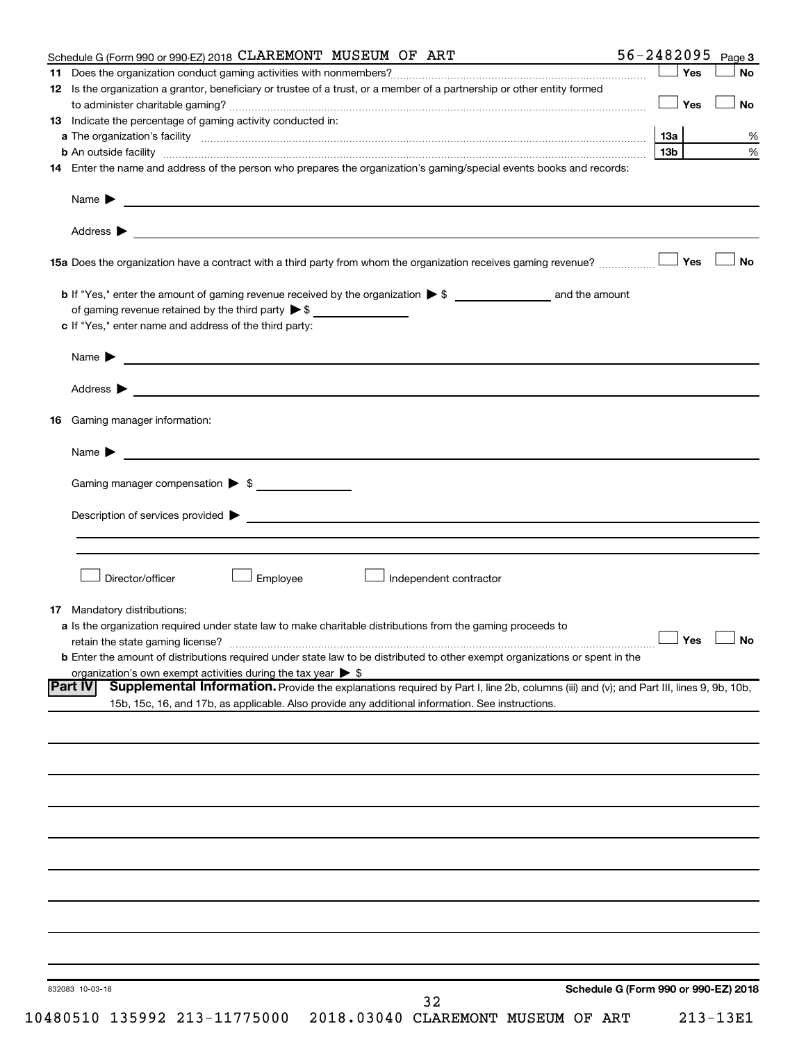| Schedule G (Form 990 or 990-EZ) 2018 CLAREMONT MUSEUM OF ART                                                                                                                                                                   |                                      | $56 - 2482095$ Page 3   |           |
|--------------------------------------------------------------------------------------------------------------------------------------------------------------------------------------------------------------------------------|--------------------------------------|-------------------------|-----------|
| 11.                                                                                                                                                                                                                            |                                      | ⊥ Yes                   | <b>No</b> |
| 12 Is the organization a grantor, beneficiary or trustee of a trust, or a member of a partnership or other entity formed                                                                                                       |                                      |                         |           |
|                                                                                                                                                                                                                                |                                      | Yes                     | No        |
| <b>13</b> Indicate the percentage of gaming activity conducted in:                                                                                                                                                             |                                      |                         |           |
|                                                                                                                                                                                                                                |                                      | 13a                     | %         |
|                                                                                                                                                                                                                                |                                      | 13 <sub>b</sub>         | $\%$      |
| 14 Enter the name and address of the person who prepares the organization's gaming/special events books and records:                                                                                                           |                                      |                         |           |
|                                                                                                                                                                                                                                |                                      |                         |           |
|                                                                                                                                                                                                                                |                                      |                         |           |
| Name $\blacktriangleright$<br><u> 1989 - Johann Barbara, martin amerikan basal dan berasal dan berasal dan berasal dari berasal dan berasal dan</u>                                                                            |                                      |                         |           |
|                                                                                                                                                                                                                                |                                      |                         |           |
|                                                                                                                                                                                                                                |                                      |                         |           |
|                                                                                                                                                                                                                                |                                      |                         | <b>No</b> |
|                                                                                                                                                                                                                                |                                      |                         |           |
|                                                                                                                                                                                                                                |                                      |                         |           |
|                                                                                                                                                                                                                                |                                      |                         |           |
| of gaming revenue retained by the third party $\triangleright$ \$                                                                                                                                                              |                                      |                         |           |
| c If "Yes," enter name and address of the third party:                                                                                                                                                                         |                                      |                         |           |
|                                                                                                                                                                                                                                |                                      |                         |           |
| Name $\blacktriangleright$ $\blacksquare$                                                                                                                                                                                      |                                      |                         |           |
|                                                                                                                                                                                                                                |                                      |                         |           |
| Address $\blacktriangleright$                                                                                                                                                                                                  |                                      |                         |           |
|                                                                                                                                                                                                                                |                                      |                         |           |
| Gaming manager information:<br>16                                                                                                                                                                                              |                                      |                         |           |
|                                                                                                                                                                                                                                |                                      |                         |           |
| Name $\blacktriangleright$                                                                                                                                                                                                     |                                      |                         |           |
|                                                                                                                                                                                                                                |                                      |                         |           |
| Gaming manager compensation > \$                                                                                                                                                                                               |                                      |                         |           |
|                                                                                                                                                                                                                                |                                      |                         |           |
| Description of services provided states and the contract of the contract of the contract of the contract of the contract of the contract of the contract of the contract of the contract of the contract of the contract of th |                                      |                         |           |
|                                                                                                                                                                                                                                |                                      |                         |           |
|                                                                                                                                                                                                                                |                                      |                         |           |
|                                                                                                                                                                                                                                |                                      |                         |           |
| Director/officer<br>Employee<br>Independent contractor                                                                                                                                                                         |                                      |                         |           |
|                                                                                                                                                                                                                                |                                      |                         |           |
| <b>17</b> Mandatory distributions:                                                                                                                                                                                             |                                      |                         |           |
| <b>a</b> Is the organization required under state law to make charitable distributions from the gaming proceeds to                                                                                                             |                                      |                         |           |
| retain the state gaming license?                                                                                                                                                                                               |                                      | $\Box$ Yes $\quad \Box$ | $\Box$ No |
| <b>b</b> Enter the amount of distributions required under state law to be distributed to other exempt organizations or spent in the                                                                                            |                                      |                         |           |
| organization's own exempt activities during the tax year $\triangleright$ \$                                                                                                                                                   |                                      |                         |           |
| <b>Part IV</b><br>Supplemental Information. Provide the explanations required by Part I, line 2b, columns (iii) and (v); and Part III, lines 9, 9b, 10b,                                                                       |                                      |                         |           |
| 15b, 15c, 16, and 17b, as applicable. Also provide any additional information. See instructions.                                                                                                                               |                                      |                         |           |
|                                                                                                                                                                                                                                |                                      |                         |           |
|                                                                                                                                                                                                                                |                                      |                         |           |
|                                                                                                                                                                                                                                |                                      |                         |           |
|                                                                                                                                                                                                                                |                                      |                         |           |
|                                                                                                                                                                                                                                |                                      |                         |           |
|                                                                                                                                                                                                                                |                                      |                         |           |
|                                                                                                                                                                                                                                |                                      |                         |           |
|                                                                                                                                                                                                                                |                                      |                         |           |
|                                                                                                                                                                                                                                |                                      |                         |           |
|                                                                                                                                                                                                                                |                                      |                         |           |
|                                                                                                                                                                                                                                |                                      |                         |           |
|                                                                                                                                                                                                                                |                                      |                         |           |
|                                                                                                                                                                                                                                |                                      |                         |           |
|                                                                                                                                                                                                                                |                                      |                         |           |
|                                                                                                                                                                                                                                |                                      |                         |           |
|                                                                                                                                                                                                                                |                                      |                         |           |
|                                                                                                                                                                                                                                |                                      |                         |           |
|                                                                                                                                                                                                                                |                                      |                         |           |
| 832083 10-03-18                                                                                                                                                                                                                | Schedule G (Form 990 or 990-EZ) 2018 |                         |           |
| 32                                                                                                                                                                                                                             |                                      |                         |           |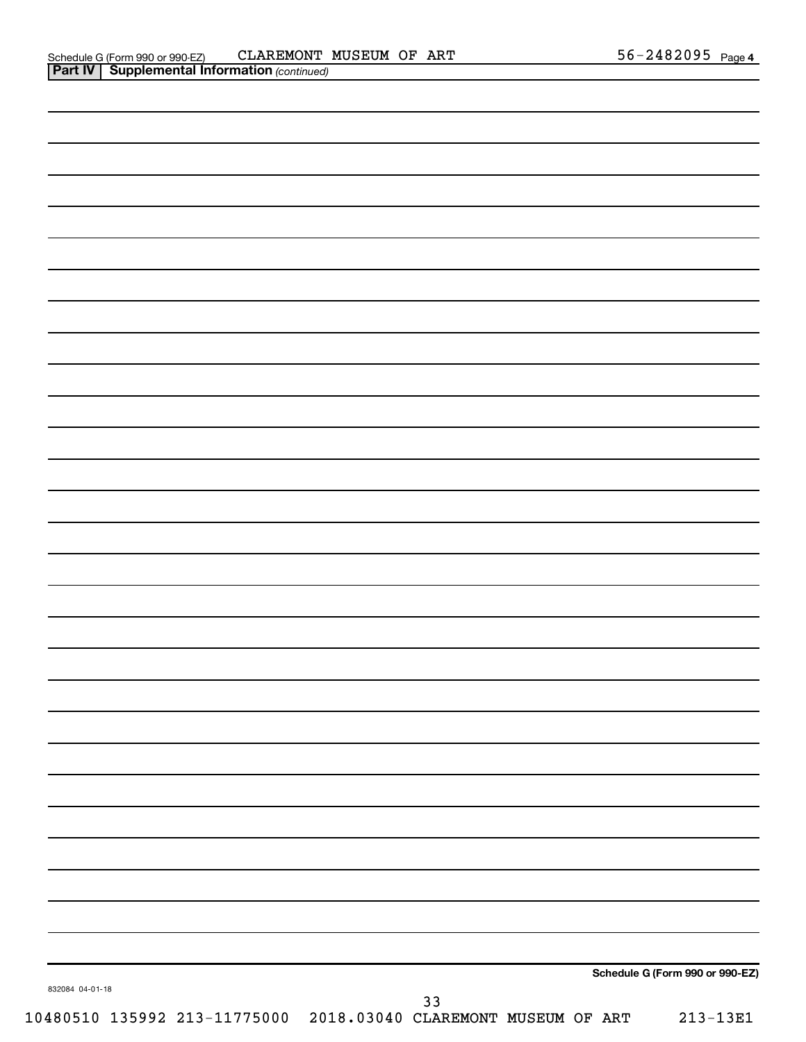| 832084 04-01-18 | $33$ | Schedule G (Form 990 or 990-EZ) |
|-----------------|------|---------------------------------|
|                 |      |                                 |
|                 |      |                                 |
|                 |      |                                 |
|                 |      |                                 |
|                 |      |                                 |
|                 |      |                                 |
|                 |      |                                 |
|                 |      |                                 |
|                 |      |                                 |
|                 |      |                                 |
|                 |      |                                 |
|                 |      |                                 |
|                 |      |                                 |
|                 |      |                                 |
|                 |      |                                 |
|                 |      |                                 |
|                 |      |                                 |
|                 |      |                                 |
|                 |      |                                 |
|                 |      |                                 |
|                 |      |                                 |
|                 |      |                                 |
|                 |      |                                 |
|                 |      |                                 |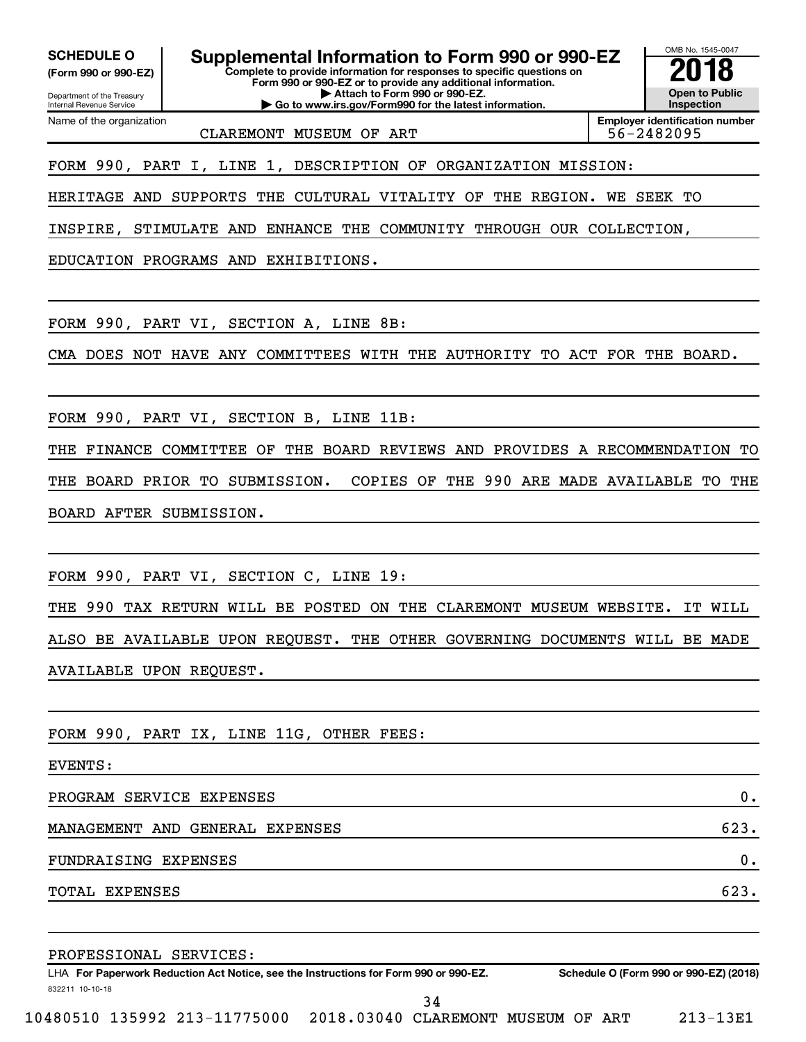**(Form 990 or 990-EZ)**

Department of the Treasury Internal Revenue Service Name of the organization

**Complete to provide information for responses to specific questions on Form 990 or 990-EZ or to provide any additional information. | Attach to Form 990 or 990-EZ. | Go to www.irs.gov/Form990 for the latest information.** SCHEDULE O **Supplemental Information to Form 990 or 990-EZ 2018**<br>(Form 990 or 990-EZ) Complete to provide information for responses to specific questions on

OMB No. 1545-0047 **Open to Public Inspection Employer identification number**

CLAREMONT MUSEUM OF ART  $\vert$  56-2482095

FORM 990, PART I, LINE 1, DESCRIPTION OF ORGANIZATION MISSION:

HERITAGE AND SUPPORTS THE CULTURAL VITALITY OF THE REGION. WE SEEK TO

INSPIRE, STIMULATE AND ENHANCE THE COMMUNITY THROUGH OUR COLLECTION,

EDUCATION PROGRAMS AND EXHIBITIONS.

FORM 990, PART VI, SECTION A, LINE 8B:

CMA DOES NOT HAVE ANY COMMITTEES WITH THE AUTHORITY TO ACT FOR THE BOARD.

FORM 990, PART VI, SECTION B, LINE 11B:

THE FINANCE COMMITTEE OF THE BOARD REVIEWS AND PROVIDES A RECOMMENDATION TO THE BOARD PRIOR TO SUBMISSION. COPIES OF THE 990 ARE MADE AVAILABLE TO THE BOARD AFTER SUBMISSION.

FORM 990, PART VI, SECTION C, LINE 19:

THE 990 TAX RETURN WILL BE POSTED ON THE CLAREMONT MUSEUM WEBSITE. IT WILL ALSO BE AVAILABLE UPON REQUEST. THE OTHER GOVERNING DOCUMENTS WILL BE MADE AVAILABLE UPON REQUEST.

FORM 990, PART IX, LINE 11G, OTHER FEES:

EVENTS:

832211 10-10-18

PROGRAM SERVICE EXPENSES 0.

MANAGEMENT AND GENERAL EXPENSES 623.

FUNDRAISING EXPENSES 0.

TOTAL EXPENSES 623.

PROFESSIONAL SERVICES:

LHA For Paperwork Reduction Act Notice, see the Instructions for Form 990 or 990-EZ. Schedule O (Form 990 or 990-EZ) (2018)

34